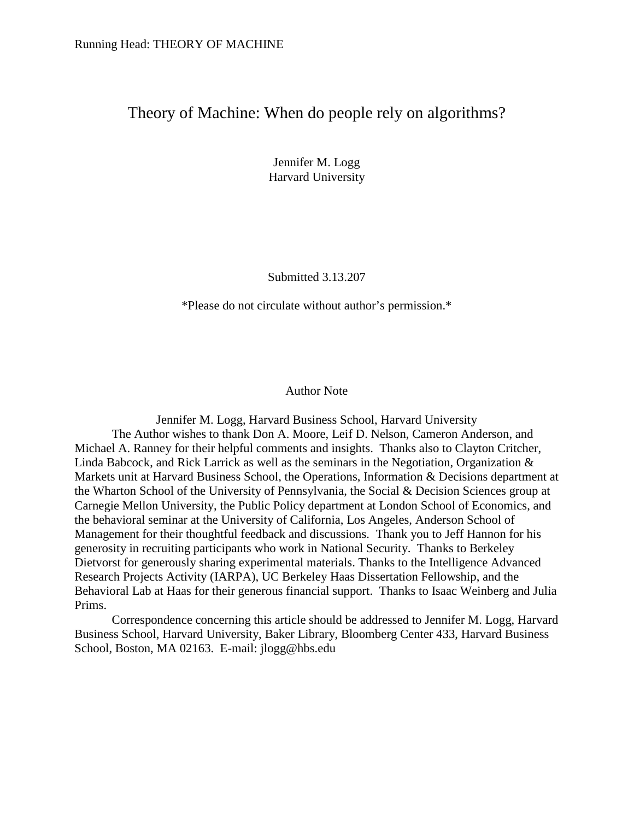# Theory of Machine: When do people rely on algorithms?

Jennifer M. Logg Harvard University

Submitted 3.13.207

\*Please do not circulate without author's permission.\*

Author Note

Jennifer M. Logg, Harvard Business School, Harvard University The Author wishes to thank Don A. Moore, Leif D. Nelson, Cameron Anderson, and Michael A. Ranney for their helpful comments and insights. Thanks also to Clayton Critcher, Linda Babcock, and Rick Larrick as well as the seminars in the Negotiation, Organization & Markets unit at Harvard Business School, the Operations, Information & Decisions department at the Wharton School of the University of Pennsylvania, the Social & Decision Sciences group at Carnegie Mellon University, the Public Policy department at London School of Economics, and the behavioral seminar at the University of California, Los Angeles, Anderson School of Management for their thoughtful feedback and discussions. Thank you to Jeff Hannon for his generosity in recruiting participants who work in National Security. Thanks to Berkeley Dietvorst for generously sharing experimental materials. Thanks to the Intelligence Advanced Research Projects Activity (IARPA), UC Berkeley Haas Dissertation Fellowship, and the Behavioral Lab at Haas for their generous financial support. Thanks to Isaac Weinberg and Julia Prims.

Correspondence concerning this article should be addressed to Jennifer M. Logg, Harvard Business School, Harvard University, Baker Library, Bloomberg Center 433, Harvard Business School, Boston, MA 02163. E-mail: jlogg@hbs.edu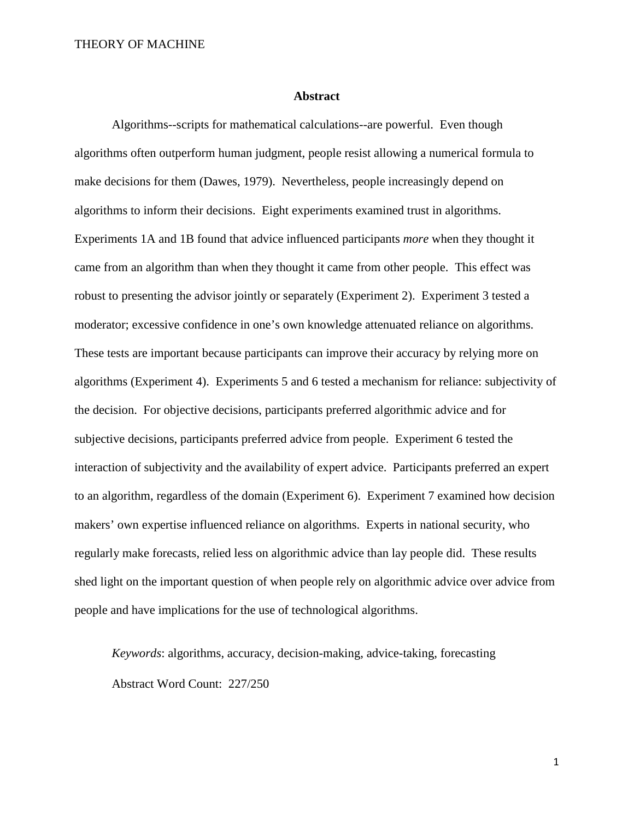#### **Abstract**

Algorithms--scripts for mathematical calculations--are powerful. Even though algorithms often outperform human judgment, people resist allowing a numerical formula to make decisions for them (Dawes, 1979). Nevertheless, people increasingly depend on algorithms to inform their decisions. Eight experiments examined trust in algorithms. Experiments 1A and 1B found that advice influenced participants *more* when they thought it came from an algorithm than when they thought it came from other people. This effect was robust to presenting the advisor jointly or separately (Experiment 2). Experiment 3 tested a moderator; excessive confidence in one's own knowledge attenuated reliance on algorithms. These tests are important because participants can improve their accuracy by relying more on algorithms (Experiment 4). Experiments 5 and 6 tested a mechanism for reliance: subjectivity of the decision. For objective decisions, participants preferred algorithmic advice and for subjective decisions, participants preferred advice from people. Experiment 6 tested the interaction of subjectivity and the availability of expert advice. Participants preferred an expert to an algorithm, regardless of the domain (Experiment 6). Experiment 7 examined how decision makers' own expertise influenced reliance on algorithms. Experts in national security, who regularly make forecasts, relied less on algorithmic advice than lay people did. These results shed light on the important question of when people rely on algorithmic advice over advice from people and have implications for the use of technological algorithms.

*Keywords*: algorithms, accuracy, decision-making, advice-taking, forecasting Abstract Word Count: 227/250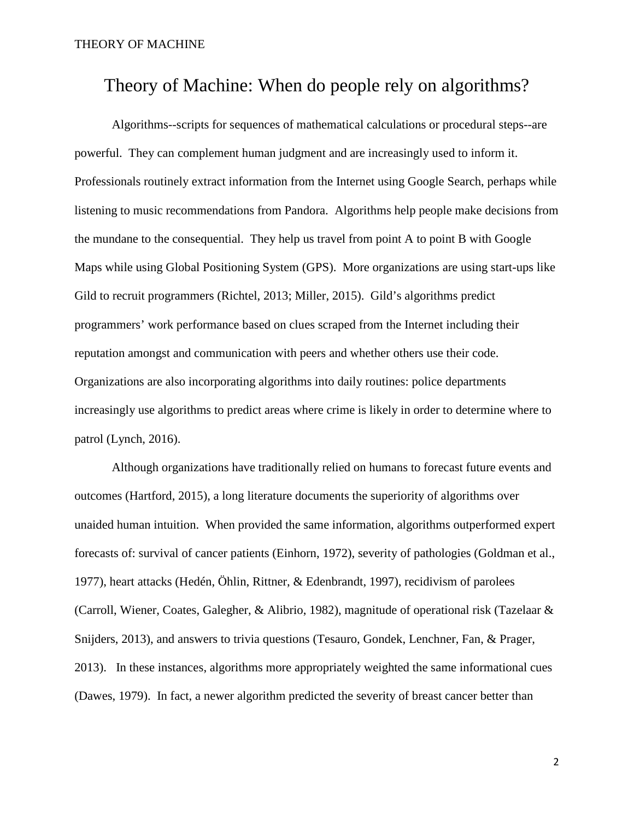# Theory of Machine: When do people rely on algorithms?

Algorithms--scripts for sequences of mathematical calculations or procedural steps--are powerful. They can complement human judgment and are increasingly used to inform it. Professionals routinely extract information from the Internet using Google Search, perhaps while listening to music recommendations from Pandora. Algorithms help people make decisions from the mundane to the consequential. They help us travel from point A to point B with Google Maps while using Global Positioning System (GPS). More organizations are using start-ups like Gild to recruit programmers (Richtel, 2013; Miller, 2015). Gild's algorithms predict programmers' work performance based on clues scraped from the Internet including their reputation amongst and communication with peers and whether others use their code. Organizations are also incorporating algorithms into daily routines: police departments increasingly use algorithms to predict areas where crime is likely in order to determine where to patrol (Lynch, 2016).

Although organizations have traditionally relied on humans to forecast future events and outcomes (Hartford, 2015), a long literature documents the superiority of algorithms over unaided human intuition. When provided the same information, algorithms outperformed expert forecasts of: survival of cancer patients (Einhorn, 1972), severity of pathologies (Goldman et al., 1977), heart attacks (Hedén, Öhlin, Rittner, & Edenbrandt, 1997), recidivism of parolees (Carroll, Wiener, Coates, Galegher, & Alibrio, 1982), magnitude of operational risk (Tazelaar & Snijders, 2013), and answers to trivia questions (Tesauro, Gondek, Lenchner, Fan, & Prager, 2013). In these instances, algorithms more appropriately weighted the same informational cues (Dawes, 1979). In fact, a newer algorithm predicted the severity of breast cancer better than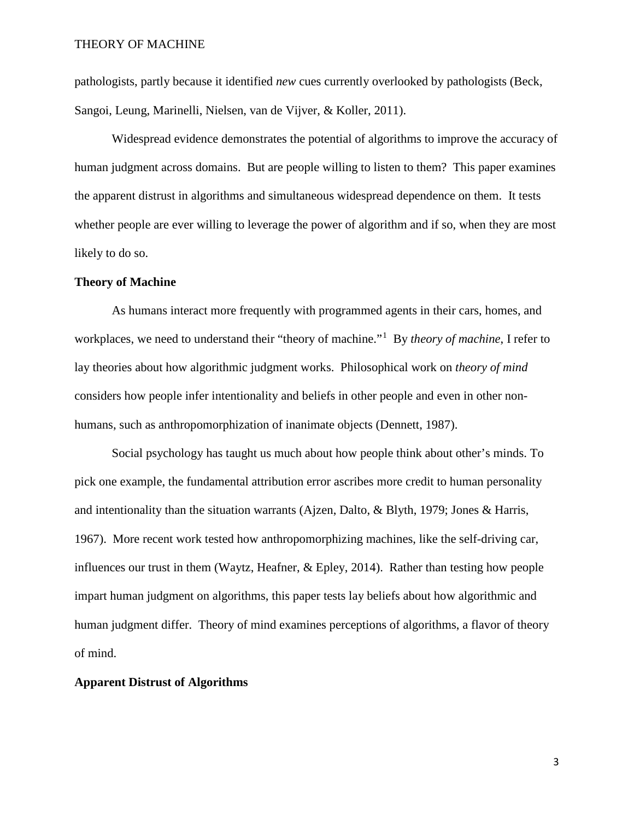pathologists, partly because it identified *new* cues currently overlooked by pathologists (Beck, Sangoi, Leung, Marinelli, Nielsen, van de Vijver, & Koller, 2011).

Widespread evidence demonstrates the potential of algorithms to improve the accuracy of human judgment across domains. But are people willing to listen to them? This paper examines the apparent distrust in algorithms and simultaneous widespread dependence on them. It tests whether people are ever willing to leverage the power of algorithm and if so, when they are most likely to do so.

### **Theory of Machine**

As humans interact more frequently with programmed agents in their cars, homes, and workplaces, we need to understand their "theory of machine."<sup>[1](#page-66-0)</sup> By *theory of machine*, I refer to lay theories about how algorithmic judgment works. Philosophical work on *theory of mind* considers how people infer intentionality and beliefs in other people and even in other nonhumans, such as anthropomorphization of inanimate objects (Dennett, 1987).

Social psychology has taught us much about how people think about other's minds. To pick one example, the fundamental attribution error ascribes more credit to human personality and intentionality than the situation warrants (Ajzen, Dalto, & Blyth, 1979; Jones & Harris, 1967). More recent work tested how anthropomorphizing machines, like the self-driving car, influences our trust in them (Waytz, Heafner, & Epley, 2014). Rather than testing how people impart human judgment on algorithms, this paper tests lay beliefs about how algorithmic and human judgment differ. Theory of mind examines perceptions of algorithms, a flavor of theory of mind.

### **Apparent Distrust of Algorithms**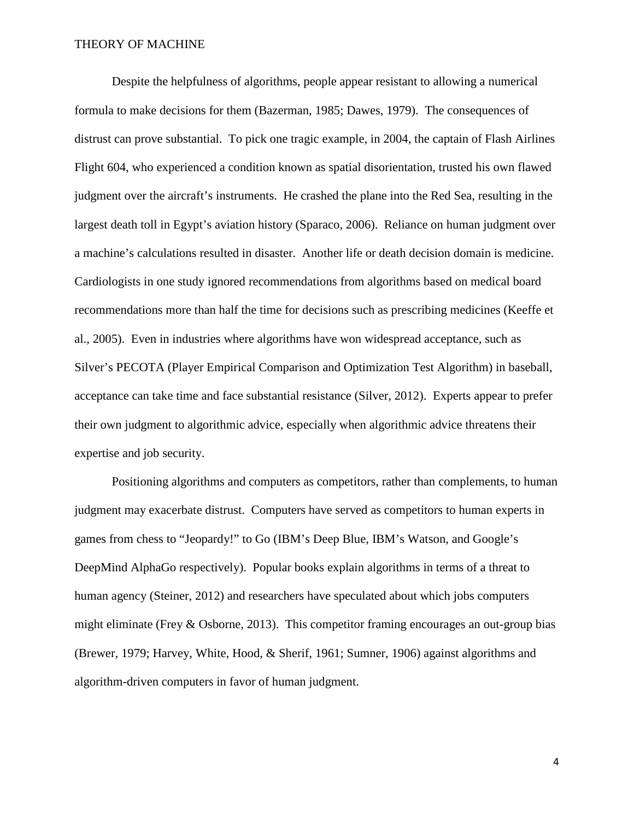Despite the helpfulness of algorithms, people appear resistant to allowing a numerical formula to make decisions for them (Bazerman, 1985; Dawes, 1979). The consequences of distrust can prove substantial. To pick one tragic example, in 2004, the captain of Flash Airlines Flight 604, who experienced a condition known as spatial disorientation, trusted his own flawed judgment over the aircraft's instruments. He crashed the plane into the Red Sea, resulting in the largest death toll in Egypt's aviation history (Sparaco, 2006). Reliance on human judgment over a machine's calculations resulted in disaster. Another life or death decision domain is medicine. Cardiologists in one study ignored recommendations from algorithms based on medical board recommendations more than half the time for decisions such as prescribing medicines (Keeffe et al., 2005). Even in industries where algorithms have won widespread acceptance, such as Silver's PECOTA (Player Empirical Comparison and Optimization Test Algorithm) in baseball, acceptance can take time and face substantial resistance (Silver, 2012). Experts appear to prefer their own judgment to algorithmic advice, especially when algorithmic advice threatens their expertise and job security.

Positioning algorithms and computers as competitors, rather than complements, to human judgment may exacerbate distrust. Computers have served as competitors to human experts in games from chess to "Jeopardy!" to Go (IBM's Deep Blue, IBM's Watson, and Google's DeepMind AlphaGo respectively). Popular books explain algorithms in terms of a threat to human agency (Steiner, 2012) and researchers have speculated about which jobs computers might eliminate (Frey & Osborne, 2013). This competitor framing encourages an out-group bias (Brewer, 1979; Harvey, White, Hood, & Sherif, 1961; Sumner, 1906) against algorithms and algorithm-driven computers in favor of human judgment.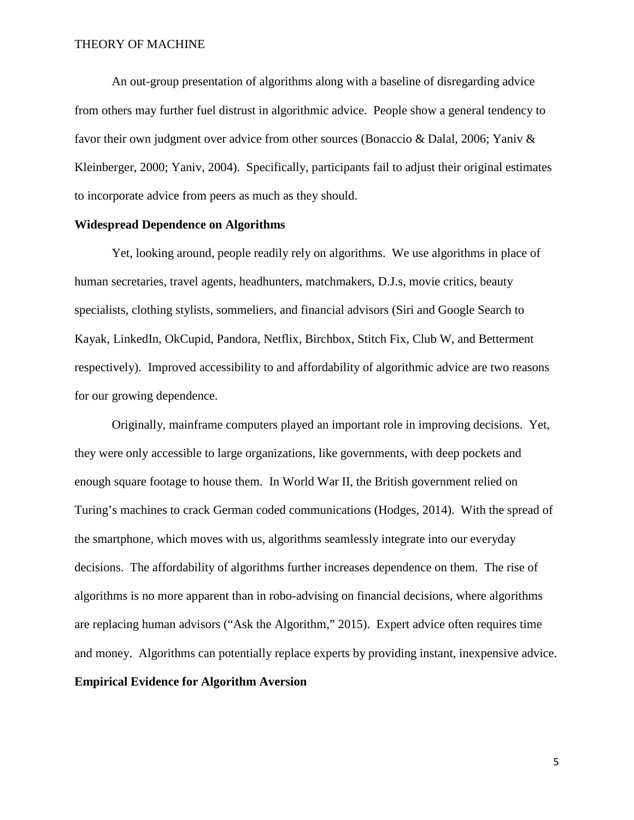An out-group presentation of algorithms along with a baseline of disregarding advice from others may further fuel distrust in algorithmic advice. People show a general tendency to favor their own judgment over advice from other sources (Bonaccio & Dalal, 2006; Yaniv & Kleinberger, 2000; Yaniv, 2004). Specifically, participants fail to adjust their original estimates to incorporate advice from peers as much as they should.

# **Widespread Dependence on Algorithms**

Yet, looking around, people readily rely on algorithms. We use algorithms in place of human secretaries, travel agents, headhunters, matchmakers, D.J.s, movie critics, beauty specialists, clothing stylists, sommeliers, and financial advisors (Siri and Google Search to Kayak, LinkedIn, OkCupid, Pandora, Netflix, Birchbox, Stitch Fix, Club W, and Betterment respectively). Improved accessibility to and affordability of algorithmic advice are two reasons for our growing dependence.

Originally, mainframe computers played an important role in improving decisions. Yet, they were only accessible to large organizations, like governments, with deep pockets and enough square footage to house them. In World War II, the British government relied on Turing's machines to crack German coded communications (Hodges, 2014). With the spread of the smartphone, which moves with us, algorithms seamlessly integrate into our everyday decisions. The affordability of algorithms further increases dependence on them. The rise of algorithms is no more apparent than in robo-advising on financial decisions, where algorithms are replacing human advisors ("Ask the Algorithm," 2015). Expert advice often requires time and money. Algorithms can potentially replace experts by providing instant, inexpensive advice. **Empirical Evidence for Algorithm Aversion**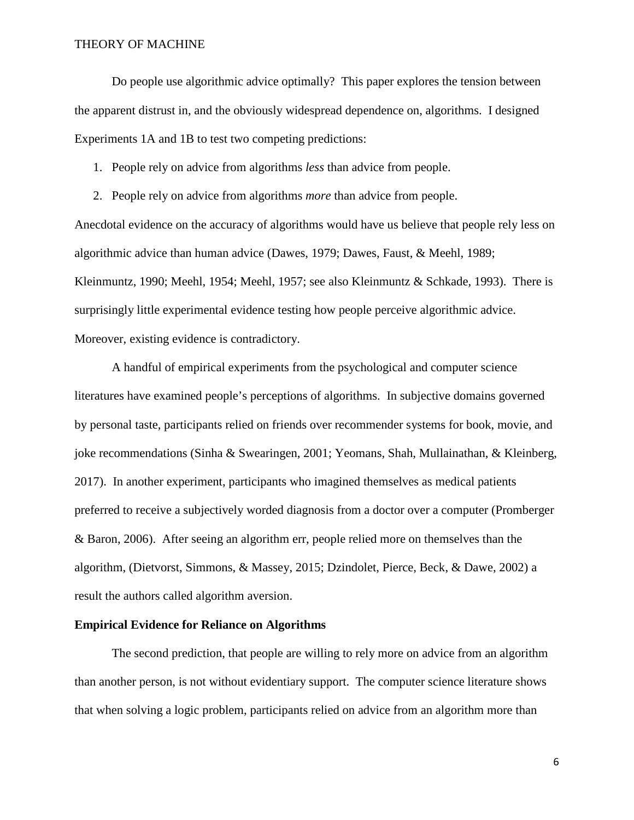Do people use algorithmic advice optimally? This paper explores the tension between the apparent distrust in, and the obviously widespread dependence on, algorithms. I designed Experiments 1A and 1B to test two competing predictions:

1. People rely on advice from algorithms *less* than advice from people.

2. People rely on advice from algorithms *more* than advice from people.

Anecdotal evidence on the accuracy of algorithms would have us believe that people rely less on algorithmic advice than human advice (Dawes, 1979; Dawes, Faust, & Meehl, 1989; Kleinmuntz, 1990; Meehl, 1954; Meehl, 1957; see also Kleinmuntz & Schkade, 1993). There is surprisingly little experimental evidence testing how people perceive algorithmic advice. Moreover, existing evidence is contradictory.

A handful of empirical experiments from the psychological and computer science literatures have examined people's perceptions of algorithms. In subjective domains governed by personal taste, participants relied on friends over recommender systems for book, movie, and joke recommendations (Sinha & Swearingen, 2001; Yeomans, Shah, Mullainathan, & Kleinberg, 2017). In another experiment, participants who imagined themselves as medical patients preferred to receive a subjectively worded diagnosis from a doctor over a computer (Promberger & Baron, 2006). After seeing an algorithm err, people relied more on themselves than the algorithm, (Dietvorst, Simmons, & Massey, 2015; Dzindolet, Pierce, Beck, & Dawe, 2002) a result the authors called algorithm aversion.

## **Empirical Evidence for Reliance on Algorithms**

The second prediction, that people are willing to rely more on advice from an algorithm than another person, is not without evidentiary support. The computer science literature shows that when solving a logic problem, participants relied on advice from an algorithm more than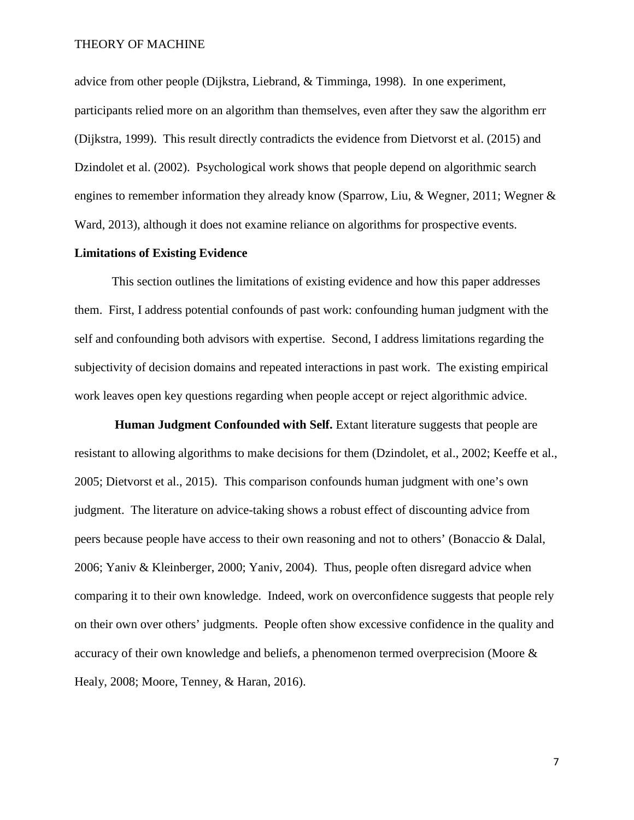advice from other people (Dijkstra, Liebrand, & Timminga, 1998). In one experiment, participants relied more on an algorithm than themselves, even after they saw the algorithm err (Dijkstra, 1999). This result directly contradicts the evidence from Dietvorst et al. (2015) and Dzindolet et al. (2002). Psychological work shows that people depend on algorithmic search engines to remember information they already know (Sparrow, Liu, & Wegner, 2011; Wegner  $\&$ Ward, 2013), although it does not examine reliance on algorithms for prospective events.

# **Limitations of Existing Evidence**

This section outlines the limitations of existing evidence and how this paper addresses them. First, I address potential confounds of past work: confounding human judgment with the self and confounding both advisors with expertise. Second, I address limitations regarding the subjectivity of decision domains and repeated interactions in past work. The existing empirical work leaves open key questions regarding when people accept or reject algorithmic advice.

**Human Judgment Confounded with Self.** Extant literature suggests that people are resistant to allowing algorithms to make decisions for them (Dzindolet, et al., 2002; Keeffe et al., 2005; Dietvorst et al., 2015). This comparison confounds human judgment with one's own judgment. The literature on advice-taking shows a robust effect of discounting advice from peers because people have access to their own reasoning and not to others' (Bonaccio & Dalal, 2006; Yaniv & Kleinberger, 2000; Yaniv, 2004). Thus, people often disregard advice when comparing it to their own knowledge. Indeed, work on overconfidence suggests that people rely on their own over others' judgments. People often show excessive confidence in the quality and accuracy of their own knowledge and beliefs, a phenomenon termed overprecision (Moore & Healy, 2008; Moore, Tenney, & Haran, 2016).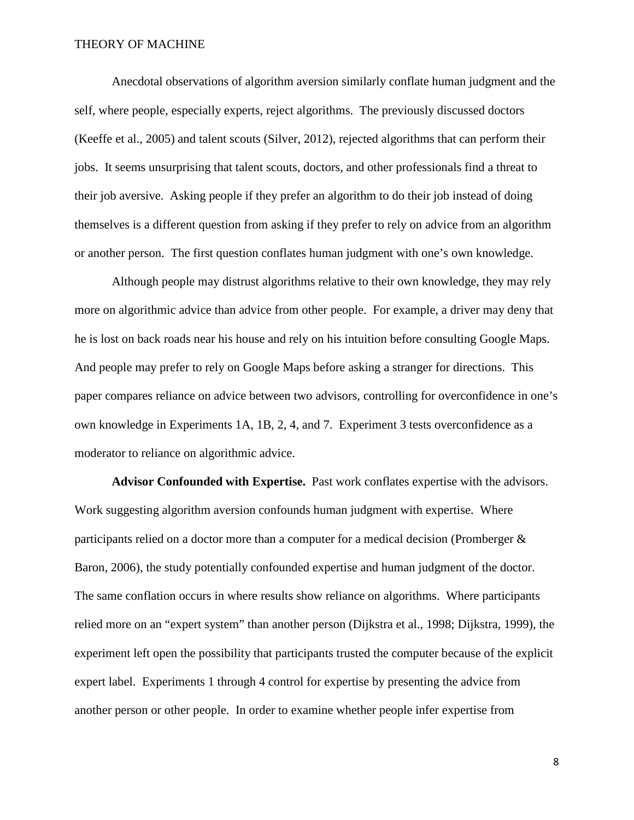Anecdotal observations of algorithm aversion similarly conflate human judgment and the self, where people, especially experts, reject algorithms. The previously discussed doctors (Keeffe et al., 2005) and talent scouts (Silver, 2012), rejected algorithms that can perform their jobs. It seems unsurprising that talent scouts, doctors, and other professionals find a threat to their job aversive. Asking people if they prefer an algorithm to do their job instead of doing themselves is a different question from asking if they prefer to rely on advice from an algorithm or another person. The first question conflates human judgment with one's own knowledge.

Although people may distrust algorithms relative to their own knowledge, they may rely more on algorithmic advice than advice from other people. For example, a driver may deny that he is lost on back roads near his house and rely on his intuition before consulting Google Maps. And people may prefer to rely on Google Maps before asking a stranger for directions. This paper compares reliance on advice between two advisors, controlling for overconfidence in one's own knowledge in Experiments 1A, 1B, 2, 4, and 7. Experiment 3 tests overconfidence as a moderator to reliance on algorithmic advice.

**Advisor Confounded with Expertise.** Past work conflates expertise with the advisors. Work suggesting algorithm aversion confounds human judgment with expertise. Where participants relied on a doctor more than a computer for a medical decision (Promberger & Baron, 2006), the study potentially confounded expertise and human judgment of the doctor. The same conflation occurs in where results show reliance on algorithms. Where participants relied more on an "expert system" than another person (Dijkstra et al., 1998; Dijkstra, 1999), the experiment left open the possibility that participants trusted the computer because of the explicit expert label. Experiments 1 through 4 control for expertise by presenting the advice from another person or other people. In order to examine whether people infer expertise from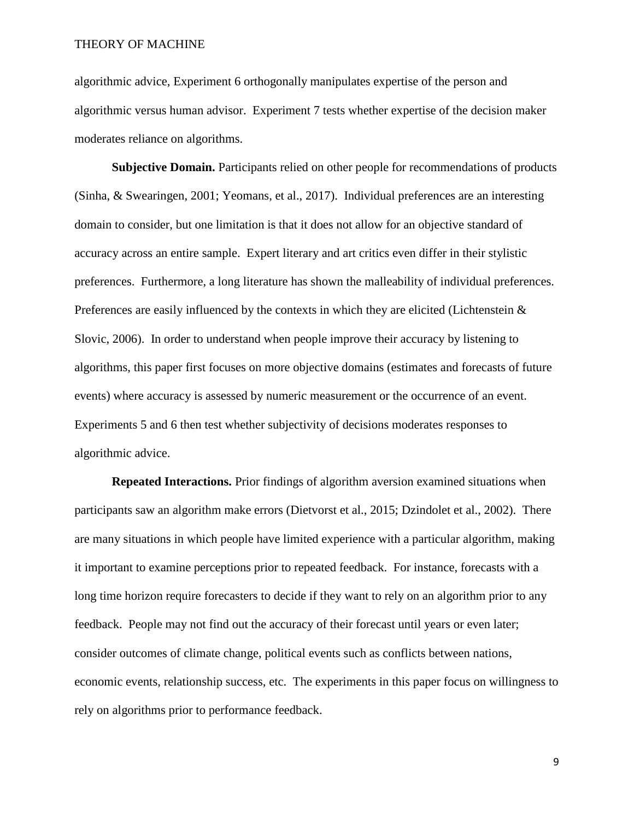algorithmic advice, Experiment 6 orthogonally manipulates expertise of the person and algorithmic versus human advisor. Experiment 7 tests whether expertise of the decision maker moderates reliance on algorithms.

**Subjective Domain.** Participants relied on other people for recommendations of products (Sinha, & Swearingen, 2001; Yeomans, et al., 2017). Individual preferences are an interesting domain to consider, but one limitation is that it does not allow for an objective standard of accuracy across an entire sample. Expert literary and art critics even differ in their stylistic preferences. Furthermore, a long literature has shown the malleability of individual preferences. Preferences are easily influenced by the contexts in which they are elicited (Lichtenstein  $\&$ Slovic, 2006). In order to understand when people improve their accuracy by listening to algorithms, this paper first focuses on more objective domains (estimates and forecasts of future events) where accuracy is assessed by numeric measurement or the occurrence of an event. Experiments 5 and 6 then test whether subjectivity of decisions moderates responses to algorithmic advice.

**Repeated Interactions.** Prior findings of algorithm aversion examined situations when participants saw an algorithm make errors (Dietvorst et al., 2015; Dzindolet et al., 2002). There are many situations in which people have limited experience with a particular algorithm, making it important to examine perceptions prior to repeated feedback. For instance, forecasts with a long time horizon require forecasters to decide if they want to rely on an algorithm prior to any feedback. People may not find out the accuracy of their forecast until years or even later; consider outcomes of climate change, political events such as conflicts between nations, economic events, relationship success, etc. The experiments in this paper focus on willingness to rely on algorithms prior to performance feedback.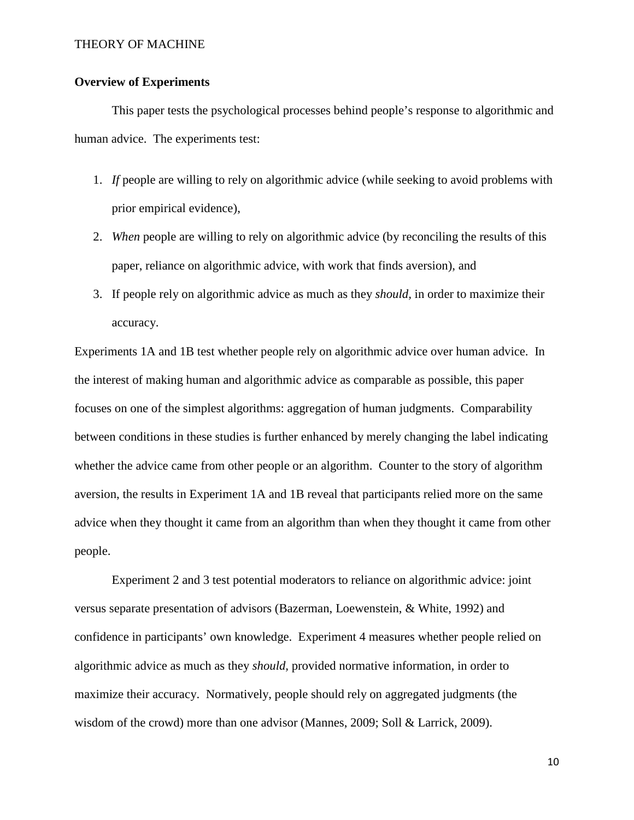# **Overview of Experiments**

This paper tests the psychological processes behind people's response to algorithmic and human advice. The experiments test:

- 1. *If* people are willing to rely on algorithmic advice (while seeking to avoid problems with prior empirical evidence),
- 2. *When* people are willing to rely on algorithmic advice (by reconciling the results of this paper, reliance on algorithmic advice, with work that finds aversion), and
- 3. If people rely on algorithmic advice as much as they *should,* in order to maximize their accuracy.

Experiments 1A and 1B test whether people rely on algorithmic advice over human advice. In the interest of making human and algorithmic advice as comparable as possible, this paper focuses on one of the simplest algorithms: aggregation of human judgments. Comparability between conditions in these studies is further enhanced by merely changing the label indicating whether the advice came from other people or an algorithm. Counter to the story of algorithm aversion, the results in Experiment 1A and 1B reveal that participants relied more on the same advice when they thought it came from an algorithm than when they thought it came from other people.

Experiment 2 and 3 test potential moderators to reliance on algorithmic advice: joint versus separate presentation of advisors (Bazerman, Loewenstein, & White, 1992) and confidence in participants' own knowledge. Experiment 4 measures whether people relied on algorithmic advice as much as they *should,* provided normative information*,* in order to maximize their accuracy. Normatively, people should rely on aggregated judgments (the wisdom of the crowd) more than one advisor (Mannes, 2009; Soll & Larrick, 2009).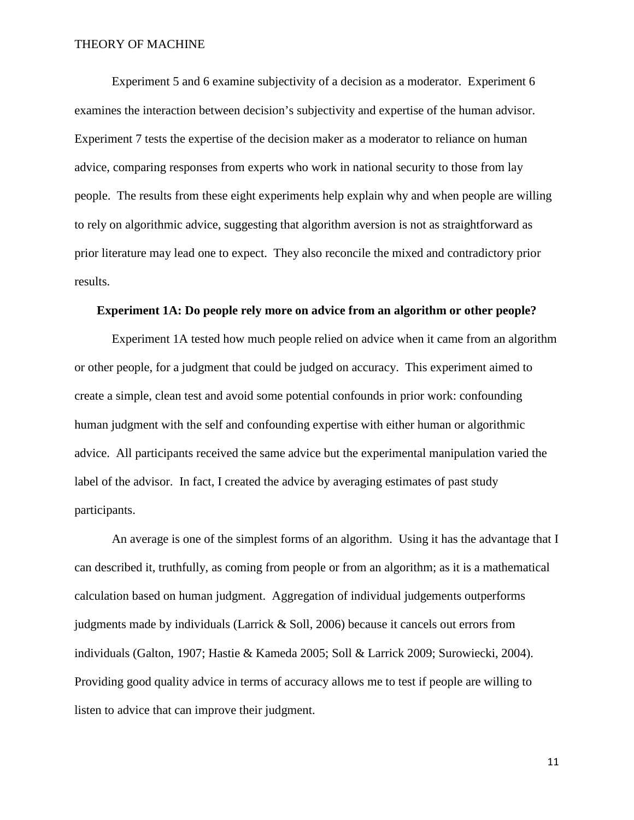Experiment 5 and 6 examine subjectivity of a decision as a moderator. Experiment 6 examines the interaction between decision's subjectivity and expertise of the human advisor. Experiment 7 tests the expertise of the decision maker as a moderator to reliance on human advice, comparing responses from experts who work in national security to those from lay people. The results from these eight experiments help explain why and when people are willing to rely on algorithmic advice, suggesting that algorithm aversion is not as straightforward as prior literature may lead one to expect. They also reconcile the mixed and contradictory prior results.

# **Experiment 1A: Do people rely more on advice from an algorithm or other people?**

Experiment 1A tested how much people relied on advice when it came from an algorithm or other people, for a judgment that could be judged on accuracy. This experiment aimed to create a simple, clean test and avoid some potential confounds in prior work: confounding human judgment with the self and confounding expertise with either human or algorithmic advice. All participants received the same advice but the experimental manipulation varied the label of the advisor. In fact, I created the advice by averaging estimates of past study participants.

An average is one of the simplest forms of an algorithm. Using it has the advantage that I can described it, truthfully, as coming from people or from an algorithm; as it is a mathematical calculation based on human judgment. Aggregation of individual judgements outperforms judgments made by individuals (Larrick & Soll, 2006) because it cancels out errors from individuals (Galton, 1907; Hastie & Kameda 2005; Soll & Larrick 2009; Surowiecki, 2004). Providing good quality advice in terms of accuracy allows me to test if people are willing to listen to advice that can improve their judgment.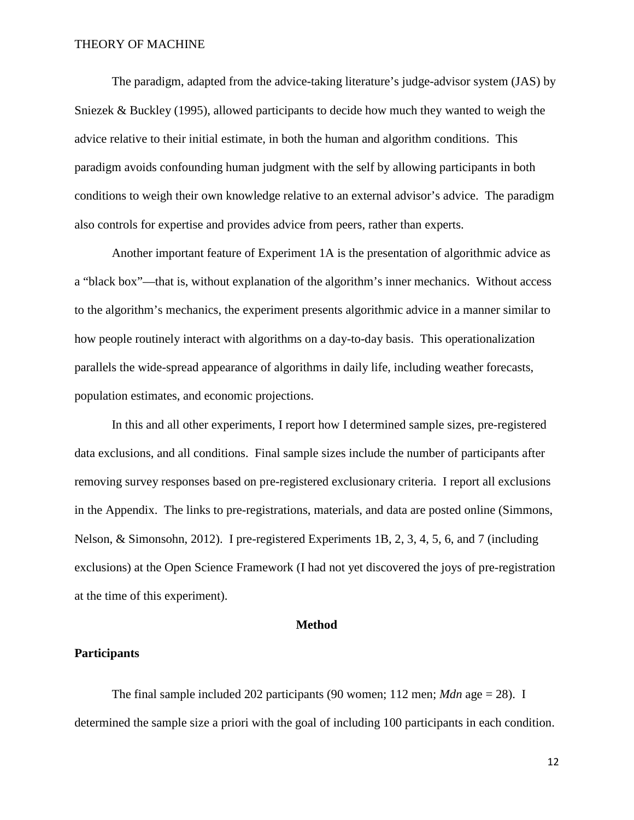The paradigm, adapted from the advice-taking literature's judge-advisor system (JAS) by Sniezek & Buckley (1995), allowed participants to decide how much they wanted to weigh the advice relative to their initial estimate, in both the human and algorithm conditions. This paradigm avoids confounding human judgment with the self by allowing participants in both conditions to weigh their own knowledge relative to an external advisor's advice. The paradigm also controls for expertise and provides advice from peers, rather than experts.

Another important feature of Experiment 1A is the presentation of algorithmic advice as a "black box"—that is, without explanation of the algorithm's inner mechanics. Without access to the algorithm's mechanics, the experiment presents algorithmic advice in a manner similar to how people routinely interact with algorithms on a day-to-day basis. This operationalization parallels the wide-spread appearance of algorithms in daily life, including weather forecasts, population estimates, and economic projections.

In this and all other experiments, I report how I determined sample sizes, pre-registered data exclusions, and all conditions. Final sample sizes include the number of participants after removing survey responses based on pre-registered exclusionary criteria. I report all exclusions in the Appendix. The links to pre-registrations, materials, and data are posted online (Simmons, Nelson, & Simonsohn, 2012). I pre-registered Experiments 1B, 2, 3, 4, 5, 6, and 7 (including exclusions) at the Open Science Framework (I had not yet discovered the joys of pre-registration at the time of this experiment).

### **Method**

# **Participants**

The final sample included 202 participants (90 women; 112 men; *Mdn* age = 28). I determined the sample size a priori with the goal of including 100 participants in each condition.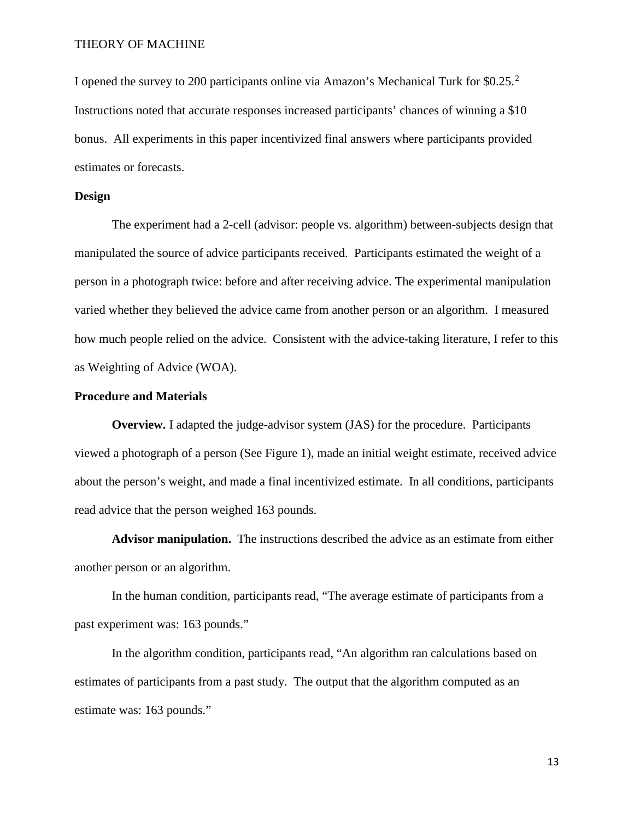I opened the survey to [2](#page-67-0)00 participants online via Amazon's Mechanical Turk for \$0.25.<sup>2</sup> Instructions noted that accurate responses increased participants' chances of winning a \$10 bonus. All experiments in this paper incentivized final answers where participants provided estimates or forecasts.

### **Design**

The experiment had a 2-cell (advisor: people vs. algorithm) between-subjects design that manipulated the source of advice participants received. Participants estimated the weight of a person in a photograph twice: before and after receiving advice. The experimental manipulation varied whether they believed the advice came from another person or an algorithm. I measured how much people relied on the advice. Consistent with the advice-taking literature, I refer to this as Weighting of Advice (WOA).

### **Procedure and Materials**

**Overview.** I adapted the judge-advisor system (JAS) for the procedure. Participants viewed a photograph of a person (See Figure 1), made an initial weight estimate, received advice about the person's weight, and made a final incentivized estimate. In all conditions, participants read advice that the person weighed 163 pounds.

**Advisor manipulation.** The instructions described the advice as an estimate from either another person or an algorithm.

In the human condition, participants read, "The average estimate of participants from a past experiment was: 163 pounds."

In the algorithm condition, participants read, "An algorithm ran calculations based on estimates of participants from a past study. The output that the algorithm computed as an estimate was: 163 pounds."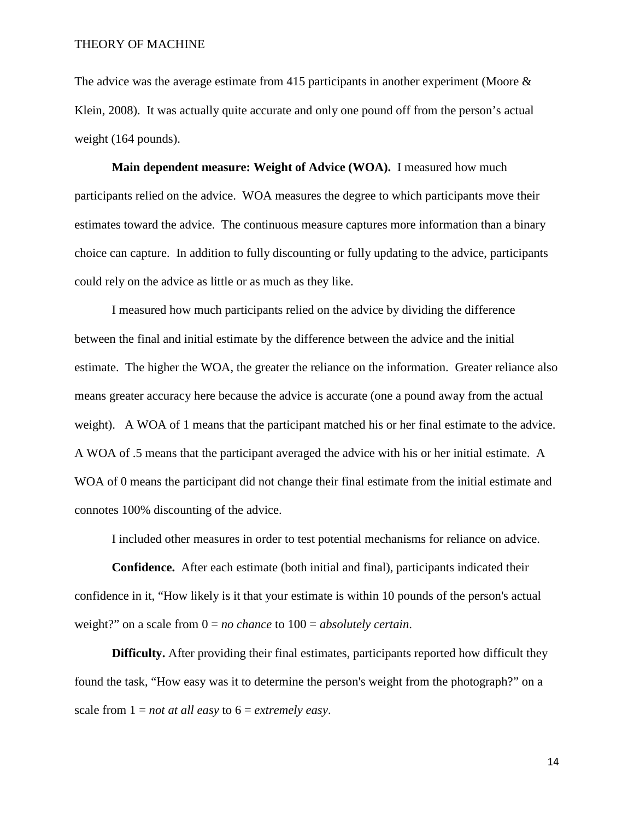The advice was the average estimate from 415 participants in another experiment (Moore  $\&$ Klein, 2008). It was actually quite accurate and only one pound off from the person's actual weight (164 pounds).

**Main dependent measure: Weight of Advice (WOA).** I measured how much participants relied on the advice. WOA measures the degree to which participants move their estimates toward the advice. The continuous measure captures more information than a binary choice can capture. In addition to fully discounting or fully updating to the advice, participants could rely on the advice as little or as much as they like.

I measured how much participants relied on the advice by dividing the difference between the final and initial estimate by the difference between the advice and the initial estimate. The higher the WOA, the greater the reliance on the information. Greater reliance also means greater accuracy here because the advice is accurate (one a pound away from the actual weight). A WOA of 1 means that the participant matched his or her final estimate to the advice. A WOA of .5 means that the participant averaged the advice with his or her initial estimate. A WOA of 0 means the participant did not change their final estimate from the initial estimate and connotes 100% discounting of the advice.

I included other measures in order to test potential mechanisms for reliance on advice.

**Confidence.** After each estimate (both initial and final), participants indicated their confidence in it, "How likely is it that your estimate is within 10 pounds of the person's actual weight?" on a scale from 0 = *no chance* to 100 = *absolutely certain*.

**Difficulty.** After providing their final estimates, participants reported how difficult they found the task, "How easy was it to determine the person's weight from the photograph?" on a scale from 1 = *not at all easy* to 6 = *extremely easy*.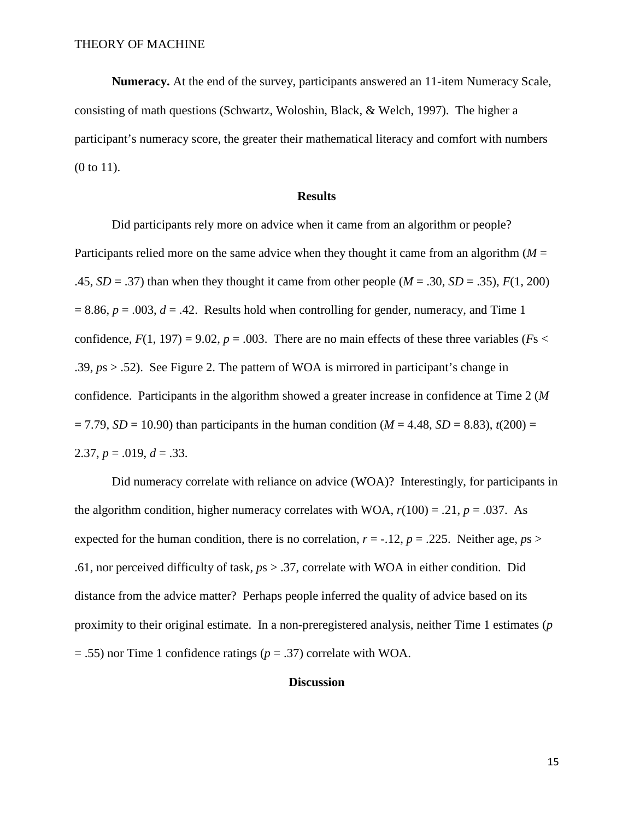**Numeracy.** At the end of the survey, participants answered an 11-item Numeracy Scale, consisting of math questions (Schwartz, Woloshin, Black, & Welch, 1997). The higher a participant's numeracy score, the greater their mathematical literacy and comfort with numbers (0 to 11).

### **Results**

Did participants rely more on advice when it came from an algorithm or people? Participants relied more on the same advice when they thought it came from an algorithm  $(M =$ .45,  $SD = .37$ ) than when they thought it came from other people ( $M = .30$ ,  $SD = .35$ ),  $F(1, 200)$  $= 8.86$ ,  $p = .003$ ,  $d = .42$ . Results hold when controlling for gender, numeracy, and Time 1 confidence,  $F(1, 197) = 9.02$ ,  $p = .003$ . There are no main effects of these three variables ( $Fs <$ .39, *p*s > .52). See Figure 2. The pattern of WOA is mirrored in participant's change in confidence. Participants in the algorithm showed a greater increase in confidence at Time 2 (*M*  $= 7.79, SD = 10.90$  than participants in the human condition ( $M = 4.48, SD = 8.83$ ),  $t(200) =$ 2.37,  $p = .019$ ,  $d = .33$ .

Did numeracy correlate with reliance on advice (WOA)? Interestingly, for participants in the algorithm condition, higher numeracy correlates with WOA,  $r(100) = .21$ ,  $p = .037$ . As expected for the human condition, there is no correlation,  $r = -.12$ ,  $p = .225$ . Neither age,  $ps >$ .61, nor perceived difficulty of task, *p*s > .37, correlate with WOA in either condition. Did distance from the advice matter? Perhaps people inferred the quality of advice based on its proximity to their original estimate. In a non-preregistered analysis, neither Time 1 estimates (*p* = .55) nor Time 1 confidence ratings (*p* = .37) correlate with WOA.

### **Discussion**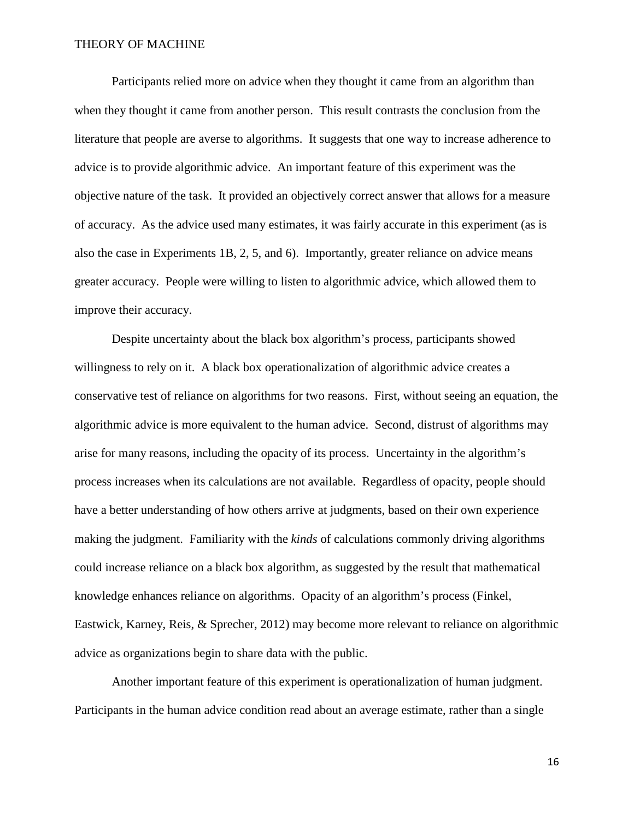Participants relied more on advice when they thought it came from an algorithm than when they thought it came from another person. This result contrasts the conclusion from the literature that people are averse to algorithms. It suggests that one way to increase adherence to advice is to provide algorithmic advice. An important feature of this experiment was the objective nature of the task. It provided an objectively correct answer that allows for a measure of accuracy. As the advice used many estimates, it was fairly accurate in this experiment (as is also the case in Experiments 1B, 2, 5, and 6). Importantly, greater reliance on advice means greater accuracy. People were willing to listen to algorithmic advice, which allowed them to improve their accuracy.

Despite uncertainty about the black box algorithm's process, participants showed willingness to rely on it. A black box operationalization of algorithmic advice creates a conservative test of reliance on algorithms for two reasons. First, without seeing an equation, the algorithmic advice is more equivalent to the human advice. Second, distrust of algorithms may arise for many reasons, including the opacity of its process. Uncertainty in the algorithm's process increases when its calculations are not available. Regardless of opacity, people should have a better understanding of how others arrive at judgments, based on their own experience making the judgment. Familiarity with the *kinds* of calculations commonly driving algorithms could increase reliance on a black box algorithm, as suggested by the result that mathematical knowledge enhances reliance on algorithms. Opacity of an algorithm's process (Finkel, Eastwick, Karney, Reis, & Sprecher, 2012) may become more relevant to reliance on algorithmic advice as organizations begin to share data with the public.

Another important feature of this experiment is operationalization of human judgment. Participants in the human advice condition read about an average estimate, rather than a single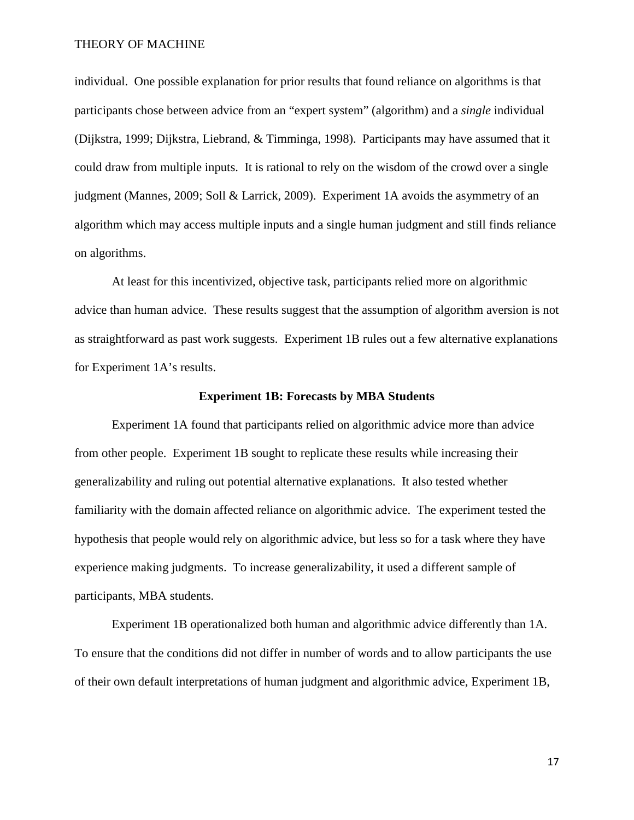individual. One possible explanation for prior results that found reliance on algorithms is that participants chose between advice from an "expert system" (algorithm) and a *single* individual (Dijkstra, 1999; Dijkstra, Liebrand, & Timminga, 1998). Participants may have assumed that it could draw from multiple inputs. It is rational to rely on the wisdom of the crowd over a single judgment (Mannes, 2009; Soll & Larrick, 2009). Experiment 1A avoids the asymmetry of an algorithm which may access multiple inputs and a single human judgment and still finds reliance on algorithms.

At least for this incentivized, objective task, participants relied more on algorithmic advice than human advice. These results suggest that the assumption of algorithm aversion is not as straightforward as past work suggests. Experiment 1B rules out a few alternative explanations for Experiment 1A's results.

#### **Experiment 1B: Forecasts by MBA Students**

Experiment 1A found that participants relied on algorithmic advice more than advice from other people. Experiment 1B sought to replicate these results while increasing their generalizability and ruling out potential alternative explanations. It also tested whether familiarity with the domain affected reliance on algorithmic advice. The experiment tested the hypothesis that people would rely on algorithmic advice, but less so for a task where they have experience making judgments. To increase generalizability, it used a different sample of participants, MBA students.

Experiment 1B operationalized both human and algorithmic advice differently than 1A. To ensure that the conditions did not differ in number of words and to allow participants the use of their own default interpretations of human judgment and algorithmic advice, Experiment 1B,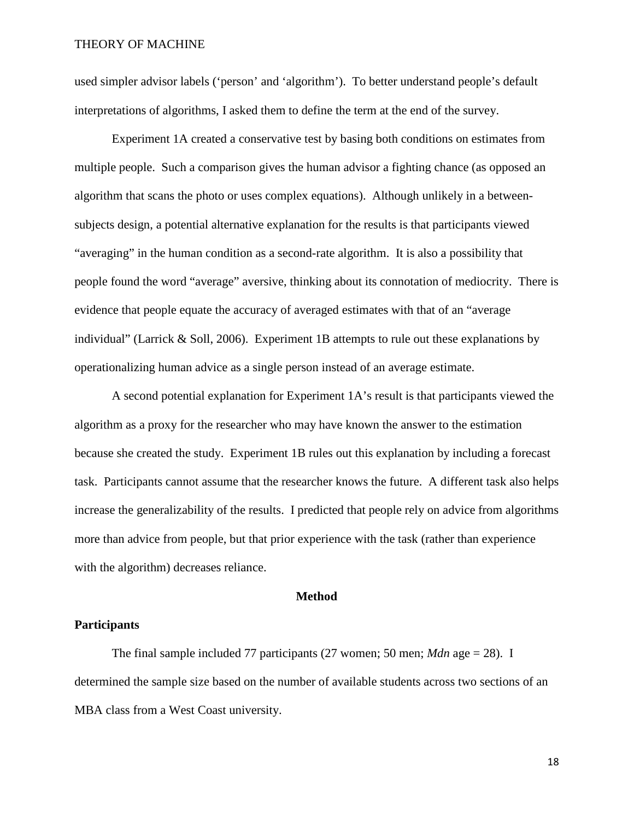used simpler advisor labels ('person' and 'algorithm'). To better understand people's default interpretations of algorithms, I asked them to define the term at the end of the survey.

Experiment 1A created a conservative test by basing both conditions on estimates from multiple people. Such a comparison gives the human advisor a fighting chance (as opposed an algorithm that scans the photo or uses complex equations). Although unlikely in a betweensubjects design, a potential alternative explanation for the results is that participants viewed "averaging" in the human condition as a second-rate algorithm. It is also a possibility that people found the word "average" aversive, thinking about its connotation of mediocrity. There is evidence that people equate the accuracy of averaged estimates with that of an "average individual" (Larrick & Soll, 2006). Experiment 1B attempts to rule out these explanations by operationalizing human advice as a single person instead of an average estimate.

A second potential explanation for Experiment 1A's result is that participants viewed the algorithm as a proxy for the researcher who may have known the answer to the estimation because she created the study. Experiment 1B rules out this explanation by including a forecast task. Participants cannot assume that the researcher knows the future. A different task also helps increase the generalizability of the results. I predicted that people rely on advice from algorithms more than advice from people, but that prior experience with the task (rather than experience with the algorithm) decreases reliance.

#### **Method**

### **Participants**

The final sample included 77 participants  $(27 \text{ women}; 50 \text{ men}; \textit{Mdn} \text{ age} = 28)$ . I determined the sample size based on the number of available students across two sections of an MBA class from a West Coast university.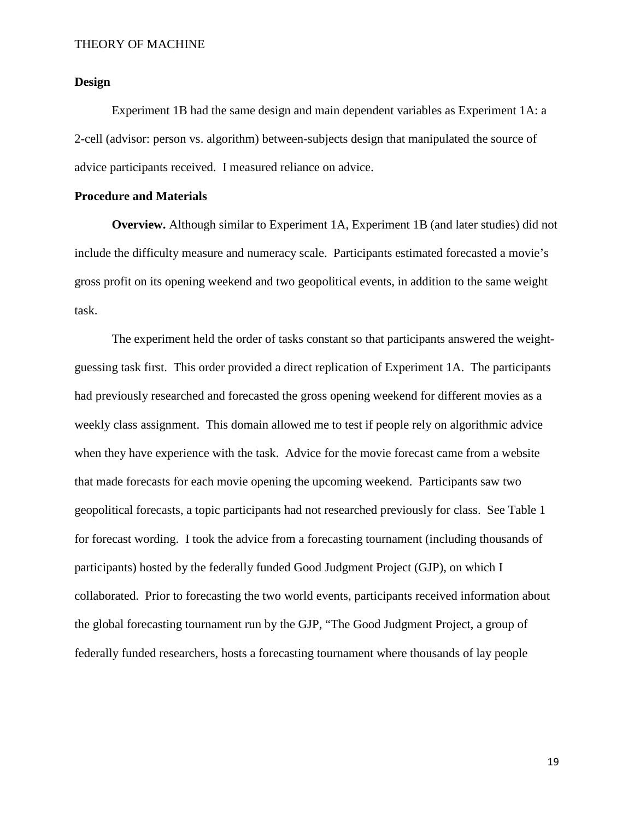### **Design**

Experiment 1B had the same design and main dependent variables as Experiment 1A: a 2-cell (advisor: person vs. algorithm) between-subjects design that manipulated the source of advice participants received. I measured reliance on advice.

# **Procedure and Materials**

**Overview.** Although similar to Experiment 1A, Experiment 1B (and later studies) did not include the difficulty measure and numeracy scale. Participants estimated forecasted a movie's gross profit on its opening weekend and two geopolitical events, in addition to the same weight task.

The experiment held the order of tasks constant so that participants answered the weightguessing task first. This order provided a direct replication of Experiment 1A. The participants had previously researched and forecasted the gross opening weekend for different movies as a weekly class assignment. This domain allowed me to test if people rely on algorithmic advice when they have experience with the task. Advice for the movie forecast came from a website that made forecasts for each movie opening the upcoming weekend. Participants saw two geopolitical forecasts, a topic participants had not researched previously for class. See Table 1 for forecast wording. I took the advice from a forecasting tournament (including thousands of participants) hosted by the federally funded Good Judgment Project (GJP), on which I collaborated. Prior to forecasting the two world events, participants received information about the global forecasting tournament run by the GJP, "The Good Judgment Project, a group of federally funded researchers, hosts a forecasting tournament where thousands of lay people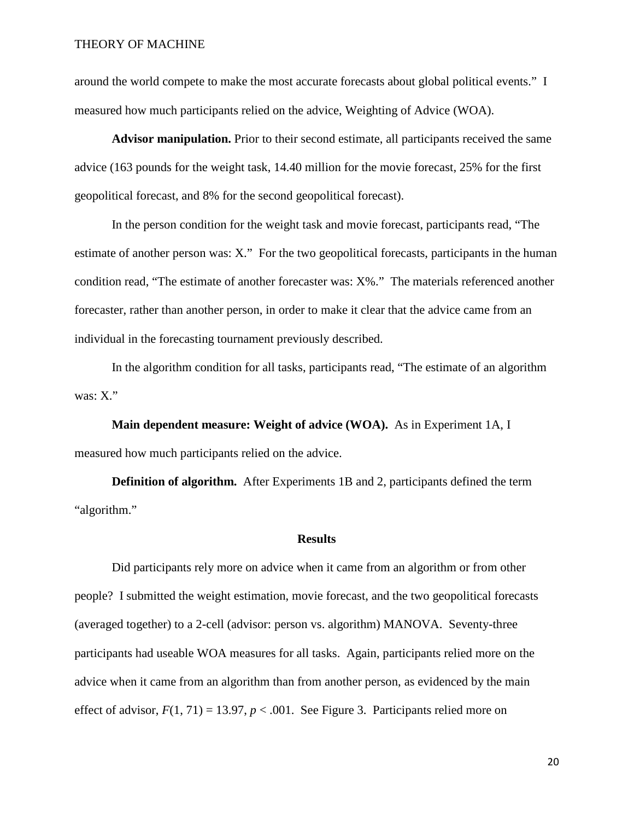around the world compete to make the most accurate forecasts about global political events." I measured how much participants relied on the advice, Weighting of Advice (WOA).

**Advisor manipulation.** Prior to their second estimate, all participants received the same advice (163 pounds for the weight task, 14.40 million for the movie forecast, 25% for the first geopolitical forecast, and 8% for the second geopolitical forecast).

In the person condition for the weight task and movie forecast, participants read, "The estimate of another person was: X." For the two geopolitical forecasts, participants in the human condition read, "The estimate of another forecaster was: X%." The materials referenced another forecaster, rather than another person, in order to make it clear that the advice came from an individual in the forecasting tournament previously described.

In the algorithm condition for all tasks, participants read, "The estimate of an algorithm was: X."

**Main dependent measure: Weight of advice (WOA).** As in Experiment 1A, I measured how much participants relied on the advice.

**Definition of algorithm.** After Experiments 1B and 2, participants defined the term "algorithm."

#### **Results**

Did participants rely more on advice when it came from an algorithm or from other people? I submitted the weight estimation, movie forecast, and the two geopolitical forecasts (averaged together) to a 2-cell (advisor: person vs. algorithm) MANOVA. Seventy-three participants had useable WOA measures for all tasks. Again, participants relied more on the advice when it came from an algorithm than from another person, as evidenced by the main effect of advisor,  $F(1, 71) = 13.97$ ,  $p < .001$ . See Figure 3. Participants relied more on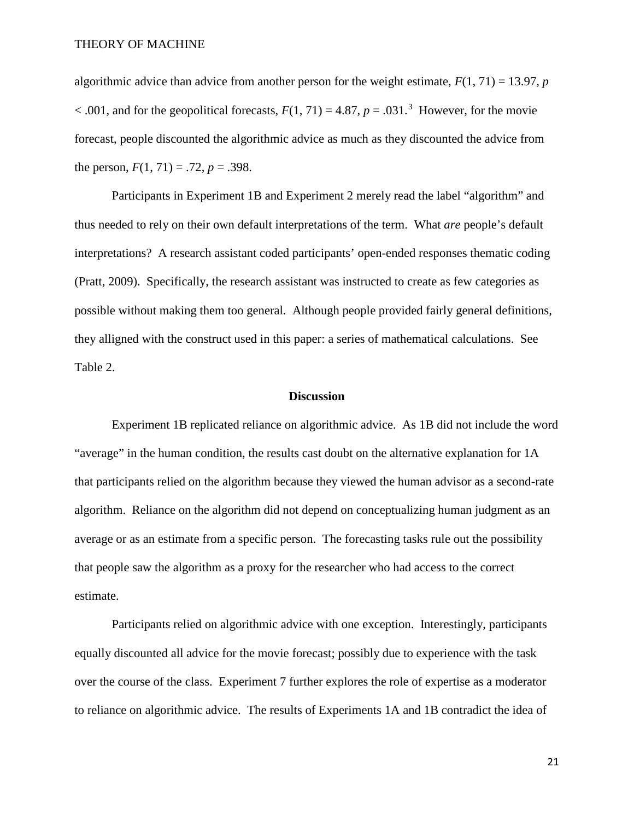algorithmic advice than advice from another person for the weight estimate,  $F(1, 71) = 13.97$ , *p*  $< .001$ , and for the geopolitical forecasts,  $F(1, 71) = 4.87$ ,  $p = .031$  $p = .031$  $p = .031$ .<sup>3</sup> However, for the movie forecast, people discounted the algorithmic advice as much as they discounted the advice from the person,  $F(1, 71) = .72$ ,  $p = .398$ .

Participants in Experiment 1B and Experiment 2 merely read the label "algorithm" and thus needed to rely on their own default interpretations of the term. What *are* people's default interpretations? A research assistant coded participants' open-ended responses thematic coding (Pratt, 2009). Specifically, the research assistant was instructed to create as few categories as possible without making them too general. Although people provided fairly general definitions, they alligned with the construct used in this paper: a series of mathematical calculations. See Table 2.

#### **Discussion**

Experiment 1B replicated reliance on algorithmic advice. As 1B did not include the word "average" in the human condition, the results cast doubt on the alternative explanation for 1A that participants relied on the algorithm because they viewed the human advisor as a second-rate algorithm. Reliance on the algorithm did not depend on conceptualizing human judgment as an average or as an estimate from a specific person.The forecasting tasks rule out the possibility that people saw the algorithm as a proxy for the researcher who had access to the correct estimate.

Participants relied on algorithmic advice with one exception. Interestingly, participants equally discounted all advice for the movie forecast; possibly due to experience with the task over the course of the class. Experiment 7 further explores the role of expertise as a moderator to reliance on algorithmic advice. The results of Experiments 1A and 1B contradict the idea of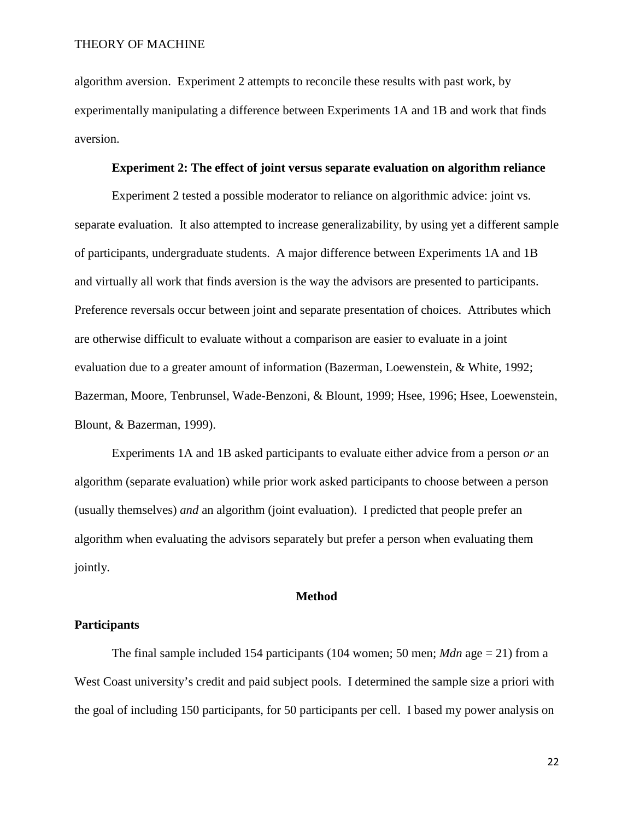algorithm aversion. Experiment 2 attempts to reconcile these results with past work, by experimentally manipulating a difference between Experiments 1A and 1B and work that finds aversion.

#### **Experiment 2: The effect of joint versus separate evaluation on algorithm reliance**

Experiment 2 tested a possible moderator to reliance on algorithmic advice: joint vs. separate evaluation. It also attempted to increase generalizability, by using yet a different sample of participants, undergraduate students. A major difference between Experiments 1A and 1B and virtually all work that finds aversion is the way the advisors are presented to participants. Preference reversals occur between joint and separate presentation of choices. Attributes which are otherwise difficult to evaluate without a comparison are easier to evaluate in a joint evaluation due to a greater amount of information (Bazerman, Loewenstein, & White, 1992; Bazerman, Moore, Tenbrunsel, Wade-Benzoni, & Blount, 1999; Hsee, 1996; Hsee, Loewenstein, Blount, & Bazerman, 1999).

Experiments 1A and 1B asked participants to evaluate either advice from a person *or* an algorithm (separate evaluation) while prior work asked participants to choose between a person (usually themselves) *and* an algorithm (joint evaluation). I predicted that people prefer an algorithm when evaluating the advisors separately but prefer a person when evaluating them jointly.

### **Method**

## **Participants**

The final sample included 154 participants (104 women; 50 men; *Mdn* age = 21) from a West Coast university's credit and paid subject pools. I determined the sample size a priori with the goal of including 150 participants, for 50 participants per cell. I based my power analysis on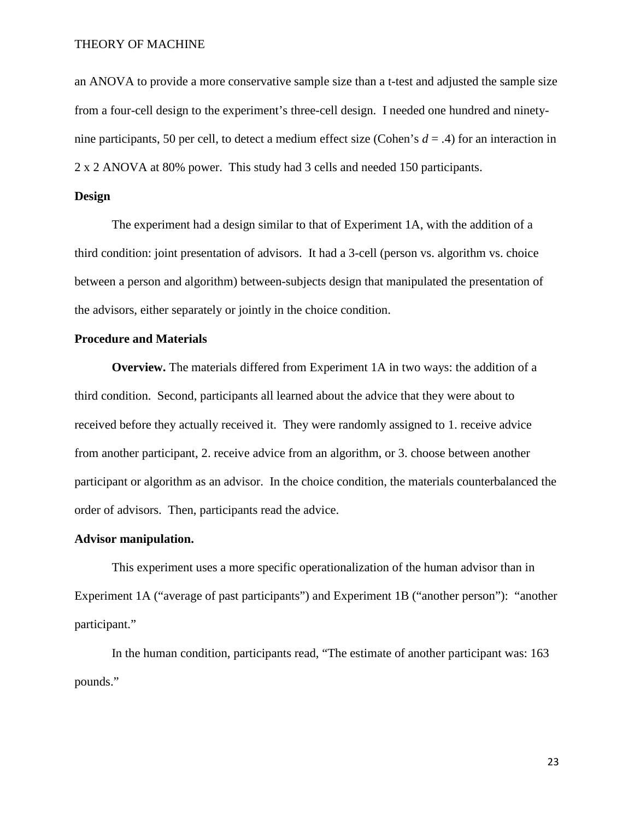an ANOVA to provide a more conservative sample size than a t-test and adjusted the sample size from a four-cell design to the experiment's three-cell design. I needed one hundred and ninetynine participants, 50 per cell, to detect a medium effect size (Cohen's *d* = .4) for an interaction in 2 x 2 ANOVA at 80% power. This study had 3 cells and needed 150 participants.

### **Design**

The experiment had a design similar to that of Experiment 1A, with the addition of a third condition: joint presentation of advisors. It had a 3-cell (person vs. algorithm vs. choice between a person and algorithm) between-subjects design that manipulated the presentation of the advisors, either separately or jointly in the choice condition.

### **Procedure and Materials**

**Overview.** The materials differed from Experiment 1A in two ways: the addition of a third condition. Second, participants all learned about the advice that they were about to received before they actually received it. They were randomly assigned to 1. receive advice from another participant, 2. receive advice from an algorithm, or 3. choose between another participant or algorithm as an advisor. In the choice condition, the materials counterbalanced the order of advisors. Then, participants read the advice.

#### **Advisor manipulation.**

This experiment uses a more specific operationalization of the human advisor than in Experiment 1A ("average of past participants") and Experiment 1B ("another person"): "another participant."

In the human condition, participants read, "The estimate of another participant was: 163 pounds."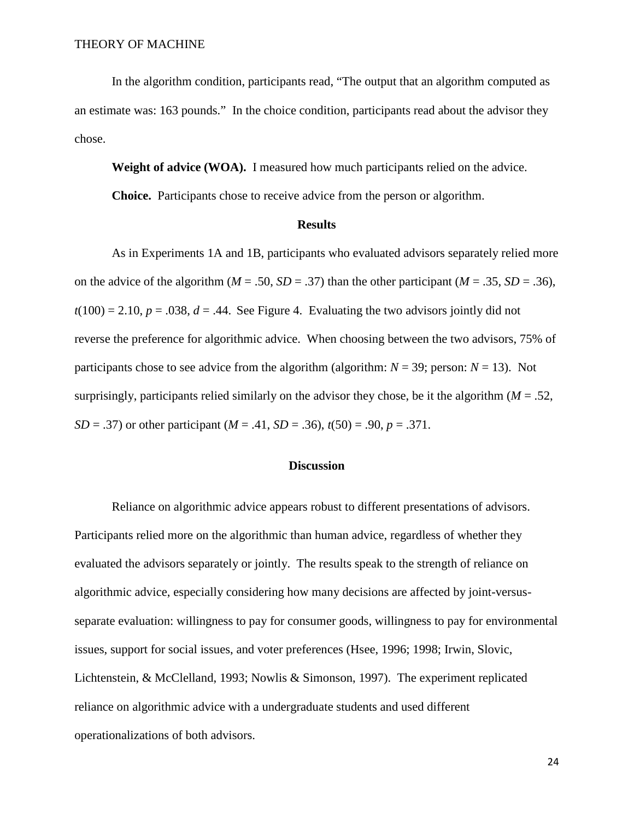In the algorithm condition, participants read, "The output that an algorithm computed as an estimate was: 163 pounds." In the choice condition, participants read about the advisor they chose.

**Weight of advice (WOA).** I measured how much participants relied on the advice.

**Choice.** Participants chose to receive advice from the person or algorithm.

#### **Results**

As in Experiments 1A and 1B, participants who evaluated advisors separately relied more on the advice of the algorithm  $(M = .50, SD = .37)$  than the other participant  $(M = .35, SD = .36)$ ,  $t(100) = 2.10$ ,  $p = .038$ ,  $d = .44$ . See Figure 4. Evaluating the two advisors jointly did not reverse the preference for algorithmic advice. When choosing between the two advisors, 75% of participants chose to see advice from the algorithm (algorithm:  $N = 39$ ; person:  $N = 13$ ). Not surprisingly, participants relied similarly on the advisor they chose, be it the algorithm  $(M = .52)$ , *SD* = .37) or other participant (*M* = .41, *SD* = .36),  $t(50) = .90$ ,  $p = .371$ .

# **Discussion**

Reliance on algorithmic advice appears robust to different presentations of advisors. Participants relied more on the algorithmic than human advice, regardless of whether they evaluated the advisors separately or jointly. The results speak to the strength of reliance on algorithmic advice, especially considering how many decisions are affected by joint-versusseparate evaluation: willingness to pay for consumer goods, willingness to pay for environmental issues, support for social issues, and voter preferences (Hsee, 1996; 1998; Irwin, Slovic, Lichtenstein, & McClelland, 1993; Nowlis & Simonson, 1997). The experiment replicated reliance on algorithmic advice with a undergraduate students and used different operationalizations of both advisors.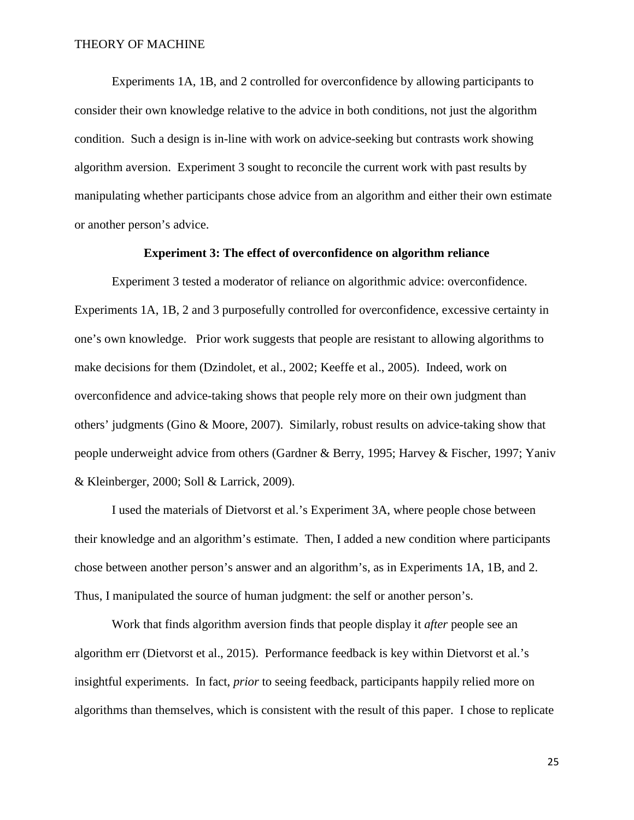Experiments 1A, 1B, and 2 controlled for overconfidence by allowing participants to consider their own knowledge relative to the advice in both conditions, not just the algorithm condition. Such a design is in-line with work on advice-seeking but contrasts work showing algorithm aversion. Experiment 3 sought to reconcile the current work with past results by manipulating whether participants chose advice from an algorithm and either their own estimate or another person's advice.

# **Experiment 3: The effect of overconfidence on algorithm reliance**

Experiment 3 tested a moderator of reliance on algorithmic advice: overconfidence. Experiments 1A, 1B, 2 and 3 purposefully controlled for overconfidence, excessive certainty in one's own knowledge. Prior work suggests that people are resistant to allowing algorithms to make decisions for them (Dzindolet, et al., 2002; Keeffe et al., 2005). Indeed, work on overconfidence and advice-taking shows that people rely more on their own judgment than others' judgments (Gino & Moore, 2007). Similarly, robust results on advice-taking show that people underweight advice from others (Gardner & Berry, 1995; Harvey & Fischer, 1997; Yaniv & Kleinberger, 2000; Soll & Larrick, 2009).

I used the materials of Dietvorst et al.'s Experiment 3A, where people chose between their knowledge and an algorithm's estimate. Then, I added a new condition where participants chose between another person's answer and an algorithm's, as in Experiments 1A, 1B, and 2. Thus, I manipulated the source of human judgment: the self or another person's.

Work that finds algorithm aversion finds that people display it *after* people see an algorithm err (Dietvorst et al., 2015). Performance feedback is key within Dietvorst et al.'s insightful experiments. In fact, *prior* to seeing feedback, participants happily relied more on algorithms than themselves, which is consistent with the result of this paper. I chose to replicate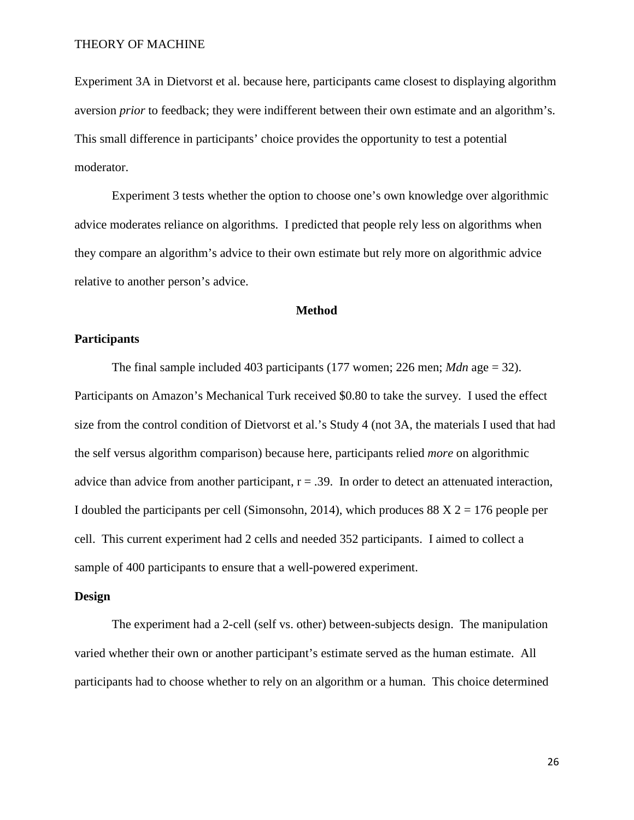Experiment 3A in Dietvorst et al. because here, participants came closest to displaying algorithm aversion *prior* to feedback; they were indifferent between their own estimate and an algorithm's. This small difference in participants' choice provides the opportunity to test a potential moderator.

Experiment 3 tests whether the option to choose one's own knowledge over algorithmic advice moderates reliance on algorithms. I predicted that people rely less on algorithms when they compare an algorithm's advice to their own estimate but rely more on algorithmic advice relative to another person's advice.

### **Method**

### **Participants**

The final sample included 403 participants  $(177 \text{ women}; 226 \text{ men}; \textit{Mdn} \text{ age} = 32)$ . Participants on Amazon's Mechanical Turk received \$0.80 to take the survey. I used the effect size from the control condition of Dietvorst et al.'s Study 4 (not 3A, the materials I used that had the self versus algorithm comparison) because here, participants relied *more* on algorithmic advice than advice from another participant,  $r = .39$ . In order to detect an attenuated interaction, I doubled the participants per cell (Simonsohn, 2014), which produces  $88 X 2 = 176$  people per cell. This current experiment had 2 cells and needed 352 participants. I aimed to collect a sample of 400 participants to ensure that a well-powered experiment.

### **Design**

The experiment had a 2-cell (self vs. other) between-subjects design. The manipulation varied whether their own or another participant's estimate served as the human estimate. All participants had to choose whether to rely on an algorithm or a human. This choice determined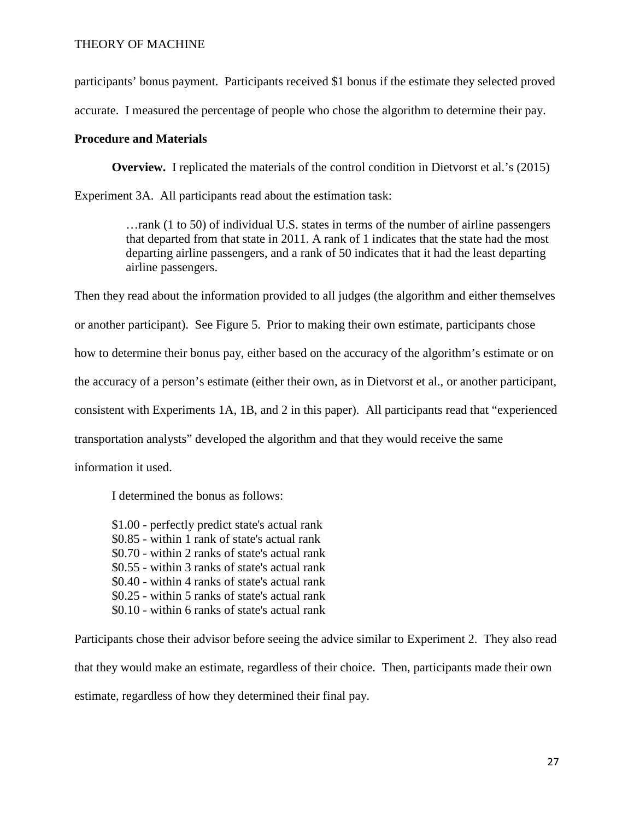participants' bonus payment. Participants received \$1 bonus if the estimate they selected proved

accurate. I measured the percentage of people who chose the algorithm to determine their pay.

# **Procedure and Materials**

**Overview.** I replicated the materials of the control condition in Dietvorst et al.'s (2015)

Experiment 3A. All participants read about the estimation task:

…rank (1 to 50) of individual U.S. states in terms of the number of airline passengers that departed from that state in 2011. A rank of 1 indicates that the state had the most departing airline passengers, and a rank of 50 indicates that it had the least departing airline passengers.

Then they read about the information provided to all judges (the algorithm and either themselves or another participant). See Figure 5. Prior to making their own estimate, participants chose how to determine their bonus pay, either based on the accuracy of the algorithm's estimate or on the accuracy of a person's estimate (either their own, as in Dietvorst et al., or another participant, consistent with Experiments 1A, 1B, and 2 in this paper). All participants read that "experienced transportation analysts" developed the algorithm and that they would receive the same

information it used.

I determined the bonus as follows:

\$1.00 - perfectly predict state's actual rank \$0.85 - within 1 rank of state's actual rank \$0.70 - within 2 ranks of state's actual rank \$0.55 - within 3 ranks of state's actual rank \$0.40 - within 4 ranks of state's actual rank \$0.25 - within 5 ranks of state's actual rank \$0.10 - within 6 ranks of state's actual rank

Participants chose their advisor before seeing the advice similar to Experiment 2. They also read that they would make an estimate, regardless of their choice. Then, participants made their own estimate, regardless of how they determined their final pay.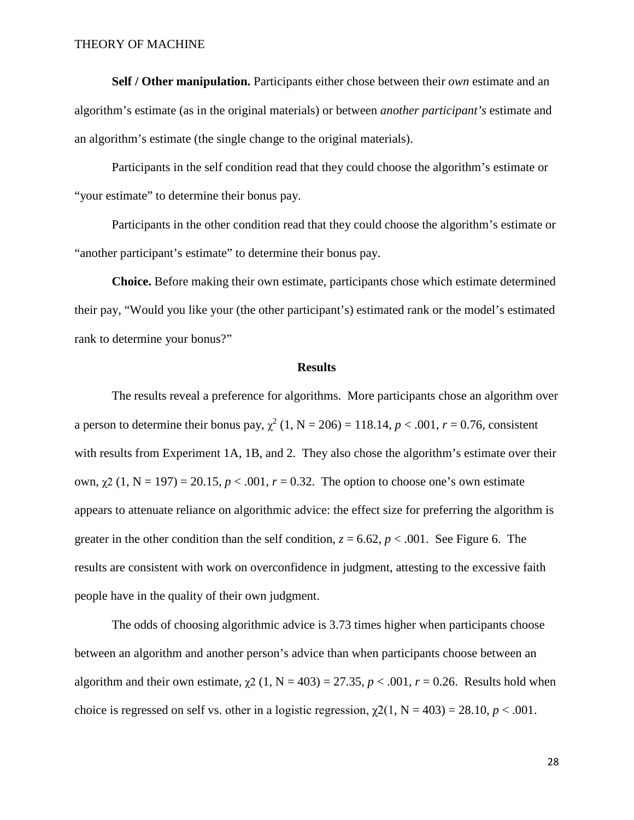**Self / Other manipulation.** Participants either chose between their *own* estimate and an algorithm's estimate (as in the original materials) or between *another participant's* estimate and an algorithm's estimate (the single change to the original materials).

Participants in the self condition read that they could choose the algorithm's estimate or "your estimate" to determine their bonus pay.

Participants in the other condition read that they could choose the algorithm's estimate or "another participant's estimate" to determine their bonus pay.

**Choice.** Before making their own estimate, participants chose which estimate determined their pay, "Would you like your (the other participant's) estimated rank or the model's estimated rank to determine your bonus?"

### **Results**

The results reveal a preference for algorithms. More participants chose an algorithm over a person to determine their bonus pay,  $\chi^2$  (1, N = 206) = 118.14, *p* < .001, *r* = 0.76, consistent with results from Experiment 1A, 1B, and 2. They also chose the algorithm's estimate over their own,  $\chi$ 2 (1, N = 197) = 20.15, *p* < .001, *r* = 0.32. The option to choose one's own estimate appears to attenuate reliance on algorithmic advice: the effect size for preferring the algorithm is greater in the other condition than the self condition,  $z = 6.62$ ,  $p < .001$ . See Figure 6. The results are consistent with work on overconfidence in judgment, attesting to the excessive faith people have in the quality of their own judgment.

The odds of choosing algorithmic advice is 3.73 times higher when participants choose between an algorithm and another person's advice than when participants choose between an algorithm and their own estimate,  $\chi$ 2 (1, N = 403) = 27.35, *p* < .001, *r* = 0.26. Results hold when choice is regressed on self vs. other in a logistic regression,  $\chi^2(1, N = 403) = 28.10, p < .001$ .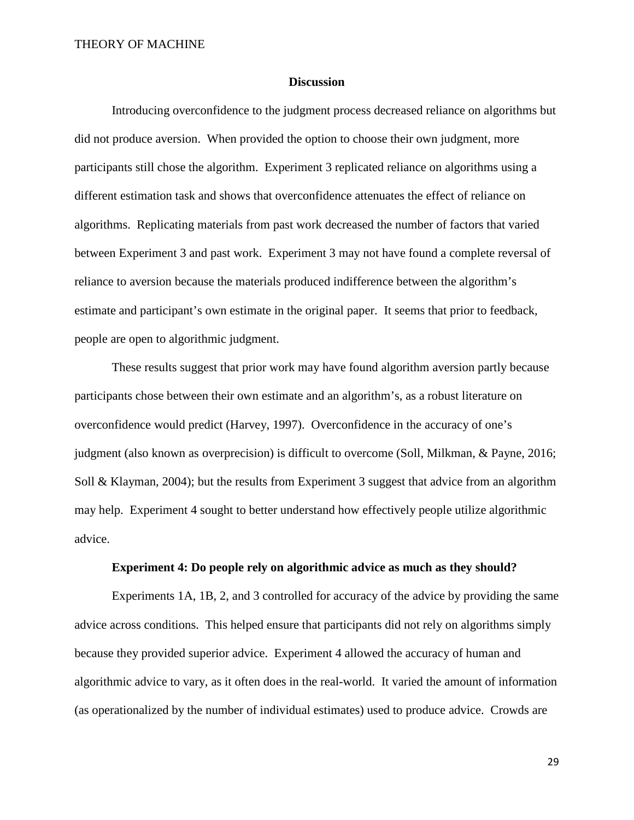### **Discussion**

Introducing overconfidence to the judgment process decreased reliance on algorithms but did not produce aversion. When provided the option to choose their own judgment, more participants still chose the algorithm. Experiment 3 replicated reliance on algorithms using a different estimation task and shows that overconfidence attenuates the effect of reliance on algorithms. Replicating materials from past work decreased the number of factors that varied between Experiment 3 and past work. Experiment 3 may not have found a complete reversal of reliance to aversion because the materials produced indifference between the algorithm's estimate and participant's own estimate in the original paper. It seems that prior to feedback, people are open to algorithmic judgment.

These results suggest that prior work may have found algorithm aversion partly because participants chose between their own estimate and an algorithm's, as a robust literature on overconfidence would predict (Harvey, 1997). Overconfidence in the accuracy of one's judgment (also known as overprecision) is difficult to overcome (Soll, Milkman, & Payne, 2016; Soll & Klayman, 2004); but the results from Experiment 3 suggest that advice from an algorithm may help. Experiment 4 sought to better understand how effectively people utilize algorithmic advice.

### **Experiment 4: Do people rely on algorithmic advice as much as they should?**

Experiments 1A, 1B, 2, and 3 controlled for accuracy of the advice by providing the same advice across conditions. This helped ensure that participants did not rely on algorithms simply because they provided superior advice. Experiment 4 allowed the accuracy of human and algorithmic advice to vary, as it often does in the real-world. It varied the amount of information (as operationalized by the number of individual estimates) used to produce advice. Crowds are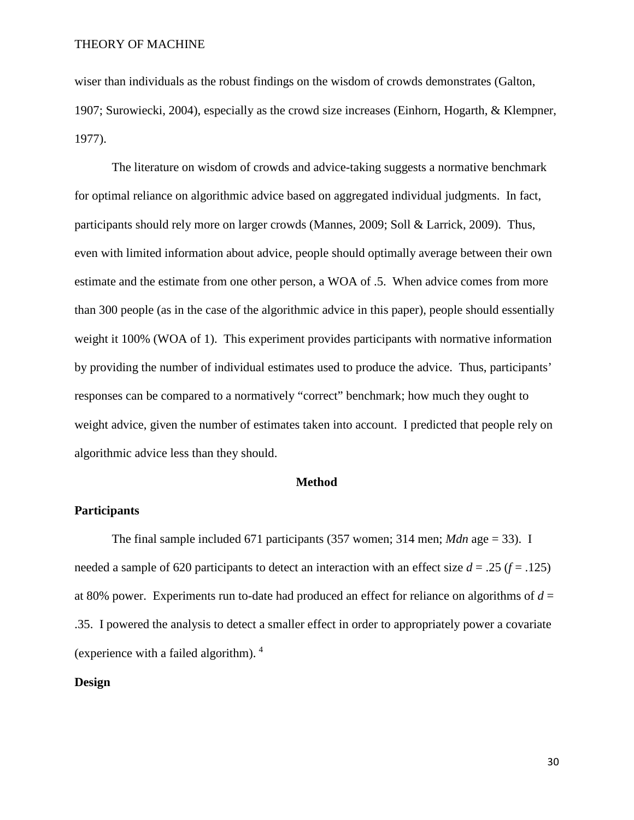wiser than individuals as the robust findings on the wisdom of crowds demonstrates (Galton, 1907; Surowiecki, 2004), especially as the crowd size increases (Einhorn, Hogarth, & Klempner, 1977).

The literature on wisdom of crowds and advice-taking suggests a normative benchmark for optimal reliance on algorithmic advice based on aggregated individual judgments. In fact, participants should rely more on larger crowds (Mannes, 2009; Soll & Larrick, 2009). Thus, even with limited information about advice, people should optimally average between their own estimate and the estimate from one other person, a WOA of .5. When advice comes from more than 300 people (as in the case of the algorithmic advice in this paper), people should essentially weight it 100% (WOA of 1). This experiment provides participants with normative information by providing the number of individual estimates used to produce the advice. Thus, participants' responses can be compared to a normatively "correct" benchmark; how much they ought to weight advice, given the number of estimates taken into account. I predicted that people rely on algorithmic advice less than they should.

#### **Method**

# **Participants**

The final sample included 671 participants (357 women; 314 men; *Mdn* age = 33). I needed a sample of 620 participants to detect an interaction with an effect size  $d = .25$  ( $f = .125$ ) at 80% power. Experiments run to-date had produced an effect for reliance on algorithms of *d* = .35. I powered the analysis to detect a smaller effect in order to appropriately power a covariate (experience with a failed algorithm).  $4$ 

### **Design**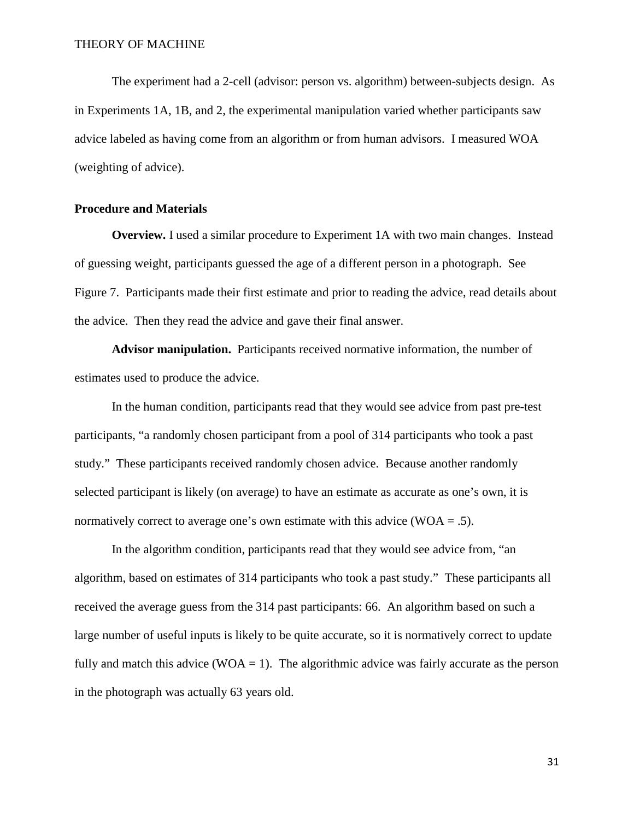The experiment had a 2-cell (advisor: person vs. algorithm) between-subjects design. As in Experiments 1A, 1B, and 2, the experimental manipulation varied whether participants saw advice labeled as having come from an algorithm or from human advisors. I measured WOA (weighting of advice).

# **Procedure and Materials**

**Overview.** I used a similar procedure to Experiment 1A with two main changes. Instead of guessing weight, participants guessed the age of a different person in a photograph. See Figure 7. Participants made their first estimate and prior to reading the advice, read details about the advice. Then they read the advice and gave their final answer.

**Advisor manipulation.** Participants received normative information, the number of estimates used to produce the advice.

In the human condition, participants read that they would see advice from past pre-test participants, "a randomly chosen participant from a pool of 314 participants who took a past study." These participants received randomly chosen advice. Because another randomly selected participant is likely (on average) to have an estimate as accurate as one's own, it is normatively correct to average one's own estimate with this advice (WOA  $=$  .5).

In the algorithm condition, participants read that they would see advice from, "an algorithm, based on estimates of 314 participants who took a past study." These participants all received the average guess from the 314 past participants: 66. An algorithm based on such a large number of useful inputs is likely to be quite accurate, so it is normatively correct to update fully and match this advice (WOA  $=$  1). The algorithmic advice was fairly accurate as the person in the photograph was actually 63 years old.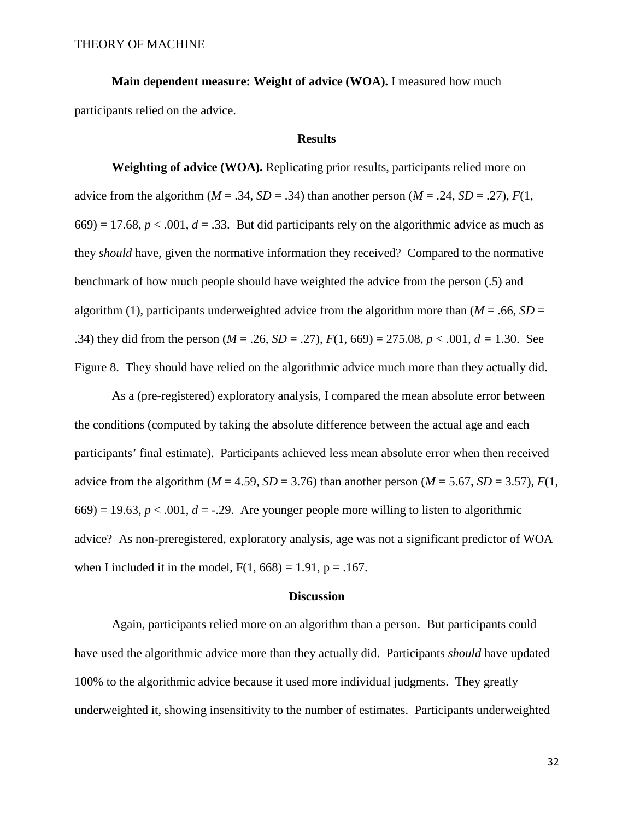**Main dependent measure: Weight of advice (WOA).** I measured how much participants relied on the advice.

# **Results**

**Weighting of advice (WOA).** Replicating prior results, participants relied more on advice from the algorithm ( $M = .34$ ,  $SD = .34$ ) than another person ( $M = .24$ ,  $SD = .27$ ),  $F(1, 1)$  $(669) = 17.68$ ,  $p < .001$ ,  $d = .33$ . But did participants rely on the algorithmic advice as much as they *should* have, given the normative information they received? Compared to the normative benchmark of how much people should have weighted the advice from the person (.5) and algorithm (1), participants underweighted advice from the algorithm more than  $(M = .66, SD =$ .34) they did from the person  $(M = .26, SD = .27)$ ,  $F(1, 669) = 275.08$ ,  $p < .001$ ,  $d = 1.30$ . See Figure 8. They should have relied on the algorithmic advice much more than they actually did.

As a (pre-registered) exploratory analysis, I compared the mean absolute error between the conditions (computed by taking the absolute difference between the actual age and each participants' final estimate). Participants achieved less mean absolute error when then received advice from the algorithm ( $M = 4.59$ ,  $SD = 3.76$ ) than another person ( $M = 5.67$ ,  $SD = 3.57$ ),  $F(1, 50)$  $(669) = 19.63, p < .001, d = -.29$ . Are younger people more willing to listen to algorithmic advice? As non-preregistered, exploratory analysis, age was not a significant predictor of WOA when I included it in the model,  $F(1, 668) = 1.91$ ,  $p = .167$ .

#### **Discussion**

Again, participants relied more on an algorithm than a person. But participants could have used the algorithmic advice more than they actually did. Participants *should* have updated 100% to the algorithmic advice because it used more individual judgments. They greatly underweighted it, showing insensitivity to the number of estimates. Participants underweighted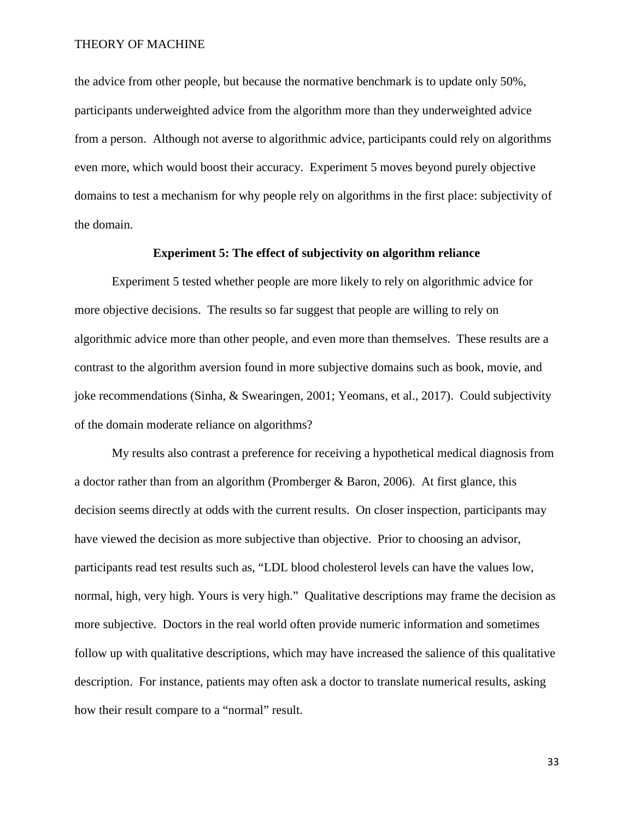the advice from other people, but because the normative benchmark is to update only 50%, participants underweighted advice from the algorithm more than they underweighted advice from a person. Although not averse to algorithmic advice, participants could rely on algorithms even more, which would boost their accuracy. Experiment 5 moves beyond purely objective domains to test a mechanism for why people rely on algorithms in the first place: subjectivity of the domain.

# **Experiment 5: The effect of subjectivity on algorithm reliance**

Experiment 5 tested whether people are more likely to rely on algorithmic advice for more objective decisions. The results so far suggest that people are willing to rely on algorithmic advice more than other people, and even more than themselves. These results are a contrast to the algorithm aversion found in more subjective domains such as book, movie, and joke recommendations (Sinha, & Swearingen, 2001; Yeomans, et al., 2017). Could subjectivity of the domain moderate reliance on algorithms?

My results also contrast a preference for receiving a hypothetical medical diagnosis from a doctor rather than from an algorithm (Promberger & Baron, 2006). At first glance, this decision seems directly at odds with the current results. On closer inspection, participants may have viewed the decision as more subjective than objective. Prior to choosing an advisor, participants read test results such as, "LDL blood cholesterol levels can have the values low, normal, high, very high. Yours is very high." Qualitative descriptions may frame the decision as more subjective. Doctors in the real world often provide numeric information and sometimes follow up with qualitative descriptions, which may have increased the salience of this qualitative description. For instance, patients may often ask a doctor to translate numerical results, asking how their result compare to a "normal" result.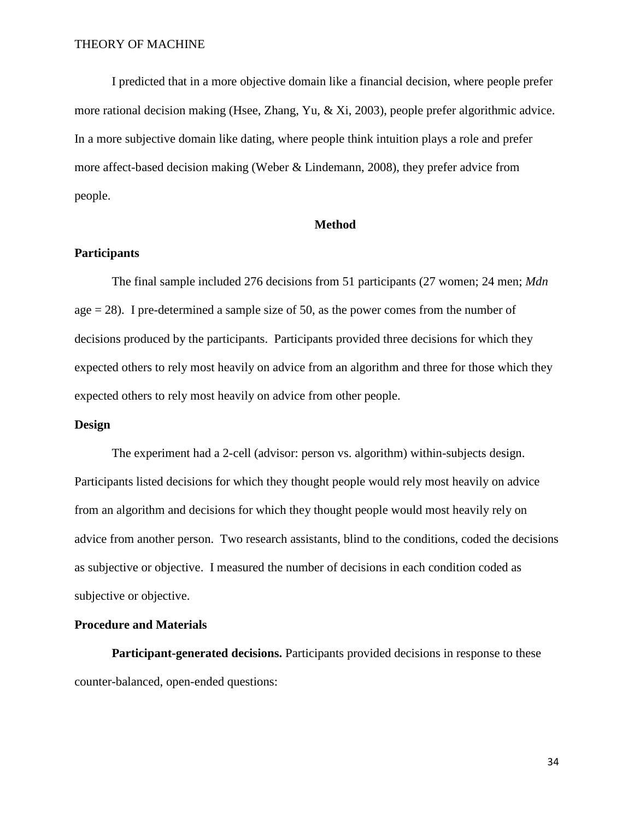I predicted that in a more objective domain like a financial decision, where people prefer more rational decision making (Hsee, Zhang, Yu, & Xi, 2003), people prefer algorithmic advice. In a more subjective domain like dating, where people think intuition plays a role and prefer more affect-based decision making (Weber & Lindemann, 2008), they prefer advice from people.

# **Method**

### **Participants**

The final sample included 276 decisions from 51 participants (27 women; 24 men; *Mdn* age  $= 28$ ). I pre-determined a sample size of 50, as the power comes from the number of decisions produced by the participants. Participants provided three decisions for which they expected others to rely most heavily on advice from an algorithm and three for those which they expected others to rely most heavily on advice from other people.

### **Design**

The experiment had a 2-cell (advisor: person vs. algorithm) within-subjects design. Participants listed decisions for which they thought people would rely most heavily on advice from an algorithm and decisions for which they thought people would most heavily rely on advice from another person. Two research assistants, blind to the conditions, coded the decisions as subjective or objective. I measured the number of decisions in each condition coded as subjective or objective.

### **Procedure and Materials**

**Participant-generated decisions.** Participants provided decisions in response to these counter-balanced, open-ended questions: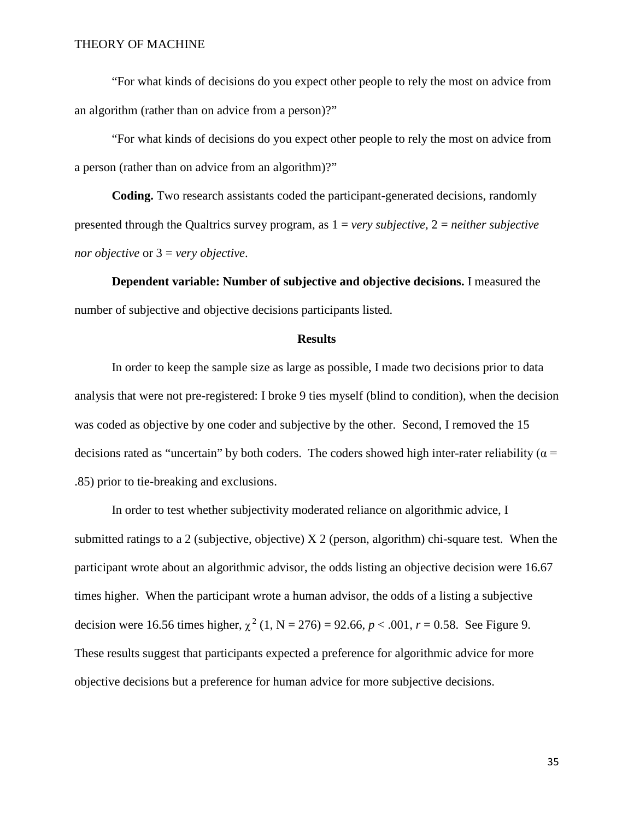"For what kinds of decisions do you expect other people to rely the most on advice from an algorithm (rather than on advice from a person)?"

"For what kinds of decisions do you expect other people to rely the most on advice from a person (rather than on advice from an algorithm)?"

**Coding.** Two research assistants coded the participant-generated decisions, randomly presented through the Qualtrics survey program, as 1 = *very subjective,* 2 = *neither subjective nor objective* or 3 = *very objective*.

**Dependent variable: Number of subjective and objective decisions.** I measured the number of subjective and objective decisions participants listed.

### **Results**

In order to keep the sample size as large as possible, I made two decisions prior to data analysis that were not pre-registered: I broke 9 ties myself (blind to condition), when the decision was coded as objective by one coder and subjective by the other. Second, I removed the 15 decisions rated as "uncertain" by both coders. The coders showed high inter-rater reliability ( $\alpha$  = .85) prior to tie-breaking and exclusions.

In order to test whether subjectivity moderated reliance on algorithmic advice, I submitted ratings to a 2 (subjective, objective) X 2 (person, algorithm) chi-square test. When the participant wrote about an algorithmic advisor, the odds listing an objective decision were 16.67 times higher. When the participant wrote a human advisor, the odds of a listing a subjective decision were 16.56 times higher,  $\chi^2$  (1, N = 276) = 92.66, *p* < .001, *r* = 0.58. See Figure 9. These results suggest that participants expected a preference for algorithmic advice for more objective decisions but a preference for human advice for more subjective decisions.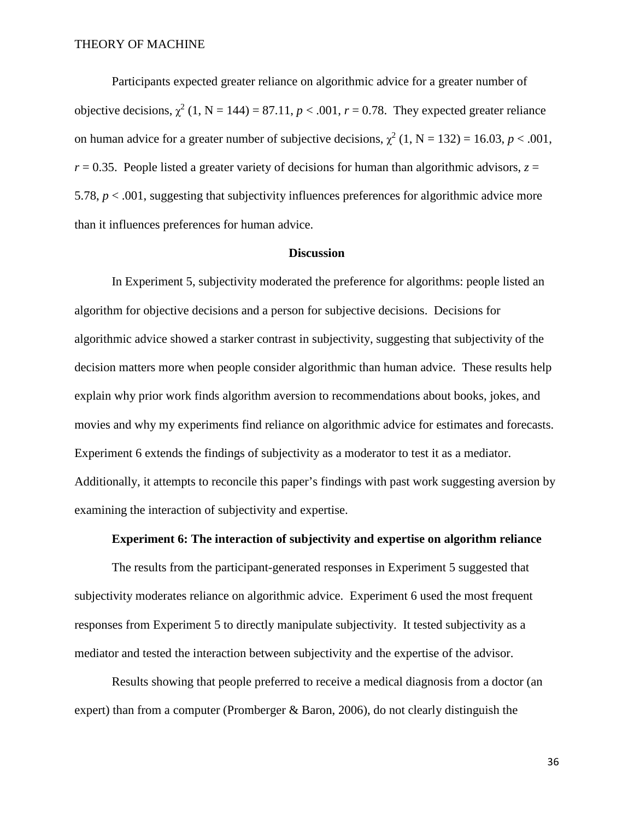Participants expected greater reliance on algorithmic advice for a greater number of objective decisions,  $\chi^2$  (1, N = 144) = 87.11, *p* < .001, *r* = 0.78. They expected greater reliance on human advice for a greater number of subjective decisions,  $\chi^2$  (1, N = 132) = 16.03, *p* < .001,  $r = 0.35$ . People listed a greater variety of decisions for human than algorithmic advisors,  $z =$ 5.78, *p* < .001, suggesting that subjectivity influences preferences for algorithmic advice more than it influences preferences for human advice.

#### **Discussion**

In Experiment 5, subjectivity moderated the preference for algorithms: people listed an algorithm for objective decisions and a person for subjective decisions. Decisions for algorithmic advice showed a starker contrast in subjectivity, suggesting that subjectivity of the decision matters more when people consider algorithmic than human advice. These results help explain why prior work finds algorithm aversion to recommendations about books, jokes, and movies and why my experiments find reliance on algorithmic advice for estimates and forecasts. Experiment 6 extends the findings of subjectivity as a moderator to test it as a mediator. Additionally, it attempts to reconcile this paper's findings with past work suggesting aversion by examining the interaction of subjectivity and expertise.

#### **Experiment 6: The interaction of subjectivity and expertise on algorithm reliance**

The results from the participant-generated responses in Experiment 5 suggested that subjectivity moderates reliance on algorithmic advice. Experiment 6 used the most frequent responses from Experiment 5 to directly manipulate subjectivity. It tested subjectivity as a mediator and tested the interaction between subjectivity and the expertise of the advisor.

Results showing that people preferred to receive a medical diagnosis from a doctor (an expert) than from a computer (Promberger  $\&$  Baron, 2006), do not clearly distinguish the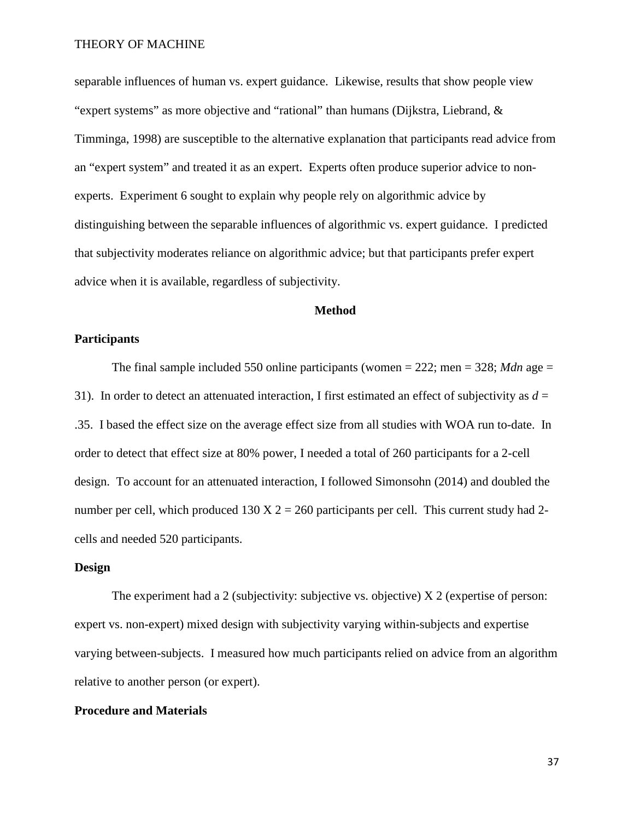separable influences of human vs. expert guidance. Likewise, results that show people view "expert systems" as more objective and "rational" than humans (Dijkstra, Liebrand, & Timminga, 1998) are susceptible to the alternative explanation that participants read advice from an "expert system" and treated it as an expert. Experts often produce superior advice to nonexperts. Experiment 6 sought to explain why people rely on algorithmic advice by distinguishing between the separable influences of algorithmic vs. expert guidance. I predicted that subjectivity moderates reliance on algorithmic advice; but that participants prefer expert advice when it is available, regardless of subjectivity.

#### **Method**

#### **Participants**

The final sample included 550 online participants (women  $= 222$ ; men  $= 328$ ; *Mdn* age  $=$ 31). In order to detect an attenuated interaction, I first estimated an effect of subjectivity as  $d =$ .35. I based the effect size on the average effect size from all studies with WOA run to-date. In order to detect that effect size at 80% power, I needed a total of 260 participants for a 2-cell design. To account for an attenuated interaction, I followed Simonsohn (2014) and doubled the number per cell, which produced  $130 \text{ X } 2 = 260$  participants per cell. This current study had 2cells and needed 520 participants.

#### **Design**

The experiment had a 2 (subjectivity: subjective vs. objective)  $X$  2 (expertise of person: expert vs. non-expert) mixed design with subjectivity varying within-subjects and expertise varying between-subjects. I measured how much participants relied on advice from an algorithm relative to another person (or expert).

#### **Procedure and Materials**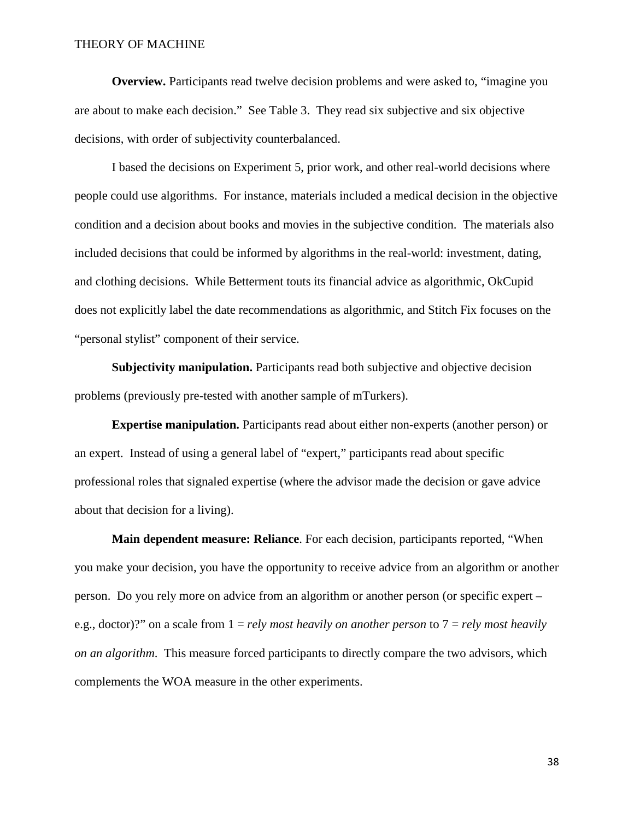**Overview.** Participants read twelve decision problems and were asked to, "imagine you are about to make each decision." See Table 3. They read six subjective and six objective decisions, with order of subjectivity counterbalanced.

I based the decisions on Experiment 5, prior work, and other real-world decisions where people could use algorithms. For instance, materials included a medical decision in the objective condition and a decision about books and movies in the subjective condition. The materials also included decisions that could be informed by algorithms in the real-world: investment, dating, and clothing decisions. While Betterment touts its financial advice as algorithmic, OkCupid does not explicitly label the date recommendations as algorithmic, and Stitch Fix focuses on the "personal stylist" component of their service.

**Subjectivity manipulation.** Participants read both subjective and objective decision problems (previously pre-tested with another sample of mTurkers).

**Expertise manipulation.** Participants read about either non-experts (another person) or an expert. Instead of using a general label of "expert," participants read about specific professional roles that signaled expertise (where the advisor made the decision or gave advice about that decision for a living).

**Main dependent measure: Reliance**. For each decision, participants reported, "When you make your decision, you have the opportunity to receive advice from an algorithm or another person. Do you rely more on advice from an algorithm or another person (or specific expert – e.g., doctor)?" on a scale from 1 = *rely most heavily on another person* to 7 = *rely most heavily on an algorithm*. This measure forced participants to directly compare the two advisors, which complements the WOA measure in the other experiments.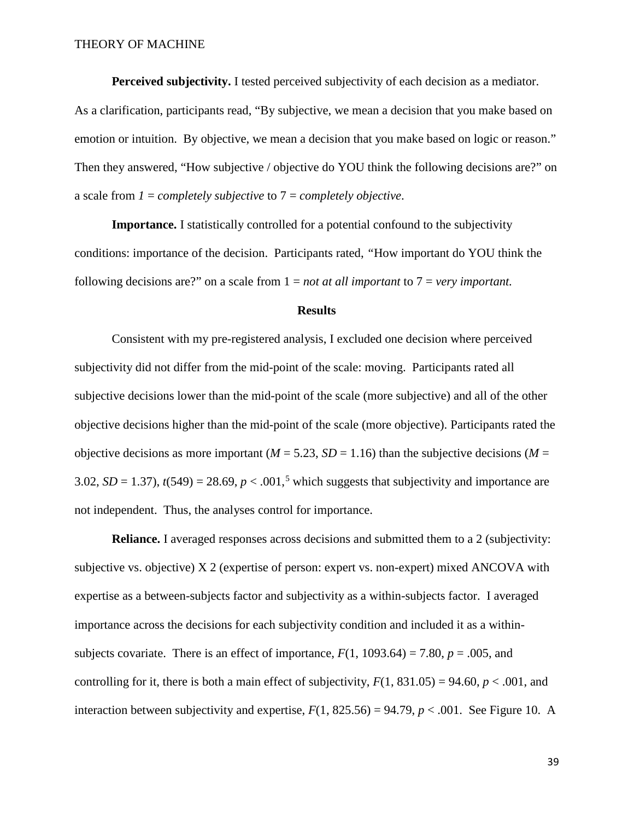**Perceived subjectivity.** I tested perceived subjectivity of each decision as a mediator.

As a clarification, participants read, "By subjective, we mean a decision that you make based on emotion or intuition. By objective, we mean a decision that you make based on logic or reason." Then they answered, "How subjective / objective do YOU think the following decisions are?" on a scale from *1* = *completely subjective* to 7 = *completely objective*.

**Importance.** I statistically controlled for a potential confound to the subjectivity conditions: importance of the decision. Participants rated, *"*How important do YOU think the following decisions are?" on a scale from 1 = *not at all important* to 7 = *very important.*

### **Results**

Consistent with my pre-registered analysis, I excluded one decision where perceived subjectivity did not differ from the mid-point of the scale: moving. Participants rated all subjective decisions lower than the mid-point of the scale (more subjective) and all of the other objective decisions higher than the mid-point of the scale (more objective). Participants rated the objective decisions as more important ( $M = 5.23$ ,  $SD = 1.16$ ) than the subjective decisions ( $M =$ 3.02,  $SD = 1.37$ ),  $t(549) = 28.69$  $t(549) = 28.69$  $t(549) = 28.69$ ,  $p < .001$ ,<sup>5</sup> which suggests that subjectivity and importance are not independent. Thus, the analyses control for importance.

**Reliance.** I averaged responses across decisions and submitted them to a 2 (subjectivity: subjective vs. objective) X 2 (expertise of person: expert vs. non-expert) mixed ANCOVA with expertise as a between-subjects factor and subjectivity as a within-subjects factor. I averaged importance across the decisions for each subjectivity condition and included it as a withinsubjects covariate. There is an effect of importance,  $F(1, 1093.64) = 7.80$ ,  $p = .005$ , and controlling for it, there is both a main effect of subjectivity,  $F(1, 831.05) = 94.60$ ,  $p < .001$ , and interaction between subjectivity and expertise,  $F(1, 825.56) = 94.79$ ,  $p < .001$ . See Figure 10. A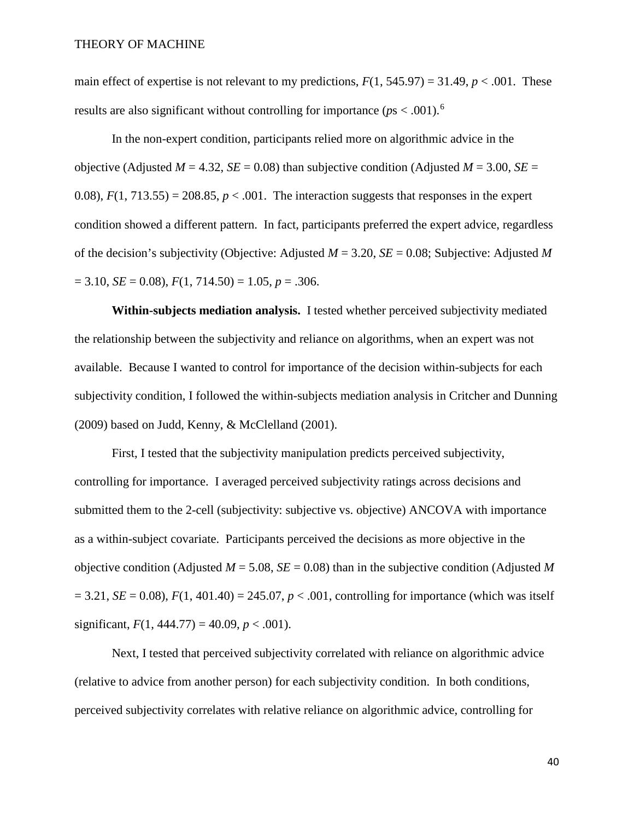main effect of expertise is not relevant to my predictions,  $F(1, 545.97) = 31.49$ ,  $p < .001$ . These results are also significant without controlling for importance ( $ps < .001$ ).<sup>[6](#page-69-0)</sup>

In the non-expert condition, participants relied more on algorithmic advice in the objective (Adjusted  $M = 4.32$ ,  $SE = 0.08$ ) than subjective condition (Adjusted  $M = 3.00$ ,  $SE =$ 0.08),  $F(1, 713.55) = 208.85$ ,  $p < .001$ . The interaction suggests that responses in the expert condition showed a different pattern. In fact, participants preferred the expert advice, regardless of the decision's subjectivity (Objective: Adjusted *M* = 3.20, *SE* = 0.08; Subjective: Adjusted *M*  $= 3.10$ , *SE* = 0.08), *F*(1, 714.50) = 1.05, *p* = .306.

**Within-subjects mediation analysis.** I tested whether perceived subjectivity mediated the relationship between the subjectivity and reliance on algorithms, when an expert was not available. Because I wanted to control for importance of the decision within-subjects for each subjectivity condition, I followed the within-subjects mediation analysis in Critcher and Dunning (2009) based on Judd, Kenny, & McClelland (2001).

First, I tested that the subjectivity manipulation predicts perceived subjectivity, controlling for importance. I averaged perceived subjectivity ratings across decisions and submitted them to the 2-cell (subjectivity: subjective vs. objective) ANCOVA with importance as a within-subject covariate. Participants perceived the decisions as more objective in the objective condition (Adjusted  $M = 5.08$ ,  $SE = 0.08$ ) than in the subjective condition (Adjusted M  $= 3.21, SE = 0.08$ ,  $F(1, 401.40) = 245.07, p < .001$ , controlling for importance (which was itself significant,  $F(1, 444.77) = 40.09$ ,  $p < .001$ ).

Next, I tested that perceived subjectivity correlated with reliance on algorithmic advice (relative to advice from another person) for each subjectivity condition. In both conditions, perceived subjectivity correlates with relative reliance on algorithmic advice, controlling for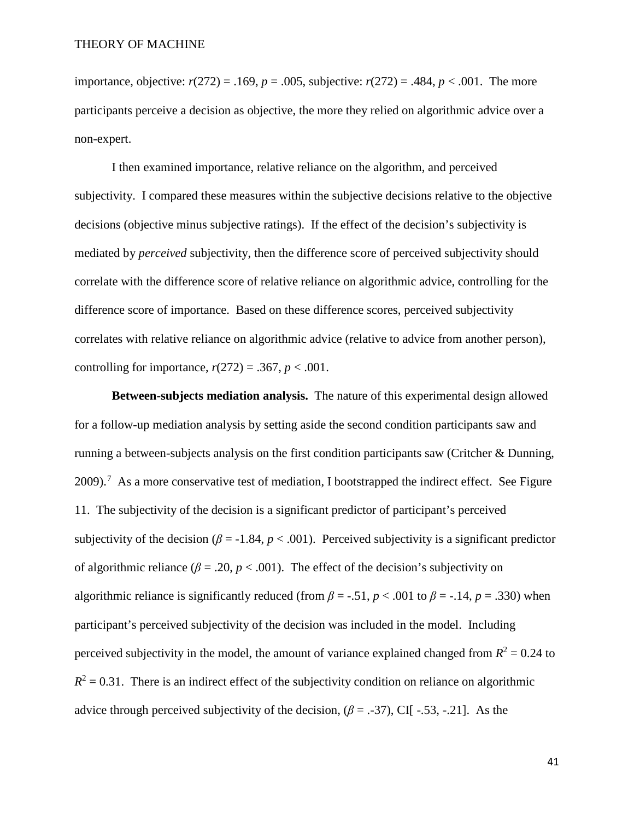importance, objective:  $r(272) = .169$ ,  $p = .005$ , subjective:  $r(272) = .484$ ,  $p < .001$ . The more participants perceive a decision as objective, the more they relied on algorithmic advice over a non-expert.

I then examined importance, relative reliance on the algorithm, and perceived subjectivity. I compared these measures within the subjective decisions relative to the objective decisions (objective minus subjective ratings). If the effect of the decision's subjectivity is mediated by *perceived* subjectivity, then the difference score of perceived subjectivity should correlate with the difference score of relative reliance on algorithmic advice, controlling for the difference score of importance. Based on these difference scores, perceived subjectivity correlates with relative reliance on algorithmic advice (relative to advice from another person), controlling for importance,  $r(272) = .367$ ,  $p < .001$ .

**Between-subjects mediation analysis.** The nature of this experimental design allowed for a follow-up mediation analysis by setting aside the second condition participants saw and running a between-subjects analysis on the first condition participants saw (Critcher & Dunning, 2009).<sup>[7](#page-69-1)</sup> As a more conservative test of mediation, I bootstrapped the indirect effect. See Figure 11. The subjectivity of the decision is a significant predictor of participant's perceived subjectivity of the decision ( $\beta$  = -1.84,  $p < .001$ ). Perceived subjectivity is a significant predictor of algorithmic reliance ( $\beta$  = .20,  $p$  < .001). The effect of the decision's subjectivity on algorithmic reliance is significantly reduced (from  $\beta = -.51$ ,  $p < .001$  to  $\beta = -.14$ ,  $p = .330$ ) when participant's perceived subjectivity of the decision was included in the model. Including perceived subjectivity in the model, the amount of variance explained changed from  $R^2 = 0.24$  to  $R^2 = 0.31$ . There is an indirect effect of the subjectivity condition on reliance on algorithmic advice through perceived subjectivity of the decision,  $(\beta = .37)$ , CI[ -.53, -.21]. As the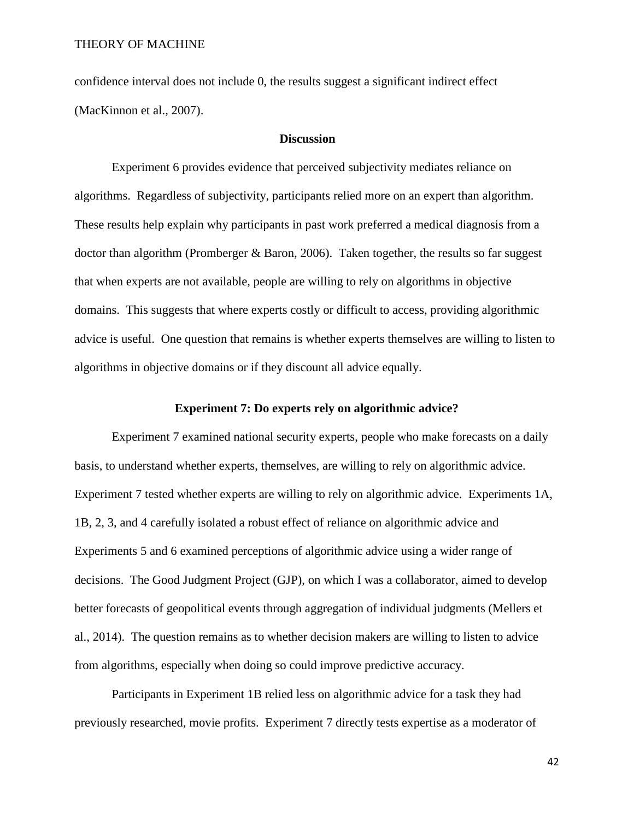confidence interval does not include 0, the results suggest a significant indirect effect (MacKinnon et al., 2007).

### **Discussion**

Experiment 6 provides evidence that perceived subjectivity mediates reliance on algorithms. Regardless of subjectivity, participants relied more on an expert than algorithm. These results help explain why participants in past work preferred a medical diagnosis from a doctor than algorithm (Promberger & Baron, 2006). Taken together, the results so far suggest that when experts are not available, people are willing to rely on algorithms in objective domains. This suggests that where experts costly or difficult to access, providing algorithmic advice is useful. One question that remains is whether experts themselves are willing to listen to algorithms in objective domains or if they discount all advice equally.

#### **Experiment 7: Do experts rely on algorithmic advice?**

Experiment 7 examined national security experts, people who make forecasts on a daily basis, to understand whether experts, themselves, are willing to rely on algorithmic advice. Experiment 7 tested whether experts are willing to rely on algorithmic advice. Experiments 1A, 1B, 2, 3, and 4 carefully isolated a robust effect of reliance on algorithmic advice and Experiments 5 and 6 examined perceptions of algorithmic advice using a wider range of decisions. The Good Judgment Project (GJP), on which I was a collaborator, aimed to develop better forecasts of geopolitical events through aggregation of individual judgments (Mellers et al., 2014). The question remains as to whether decision makers are willing to listen to advice from algorithms, especially when doing so could improve predictive accuracy.

Participants in Experiment 1B relied less on algorithmic advice for a task they had previously researched, movie profits. Experiment 7 directly tests expertise as a moderator of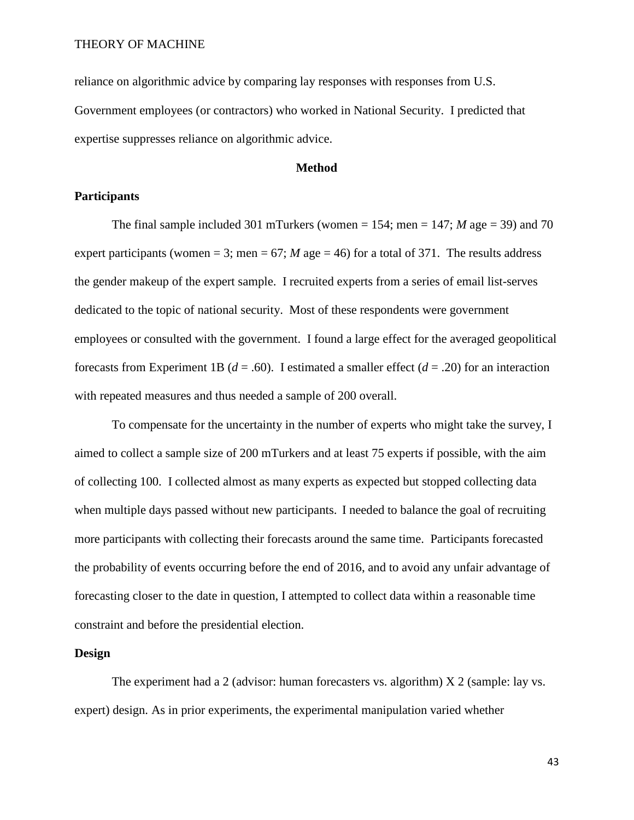reliance on algorithmic advice by comparing lay responses with responses from U.S. Government employees (or contractors) who worked in National Security. I predicted that expertise suppresses reliance on algorithmic advice.

#### **Method**

#### **Participants**

The final sample included 301 mTurkers (women  $= 154$ ; men  $= 147$ ; *M* age  $= 39$ ) and 70 expert participants (women = 3; men = 67; *M* age = 46) for a total of 371. The results address the gender makeup of the expert sample. I recruited experts from a series of email list-serves dedicated to the topic of national security. Most of these respondents were government employees or consulted with the government. I found a large effect for the averaged geopolitical forecasts from Experiment 1B ( $d = .60$ ). I estimated a smaller effect ( $d = .20$ ) for an interaction with repeated measures and thus needed a sample of 200 overall.

To compensate for the uncertainty in the number of experts who might take the survey, I aimed to collect a sample size of 200 mTurkers and at least 75 experts if possible, with the aim of collecting 100. I collected almost as many experts as expected but stopped collecting data when multiple days passed without new participants. I needed to balance the goal of recruiting more participants with collecting their forecasts around the same time. Participants forecasted the probability of events occurring before the end of 2016, and to avoid any unfair advantage of forecasting closer to the date in question, I attempted to collect data within a reasonable time constraint and before the presidential election.

#### **Design**

The experiment had a 2 (advisor: human forecasters vs. algorithm) X 2 (sample: lay vs. expert) design. As in prior experiments, the experimental manipulation varied whether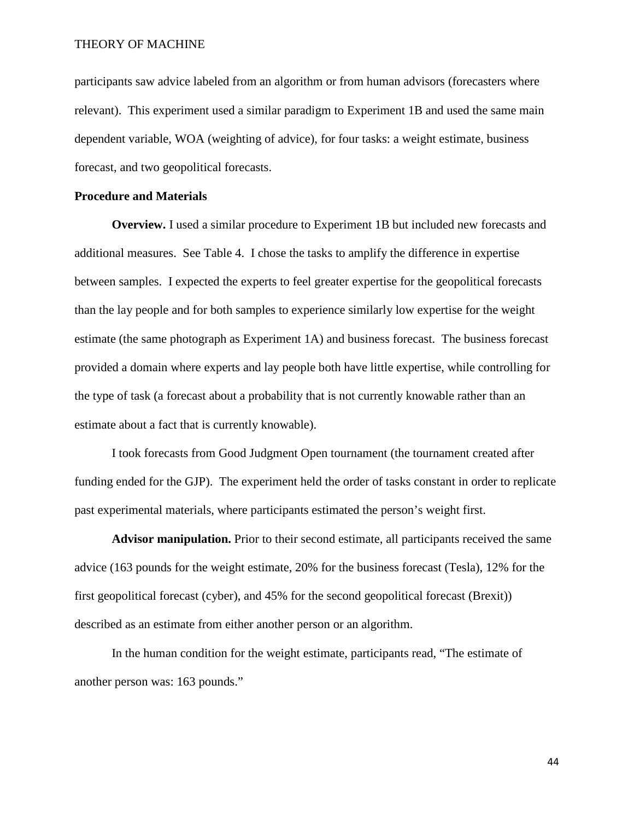participants saw advice labeled from an algorithm or from human advisors (forecasters where relevant). This experiment used a similar paradigm to Experiment 1B and used the same main dependent variable, WOA (weighting of advice), for four tasks: a weight estimate, business forecast, and two geopolitical forecasts.

### **Procedure and Materials**

**Overview.** I used a similar procedure to Experiment 1B but included new forecasts and additional measures. See Table 4. I chose the tasks to amplify the difference in expertise between samples. I expected the experts to feel greater expertise for the geopolitical forecasts than the lay people and for both samples to experience similarly low expertise for the weight estimate (the same photograph as Experiment 1A) and business forecast. The business forecast provided a domain where experts and lay people both have little expertise, while controlling for the type of task (a forecast about a probability that is not currently knowable rather than an estimate about a fact that is currently knowable).

I took forecasts from Good Judgment Open tournament (the tournament created after funding ended for the GJP). The experiment held the order of tasks constant in order to replicate past experimental materials, where participants estimated the person's weight first.

**Advisor manipulation.** Prior to their second estimate, all participants received the same advice (163 pounds for the weight estimate, 20% for the business forecast (Tesla), 12% for the first geopolitical forecast (cyber), and 45% for the second geopolitical forecast (Brexit)) described as an estimate from either another person or an algorithm.

In the human condition for the weight estimate, participants read, "The estimate of another person was: 163 pounds."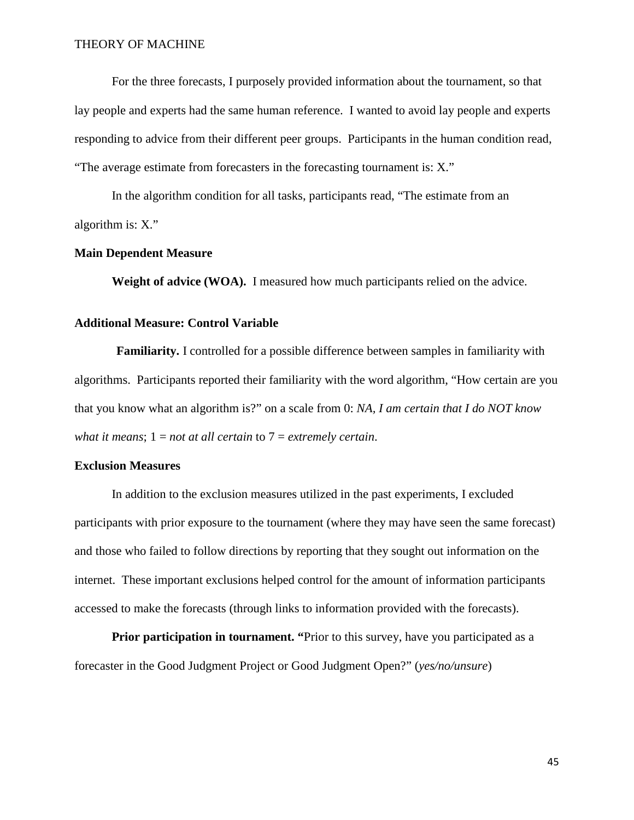For the three forecasts, I purposely provided information about the tournament, so that lay people and experts had the same human reference. I wanted to avoid lay people and experts responding to advice from their different peer groups. Participants in the human condition read, "The average estimate from forecasters in the forecasting tournament is: X."

In the algorithm condition for all tasks, participants read, "The estimate from an algorithm is: X."

### **Main Dependent Measure**

**Weight of advice (WOA).** I measured how much participants relied on the advice.

#### **Additional Measure: Control Variable**

**Familiarity.** I controlled for a possible difference between samples in familiarity with algorithms. Participants reported their familiarity with the word algorithm, "How certain are you that you know what an algorithm is?" on a scale from 0: *NA, I am certain that I do NOT know what it means*; 1 = *not at all certain* to 7 = *extremely certain*.

#### **Exclusion Measures**

In addition to the exclusion measures utilized in the past experiments, I excluded participants with prior exposure to the tournament (where they may have seen the same forecast) and those who failed to follow directions by reporting that they sought out information on the internet. These important exclusions helped control for the amount of information participants accessed to make the forecasts (through links to information provided with the forecasts).

**Prior participation in tournament.** "Prior to this survey, have you participated as a forecaster in the Good Judgment Project or Good Judgment Open?" (*yes/no/unsure*)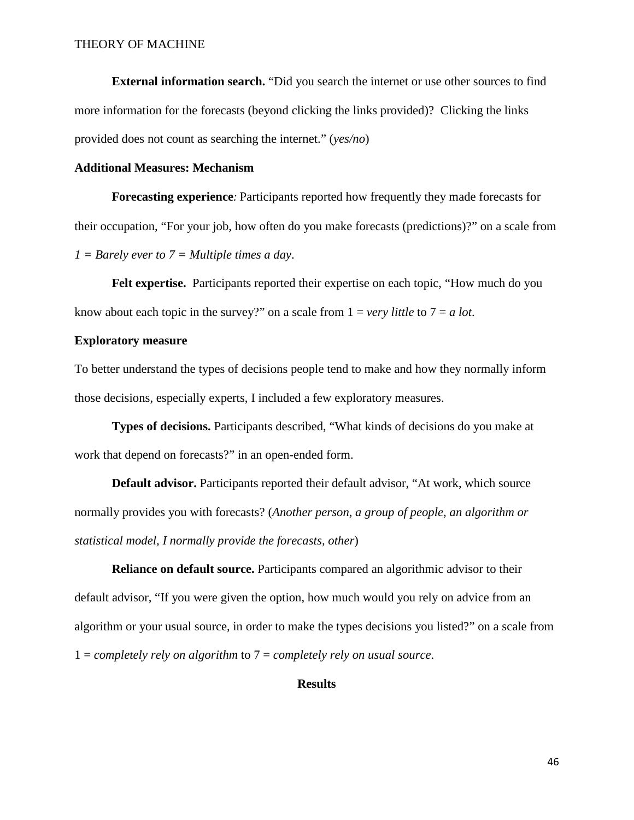**External information search.** "Did you search the internet or use other sources to find more information for the forecasts (beyond clicking the links provided)? Clicking the links provided does not count as searching the internet." (*yes/no*)

#### **Additional Measures: Mechanism**

**Forecasting experience***:* Participants reported how frequently they made forecasts for their occupation, "For your job, how often do you make forecasts (predictions)?" on a scale from *1 = Barely ever to 7 = Multiple times a day*.

**Felt expertise.** Participants reported their expertise on each topic, "How much do you know about each topic in the survey?" on a scale from  $1 = \text{very little to } 7 = a \text{ lot.}$ 

#### **Exploratory measure**

To better understand the types of decisions people tend to make and how they normally inform those decisions, especially experts, I included a few exploratory measures.

**Types of decisions.** Participants described, "What kinds of decisions do you make at work that depend on forecasts?" in an open-ended form.

**Default advisor.** Participants reported their default advisor, "At work, which source normally provides you with forecasts? (*Another person, a group of people, an algorithm or statistical model, I normally provide the forecasts, other*)

**Reliance on default source.** Participants compared an algorithmic advisor to their default advisor, "If you were given the option, how much would you rely on advice from an algorithm or your usual source, in order to make the types decisions you listed?" on a scale from 1 = *completely rely on algorithm* to 7 = *completely rely on usual source*.

### **Results**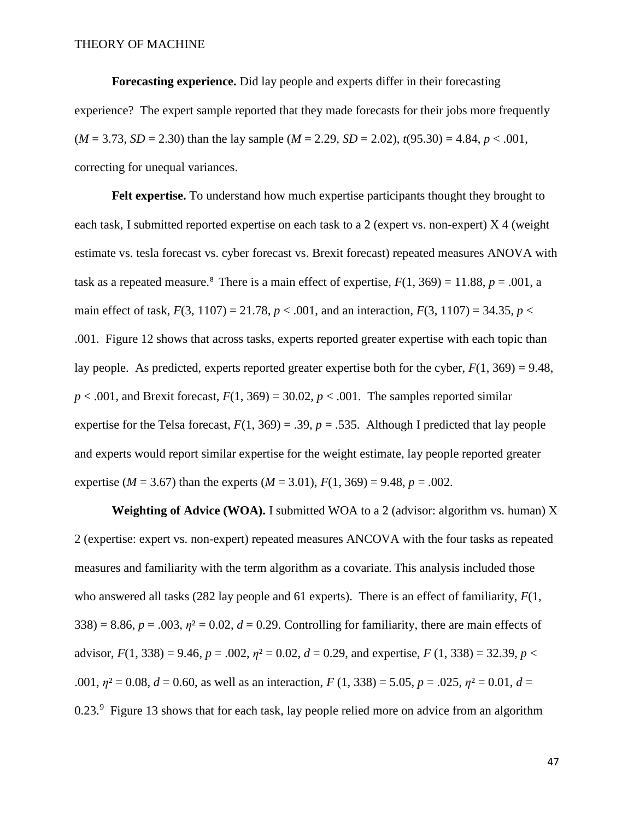**Forecasting experience.** Did lay people and experts differ in their forecasting experience? The expert sample reported that they made forecasts for their jobs more frequently  $(M = 3.73, SD = 2.30)$  than the lay sample  $(M = 2.29, SD = 2.02)$ ,  $t(95.30) = 4.84, p < .001$ , correcting for unequal variances.

**Felt expertise.** To understand how much expertise participants thought they brought to each task, I submitted reported expertise on each task to a 2 (expert vs. non-expert) X 4 (weight estimate vs. tesla forecast vs. cyber forecast vs. Brexit forecast) repeated measures ANOVA with task as a repeated measure.<sup>[8](#page-70-0)</sup> There is a main effect of expertise,  $F(1, 369) = 11.88$ ,  $p = .001$ , a main effect of task,  $F(3, 1107) = 21.78$ ,  $p < .001$ , and an interaction,  $F(3, 1107) = 34.35$ ,  $p <$ .001. Figure 12 shows that across tasks, experts reported greater expertise with each topic than lay people. As predicted, experts reported greater expertise both for the cyber,  $F(1, 369) = 9.48$ ,  $p < .001$ , and Brexit forecast,  $F(1, 369) = 30.02$ ,  $p < .001$ . The samples reported similar expertise for the Telsa forecast,  $F(1, 369) = .39$ ,  $p = .535$ . Although I predicted that lay people and experts would report similar expertise for the weight estimate, lay people reported greater expertise ( $M = 3.67$ ) than the experts ( $M = 3.01$ ),  $F(1, 369) = 9.48$ ,  $p = .002$ .

**Weighting of Advice (WOA).** I submitted WOA to a 2 (advisor: algorithm vs. human) X 2 (expertise: expert vs. non-expert) repeated measures ANCOVA with the four tasks as repeated measures and familiarity with the term algorithm as a covariate. This analysis included those who answered all tasks (282 lay people and 61 experts). There is an effect of familiarity, *F*(1,  $338$ ) = 8.86,  $p = .003$ ,  $p<sup>2</sup> = 0.02$ ,  $d = 0.29$ . Controlling for familiarity, there are main effects of advisor,  $F(1, 338) = 9.46$ ,  $p = .002$ ,  $p^2 = 0.02$ ,  $d = 0.29$ , and expertise,  $F(1, 338) = 32.39$ ,  $p <$ .001,  $\eta$ <sup>2</sup> = 0.08, *d* = 0.60, as well as an interaction, *F* (1, 338) = 5.05, *p* = .025,  $\eta$ <sup>2</sup> = 0.01, *d* = 0.23.<sup>[9](#page-70-1)</sup> Figure 13 shows that for each task, lay people relied more on advice from an algorithm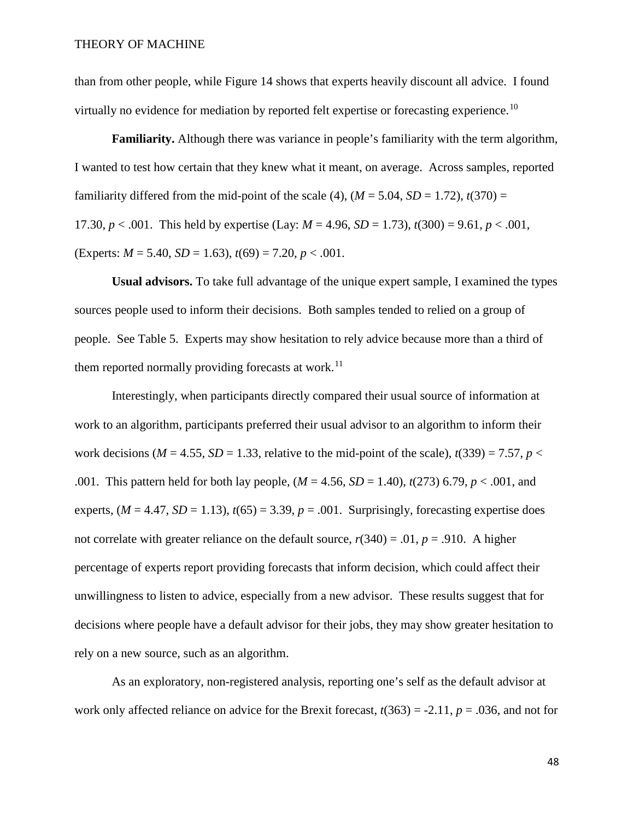than from other people, while Figure 14 shows that experts heavily discount all advice. I found virtually no evidence for mediation by reported felt expertise or forecasting experience.<sup>[10](#page-71-0)</sup>

**Familiarity.** Although there was variance in people's familiarity with the term algorithm, I wanted to test how certain that they knew what it meant, on average. Across samples, reported familiarity differed from the mid-point of the scale (4),  $(M = 5.04, SD = 1.72)$ ,  $t(370) =$ 17.30,  $p < .001$ . This held by expertise (Lay:  $M = 4.96$ ,  $SD = 1.73$ ),  $t(300) = 9.61$ ,  $p < .001$ , (Experts:  $M = 5.40$ ,  $SD = 1.63$ ),  $t(69) = 7.20$ ,  $p < .001$ .

**Usual advisors.** To take full advantage of the unique expert sample, I examined the types sources people used to inform their decisions. Both samples tended to relied on a group of people. See Table 5. Experts may show hesitation to rely advice because more than a third of them reported normally providing forecasts at work.<sup>11</sup>

Interestingly, when participants directly compared their usual source of information at work to an algorithm, participants preferred their usual advisor to an algorithm to inform their work decisions ( $M = 4.55$ ,  $SD = 1.33$ , relative to the mid-point of the scale),  $t(339) = 7.57$ ,  $p <$ .001. This pattern held for both lay people, (*M* = 4.56, *SD* = 1.40), *t*(273) 6.79, *p* < .001, and experts,  $(M = 4.47, SD = 1.13)$ ,  $t(65) = 3.39$ ,  $p = .001$ . Surprisingly, forecasting expertise does not correlate with greater reliance on the default source,  $r(340) = .01$ ,  $p = .910$ . A higher percentage of experts report providing forecasts that inform decision, which could affect their unwillingness to listen to advice, especially from a new advisor. These results suggest that for decisions where people have a default advisor for their jobs, they may show greater hesitation to rely on a new source, such as an algorithm.

As an exploratory, non-registered analysis, reporting one's self as the default advisor at work only affected reliance on advice for the Brexit forecast, *t*(363) = -2.11, *p* = .036, and not for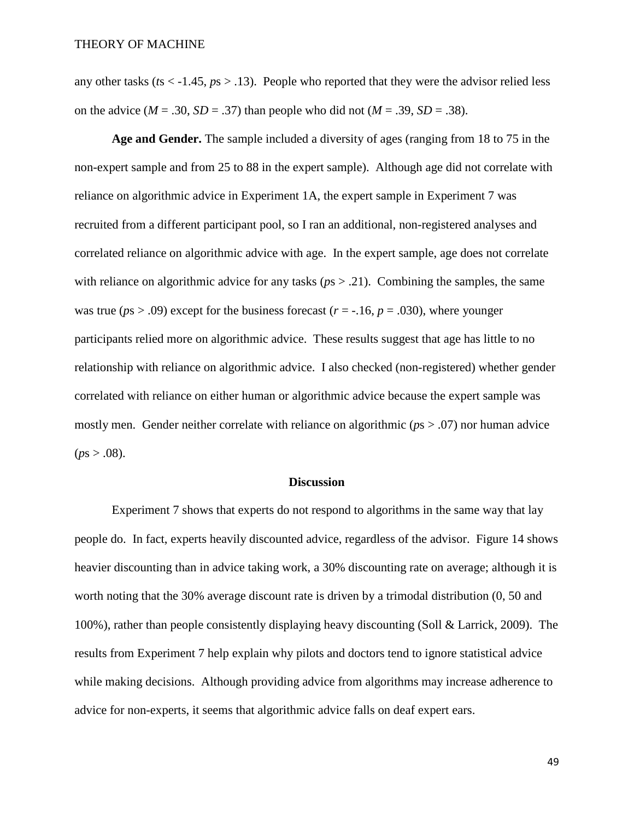any other tasks ( $ts < -1.45$ ,  $ps > .13$ ). People who reported that they were the advisor relied less on the advice ( $M = .30$ ,  $SD = .37$ ) than people who did not ( $M = .39$ ,  $SD = .38$ ).

**Age and Gender.** The sample included a diversity of ages (ranging from 18 to 75 in the non-expert sample and from 25 to 88 in the expert sample). Although age did not correlate with reliance on algorithmic advice in Experiment 1A, the expert sample in Experiment 7 was recruited from a different participant pool, so I ran an additional, non-registered analyses and correlated reliance on algorithmic advice with age. In the expert sample, age does not correlate with reliance on algorithmic advice for any tasks ( $p s > .21$ ). Combining the samples, the same was true ( $ps > .09$ ) except for the business forecast ( $r = -.16$ ,  $p = .030$ ), where younger participants relied more on algorithmic advice. These results suggest that age has little to no relationship with reliance on algorithmic advice. I also checked (non-registered) whether gender correlated with reliance on either human or algorithmic advice because the expert sample was mostly men. Gender neither correlate with reliance on algorithmic (*p*s > .07) nor human advice  $(ps > .08)$ .

#### **Discussion**

Experiment 7 shows that experts do not respond to algorithms in the same way that lay people do. In fact, experts heavily discounted advice, regardless of the advisor. Figure 14 shows heavier discounting than in advice taking work, a 30% discounting rate on average; although it is worth noting that the 30% average discount rate is driven by a trimodal distribution (0, 50 and 100%), rather than people consistently displaying heavy discounting (Soll & Larrick, 2009). The results from Experiment 7 help explain why pilots and doctors tend to ignore statistical advice while making decisions. Although providing advice from algorithms may increase adherence to advice for non-experts, it seems that algorithmic advice falls on deaf expert ears.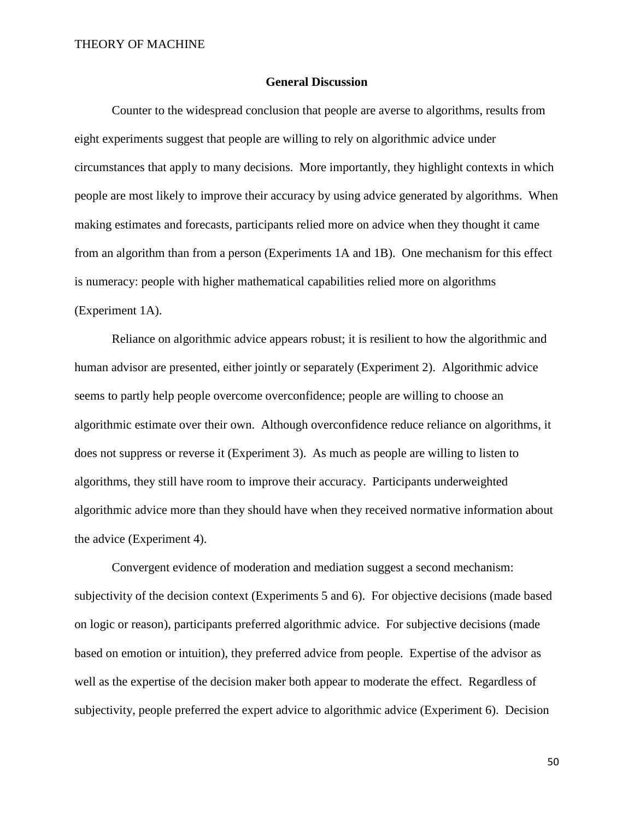#### **General Discussion**

Counter to the widespread conclusion that people are averse to algorithms, results from eight experiments suggest that people are willing to rely on algorithmic advice under circumstances that apply to many decisions. More importantly, they highlight contexts in which people are most likely to improve their accuracy by using advice generated by algorithms. When making estimates and forecasts, participants relied more on advice when they thought it came from an algorithm than from a person (Experiments 1A and 1B). One mechanism for this effect is numeracy: people with higher mathematical capabilities relied more on algorithms (Experiment 1A).

Reliance on algorithmic advice appears robust; it is resilient to how the algorithmic and human advisor are presented, either jointly or separately (Experiment 2). Algorithmic advice seems to partly help people overcome overconfidence; people are willing to choose an algorithmic estimate over their own. Although overconfidence reduce reliance on algorithms, it does not suppress or reverse it (Experiment 3). As much as people are willing to listen to algorithms, they still have room to improve their accuracy. Participants underweighted algorithmic advice more than they should have when they received normative information about the advice (Experiment 4).

Convergent evidence of moderation and mediation suggest a second mechanism: subjectivity of the decision context (Experiments 5 and 6). For objective decisions (made based on logic or reason), participants preferred algorithmic advice. For subjective decisions (made based on emotion or intuition), they preferred advice from people. Expertise of the advisor as well as the expertise of the decision maker both appear to moderate the effect. Regardless of subjectivity, people preferred the expert advice to algorithmic advice (Experiment 6). Decision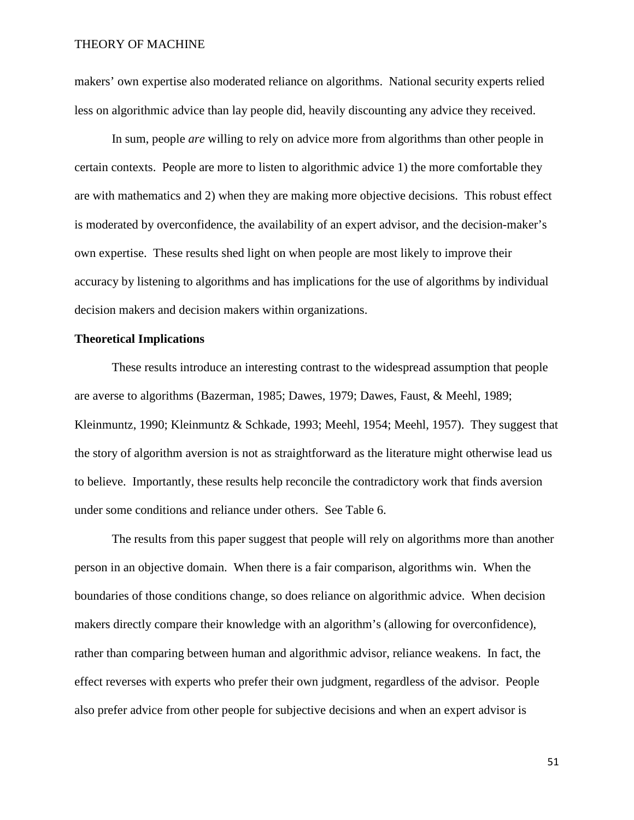makers' own expertise also moderated reliance on algorithms. National security experts relied less on algorithmic advice than lay people did, heavily discounting any advice they received.

In sum, people *are* willing to rely on advice more from algorithms than other people in certain contexts. People are more to listen to algorithmic advice 1) the more comfortable they are with mathematics and 2) when they are making more objective decisions. This robust effect is moderated by overconfidence, the availability of an expert advisor, and the decision-maker's own expertise. These results shed light on when people are most likely to improve their accuracy by listening to algorithms and has implications for the use of algorithms by individual decision makers and decision makers within organizations.

#### **Theoretical Implications**

These results introduce an interesting contrast to the widespread assumption that people are averse to algorithms (Bazerman, 1985; Dawes, 1979; Dawes, Faust, & Meehl, 1989; Kleinmuntz, 1990; Kleinmuntz & Schkade, 1993; Meehl, 1954; Meehl, 1957). They suggest that the story of algorithm aversion is not as straightforward as the literature might otherwise lead us to believe. Importantly, these results help reconcile the contradictory work that finds aversion under some conditions and reliance under others. See Table 6.

The results from this paper suggest that people will rely on algorithms more than another person in an objective domain. When there is a fair comparison, algorithms win. When the boundaries of those conditions change, so does reliance on algorithmic advice. When decision makers directly compare their knowledge with an algorithm's (allowing for overconfidence), rather than comparing between human and algorithmic advisor, reliance weakens. In fact, the effect reverses with experts who prefer their own judgment, regardless of the advisor. People also prefer advice from other people for subjective decisions and when an expert advisor is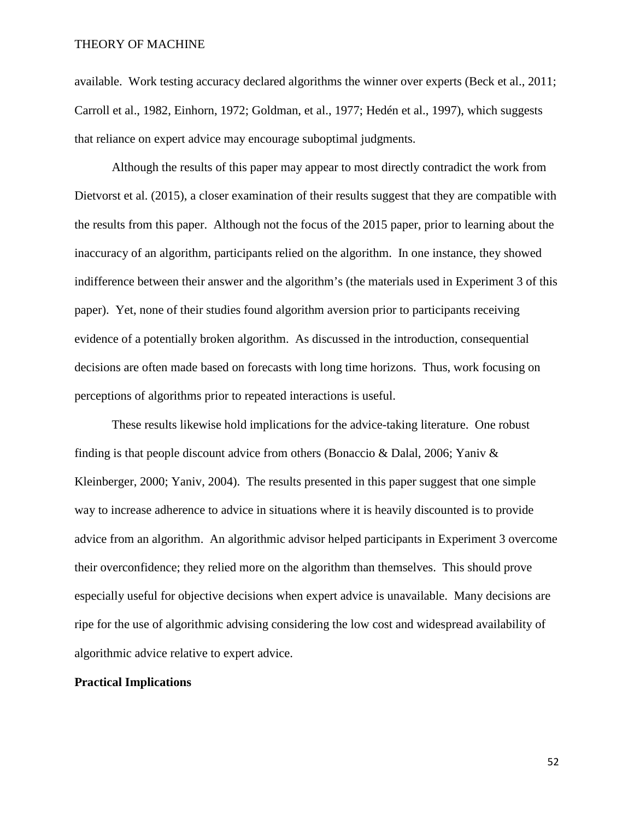available. Work testing accuracy declared algorithms the winner over experts (Beck et al., 2011; Carroll et al., 1982, Einhorn, 1972; Goldman, et al., 1977; Hedén et al., 1997), which suggests that reliance on expert advice may encourage suboptimal judgments.

Although the results of this paper may appear to most directly contradict the work from Dietvorst et al. (2015), a closer examination of their results suggest that they are compatible with the results from this paper. Although not the focus of the 2015 paper, prior to learning about the inaccuracy of an algorithm, participants relied on the algorithm. In one instance, they showed indifference between their answer and the algorithm's (the materials used in Experiment 3 of this paper). Yet, none of their studies found algorithm aversion prior to participants receiving evidence of a potentially broken algorithm. As discussed in the introduction, consequential decisions are often made based on forecasts with long time horizons. Thus, work focusing on perceptions of algorithms prior to repeated interactions is useful.

These results likewise hold implications for the advice-taking literature. One robust finding is that people discount advice from others (Bonaccio & Dalal, 2006; Yaniv & Kleinberger, 2000; Yaniv, 2004). The results presented in this paper suggest that one simple way to increase adherence to advice in situations where it is heavily discounted is to provide advice from an algorithm. An algorithmic advisor helped participants in Experiment 3 overcome their overconfidence; they relied more on the algorithm than themselves. This should prove especially useful for objective decisions when expert advice is unavailable. Many decisions are ripe for the use of algorithmic advising considering the low cost and widespread availability of algorithmic advice relative to expert advice.

#### **Practical Implications**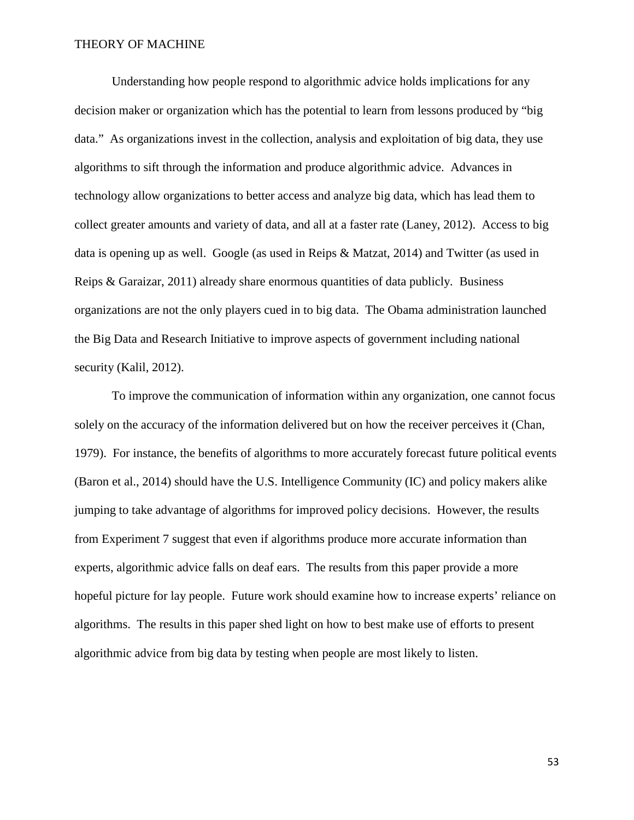Understanding how people respond to algorithmic advice holds implications for any decision maker or organization which has the potential to learn from lessons produced by "big data." As organizations invest in the collection, analysis and exploitation of big data, they use algorithms to sift through the information and produce algorithmic advice. Advances in technology allow organizations to better access and analyze big data, which has lead them to collect greater amounts and variety of data, and all at a faster rate (Laney, 2012). Access to big data is opening up as well. Google (as used in Reips & Matzat, 2014) and Twitter (as used in Reips & Garaizar, 2011) already share enormous quantities of data publicly. Business organizations are not the only players cued in to big data. The Obama administration launched the Big Data and Research Initiative to improve aspects of government including national security (Kalil, 2012).

To improve the communication of information within any organization, one cannot focus solely on the accuracy of the information delivered but on how the receiver perceives it (Chan, 1979). For instance, the benefits of algorithms to more accurately forecast future political events (Baron et al., 2014) should have the U.S. Intelligence Community (IC) and policy makers alike jumping to take advantage of algorithms for improved policy decisions. However, the results from Experiment 7 suggest that even if algorithms produce more accurate information than experts, algorithmic advice falls on deaf ears. The results from this paper provide a more hopeful picture for lay people. Future work should examine how to increase experts' reliance on algorithms. The results in this paper shed light on how to best make use of efforts to present algorithmic advice from big data by testing when people are most likely to listen.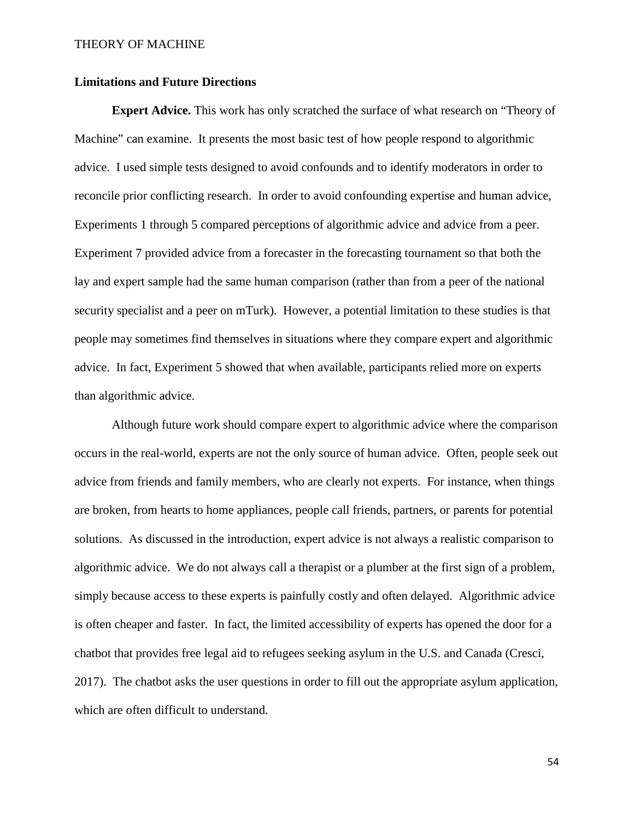#### **Limitations and Future Directions**

**Expert Advice.** This work has only scratched the surface of what research on "Theory of Machine" can examine. It presents the most basic test of how people respond to algorithmic advice. I used simple tests designed to avoid confounds and to identify moderators in order to reconcile prior conflicting research. In order to avoid confounding expertise and human advice, Experiments 1 through 5 compared perceptions of algorithmic advice and advice from a peer. Experiment 7 provided advice from a forecaster in the forecasting tournament so that both the lay and expert sample had the same human comparison (rather than from a peer of the national security specialist and a peer on mTurk). However, a potential limitation to these studies is that people may sometimes find themselves in situations where they compare expert and algorithmic advice. In fact, Experiment 5 showed that when available, participants relied more on experts than algorithmic advice.

Although future work should compare expert to algorithmic advice where the comparison occurs in the real-world, experts are not the only source of human advice. Often, people seek out advice from friends and family members, who are clearly not experts. For instance, when things are broken, from hearts to home appliances, people call friends, partners, or parents for potential solutions. As discussed in the introduction, expert advice is not always a realistic comparison to algorithmic advice. We do not always call a therapist or a plumber at the first sign of a problem, simply because access to these experts is painfully costly and often delayed. Algorithmic advice is often cheaper and faster. In fact, the limited accessibility of experts has opened the door for a chatbot that provides free legal aid to refugees seeking asylum in the U.S. and Canada (Cresci, 2017). The chatbot asks the user questions in order to fill out the appropriate asylum application, which are often difficult to understand.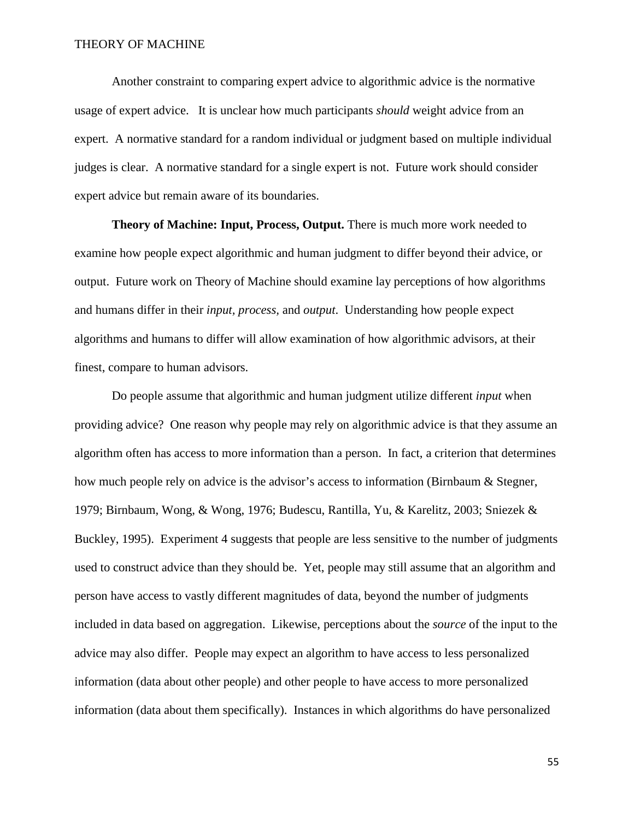Another constraint to comparing expert advice to algorithmic advice is the normative usage of expert advice. It is unclear how much participants *should* weight advice from an expert. A normative standard for a random individual or judgment based on multiple individual judges is clear. A normative standard for a single expert is not. Future work should consider expert advice but remain aware of its boundaries.

**Theory of Machine: Input, Process, Output.** There is much more work needed to examine how people expect algorithmic and human judgment to differ beyond their advice, or output. Future work on Theory of Machine should examine lay perceptions of how algorithms and humans differ in their *input, process,* and *output*. Understanding how people expect algorithms and humans to differ will allow examination of how algorithmic advisors, at their finest, compare to human advisors.

Do people assume that algorithmic and human judgment utilize different *input* when providing advice? One reason why people may rely on algorithmic advice is that they assume an algorithm often has access to more information than a person. In fact, a criterion that determines how much people rely on advice is the advisor's access to information (Birnbaum & Stegner, 1979; Birnbaum, Wong, & Wong, 1976; Budescu, Rantilla, Yu, & Karelitz, 2003; Sniezek & Buckley, 1995). Experiment 4 suggests that people are less sensitive to the number of judgments used to construct advice than they should be. Yet, people may still assume that an algorithm and person have access to vastly different magnitudes of data, beyond the number of judgments included in data based on aggregation. Likewise, perceptions about the *source* of the input to the advice may also differ. People may expect an algorithm to have access to less personalized information (data about other people) and other people to have access to more personalized information (data about them specifically). Instances in which algorithms do have personalized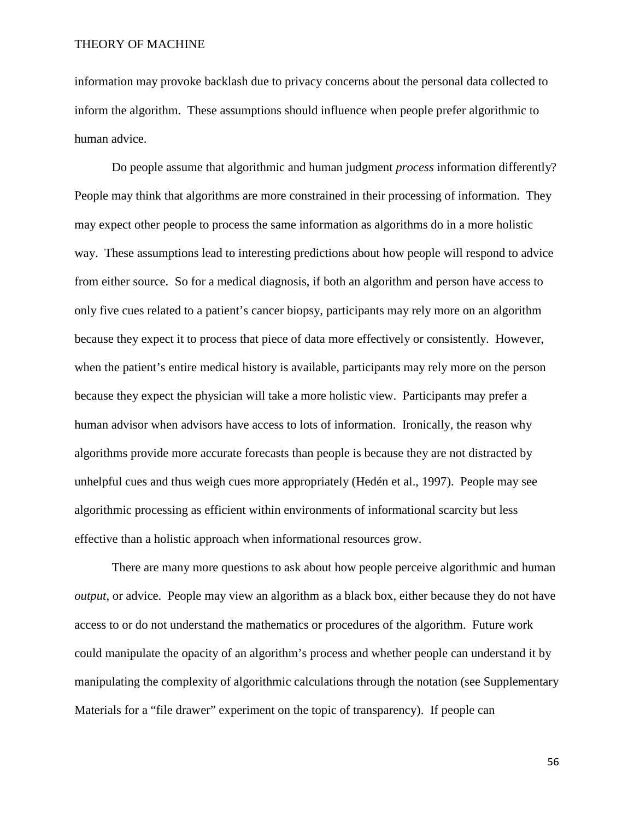information may provoke backlash due to privacy concerns about the personal data collected to inform the algorithm. These assumptions should influence when people prefer algorithmic to human advice.

Do people assume that algorithmic and human judgment *process* information differently? People may think that algorithms are more constrained in their processing of information. They may expect other people to process the same information as algorithms do in a more holistic way. These assumptions lead to interesting predictions about how people will respond to advice from either source. So for a medical diagnosis, if both an algorithm and person have access to only five cues related to a patient's cancer biopsy, participants may rely more on an algorithm because they expect it to process that piece of data more effectively or consistently. However, when the patient's entire medical history is available, participants may rely more on the person because they expect the physician will take a more holistic view. Participants may prefer a human advisor when advisors have access to lots of information. Ironically, the reason why algorithms provide more accurate forecasts than people is because they are not distracted by unhelpful cues and thus weigh cues more appropriately (Hedén et al., 1997). People may see algorithmic processing as efficient within environments of informational scarcity but less effective than a holistic approach when informational resources grow.

There are many more questions to ask about how people perceive algorithmic and human *output*, or advice. People may view an algorithm as a black box, either because they do not have access to or do not understand the mathematics or procedures of the algorithm. Future work could manipulate the opacity of an algorithm's process and whether people can understand it by manipulating the complexity of algorithmic calculations through the notation (see Supplementary Materials for a "file drawer" experiment on the topic of transparency). If people can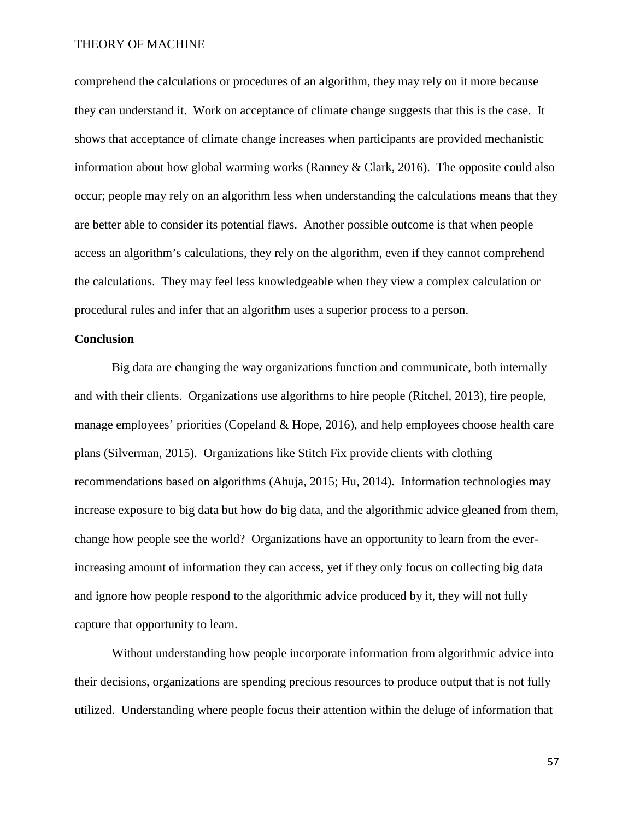comprehend the calculations or procedures of an algorithm, they may rely on it more because they can understand it. Work on acceptance of climate change suggests that this is the case. It shows that acceptance of climate change increases when participants are provided mechanistic information about how global warming works (Ranney & Clark, 2016). The opposite could also occur; people may rely on an algorithm less when understanding the calculations means that they are better able to consider its potential flaws. Another possible outcome is that when people access an algorithm's calculations, they rely on the algorithm, even if they cannot comprehend the calculations. They may feel less knowledgeable when they view a complex calculation or procedural rules and infer that an algorithm uses a superior process to a person.

### **Conclusion**

Big data are changing the way organizations function and communicate, both internally and with their clients. Organizations use algorithms to hire people (Ritchel, 2013), fire people, manage employees' priorities (Copeland & Hope, 2016), and help employees choose health care plans (Silverman, 2015). Organizations like Stitch Fix provide clients with clothing recommendations based on algorithms (Ahuja, 2015; Hu, 2014). Information technologies may increase exposure to big data but how do big data, and the algorithmic advice gleaned from them, change how people see the world? Organizations have an opportunity to learn from the everincreasing amount of information they can access, yet if they only focus on collecting big data and ignore how people respond to the algorithmic advice produced by it, they will not fully capture that opportunity to learn.

Without understanding how people incorporate information from algorithmic advice into their decisions, organizations are spending precious resources to produce output that is not fully utilized. Understanding where people focus their attention within the deluge of information that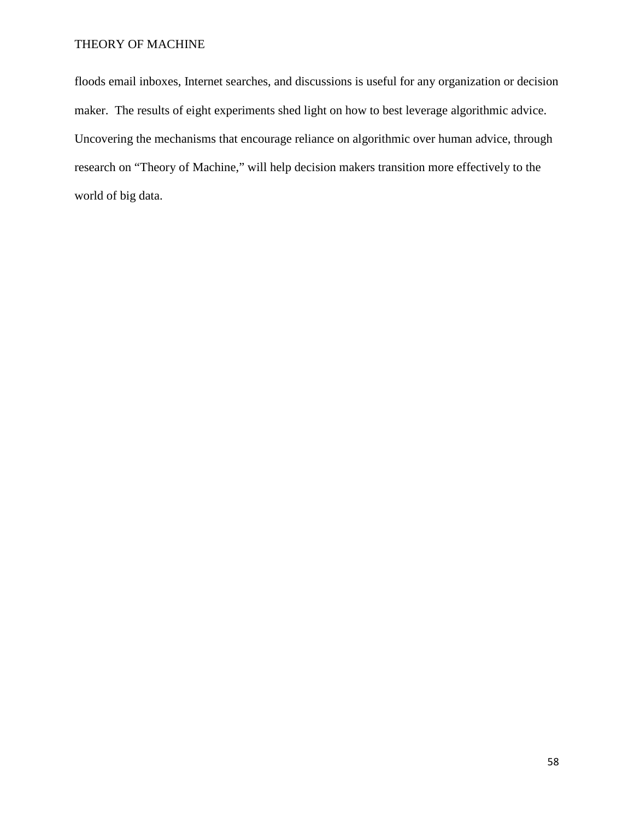floods email inboxes, Internet searches, and discussions is useful for any organization or decision maker. The results of eight experiments shed light on how to best leverage algorithmic advice. Uncovering the mechanisms that encourage reliance on algorithmic over human advice, through research on "Theory of Machine," will help decision makers transition more effectively to the world of big data.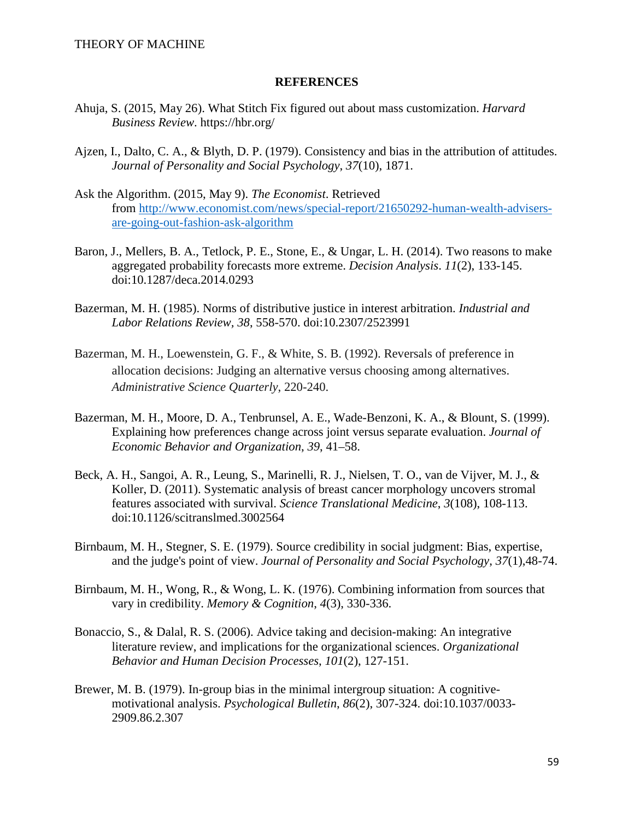#### **REFERENCES**

- Ahuja, S. (2015, May 26). What Stitch Fix figured out about mass customization. *Harvard Business Review*. https://hbr.org/
- Ajzen, I., Dalto, C. A., & Blyth, D. P. (1979). Consistency and bias in the attribution of attitudes. *Journal of Personality and Social Psychology*, *37*(10), 1871.
- Ask the Algorithm. (2015, May 9). *The Economist*. Retrieved from [http://www.economist.com/news/special-report/21650292-human-wealth-advisers](http://www.economist.com/news/special-report/21650292-human-wealth-advisers-are-going-out-fashion-ask-algorithm)[are-going-out-fashion-ask-algorithm](http://www.economist.com/news/special-report/21650292-human-wealth-advisers-are-going-out-fashion-ask-algorithm)
- Baron, J., Mellers, B. A., Tetlock, P. E., Stone, E., & Ungar, L. H. (2014). Two reasons to make aggregated probability forecasts more extreme. *Decision Analysis*. *11*(2), 133-145. doi:10.1287/deca.2014.0293
- Bazerman, M. H. (1985). Norms of distributive justice in interest arbitration. *Industrial and Labor Relations Review, 38*, 558-570. doi:10.2307/2523991
- Bazerman, M. H., Loewenstein, G. F., & White, S. B. (1992). Reversals of preference in allocation decisions: Judging an alternative versus choosing among alternatives. *Administrative Science Quarterly*, 220-240.
- Bazerman, M. H., Moore, D. A., Tenbrunsel, A. E., Wade-Benzoni, K. A., & Blount, S. (1999). Explaining how preferences change across joint versus separate evaluation. *Journal of Economic Behavior and Organization*, *39*, 41–58.
- Beck, A. H., Sangoi, A. R., Leung, S., Marinelli, R. J., Nielsen, T. O., van de Vijver, M. J., & Koller, D. (2011). Systematic analysis of breast cancer morphology uncovers stromal features associated with survival. *Science Translational Medicine*, *3*(108), 108-113. doi:10.1126/scitranslmed.3002564
- Birnbaum, M. H., Stegner, S. E. (1979). Source credibility in social judgment: Bias, expertise, and the judge's point of view. *Journal of Personality and Social Psychology*, *37*(1),48-74.
- Birnbaum, M. H., Wong, R., & Wong, L. K. (1976). Combining information from sources that vary in credibility. *Memory & Cognition*, *4*(3), 330-336.
- Bonaccio, S., & Dalal, R. S. (2006). Advice taking and decision-making: An integrative literature review, and implications for the organizational sciences. *Organizational Behavior and Human Decision Processes*, *101*(2), 127-151.
- Brewer, M. B. (1979). In-group bias in the minimal intergroup situation: A cognitivemotivational analysis. *Psychological Bulletin*, *86*(2), 307-324. doi:10.1037/0033- 2909.86.2.307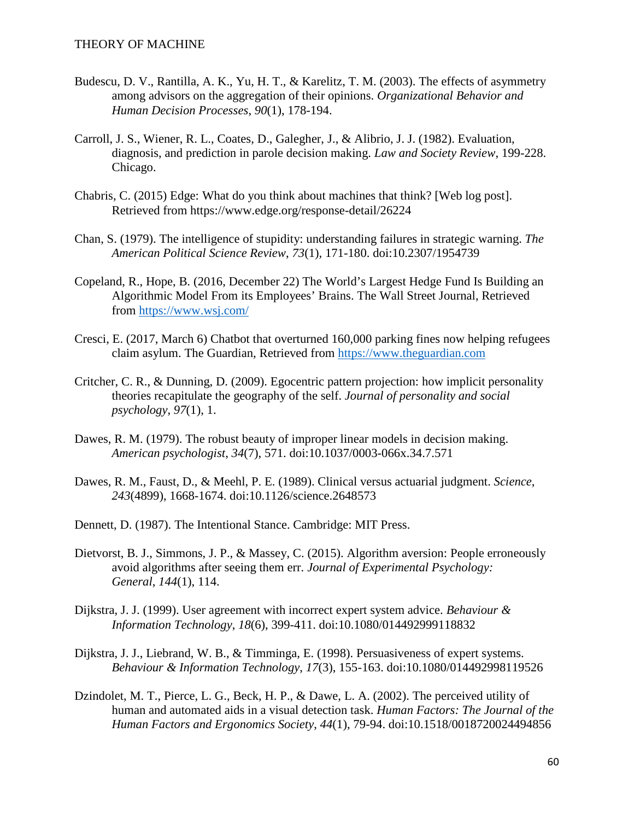- Budescu, D. V., Rantilla, A. K., Yu, H. T., & Karelitz, T. M. (2003). The effects of asymmetry among advisors on the aggregation of their opinions. *Organizational Behavior and Human Decision Processes*, *90*(1), 178-194.
- Carroll, J. S., Wiener, R. L., Coates, D., Galegher, J., & Alibrio, J. J. (1982). Evaluation, diagnosis, and prediction in parole decision making. *Law and Society Review*, 199-228. Chicago.
- Chabris, C. (2015) Edge: What do you think about machines that think? [Web log post]. Retrieved from https://www.edge.org/response-detail/26224
- Chan, S. (1979). The intelligence of stupidity: understanding failures in strategic warning. *The American Political Science Review*, *73*(1)*,* 171-180. doi:10.2307/1954739
- Copeland, R., Hope, B. (2016, December 22) The World's Largest Hedge Fund Is Building an Algorithmic Model From its Employees' Brains. The Wall Street Journal, Retrieved from<https://www.wsj.com/>
- Cresci, E. (2017, March 6) Chatbot that overturned 160,000 parking fines now helping refugees claim asylum. The Guardian, Retrieved from [https://www.theguardian.com](https://www.theguardian.com/)
- Critcher, C. R., & Dunning, D. (2009). Egocentric pattern projection: how implicit personality theories recapitulate the geography of the self. *Journal of personality and social psychology*, *97*(1), 1.
- Dawes, R. M. (1979). The robust beauty of improper linear models in decision making. *American psychologist*, *34*(7), 571. doi:10.1037/0003-066x.34.7.571
- Dawes, R. M., Faust, D., & Meehl, P. E. (1989). Clinical versus actuarial judgment. *Science*, *243*(4899), 1668-1674. doi:10.1126/science.2648573
- Dennett, D. (1987). The Intentional Stance. Cambridge: MIT Press.
- Dietvorst, B. J., Simmons, J. P., & Massey, C. (2015). Algorithm aversion: People erroneously avoid algorithms after seeing them err. *Journal of Experimental Psychology: General*, *144*(1), 114.
- Dijkstra, J. J. (1999). User agreement with incorrect expert system advice. *Behaviour & Information Technology*, *18*(6), 399-411. doi:10.1080/014492999118832
- Dijkstra, J. J., Liebrand, W. B., & Timminga, E. (1998). Persuasiveness of expert systems. *Behaviour & Information Technology*, *17*(3), 155-163. doi:10.1080/014492998119526
- Dzindolet, M. T., Pierce, L. G., Beck, H. P., & Dawe, L. A. (2002). The perceived utility of human and automated aids in a visual detection task. *Human Factors: The Journal of the Human Factors and Ergonomics Society*, *44*(1), 79-94. doi:10.1518/0018720024494856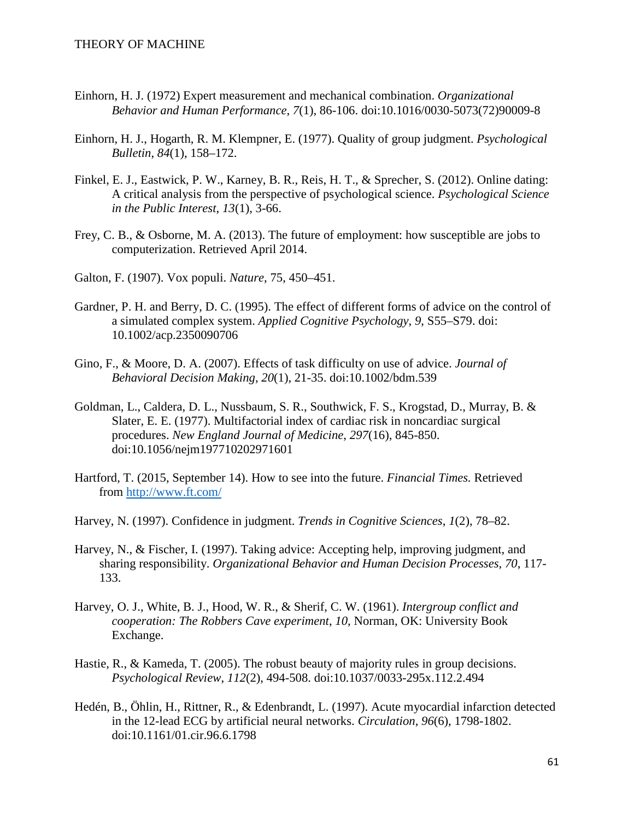- Einhorn, H. J. (1972) Expert measurement and mechanical combination. *Organizational Behavior and Human Performance*, *7*(1), 86-106. doi:10.1016/0030-5073(72)90009-8
- Einhorn, H. J., Hogarth, R. M. Klempner, E. (1977). Quality of group judgment. *Psychological Bulletin*, *84*(1), 158–172.
- Finkel, E. J., Eastwick, P. W., Karney, B. R., Reis, H. T., & Sprecher, S. (2012). Online dating: A critical analysis from the perspective of psychological science. *Psychological Science in the Public Interest*, *13*(1), 3-66.
- Frey, C. B., & Osborne, M. A. (2013). The future of employment: how susceptible are jobs to computerization. Retrieved April 2014.
- Galton, F. (1907). Vox populi. *Nature*, 75, 450–451.
- Gardner, P. H. and Berry, D. C. (1995). The effect of different forms of advice on the control of a simulated complex system. *Applied Cognitive Psychology*, *9*, S55–S79. doi: 10.1002/acp.2350090706
- Gino, F., & Moore, D. A. (2007). Effects of task difficulty on use of advice. *Journal of Behavioral Decision Making*, *20*(1), 21-35. doi:10.1002/bdm.539
- Goldman, L., Caldera, D. L., Nussbaum, S. R., Southwick, F. S., Krogstad, D., Murray, B. & Slater, E. E. (1977). Multifactorial index of cardiac risk in noncardiac surgical procedures. *New England Journal of Medicine*, *297*(16), 845-850. doi:10.1056/nejm197710202971601
- Hartford, T. (2015, September 14). How to see into the future. *Financial Times.* Retrieved from<http://www.ft.com/>
- Harvey, N. (1997). Confidence in judgment. *Trends in Cognitive Sciences*, *1*(2), 78–82.
- Harvey, N., & Fischer, I. (1997). Taking advice: Accepting help, improving judgment, and sharing responsibility. *Organizational Behavior and Human Decision Processes*, *70*, 117- 133.
- Harvey, O. J., White, B. J., Hood, W. R., & Sherif, C. W. (1961). *Intergroup conflict and cooperation: The Robbers Cave experiment*, *10*, Norman, OK: University Book Exchange.
- Hastie, R., & Kameda, T. (2005). The robust beauty of majority rules in group decisions. *Psychological Review*, *112*(2), 494-508. doi:10.1037/0033-295x.112.2.494
- Hedén, B., Öhlin, H., Rittner, R., & Edenbrandt, L. (1997). Acute myocardial infarction detected in the 12-lead ECG by artificial neural networks. *Circulation*, *96*(6), 1798-1802. doi:10.1161/01.cir.96.6.1798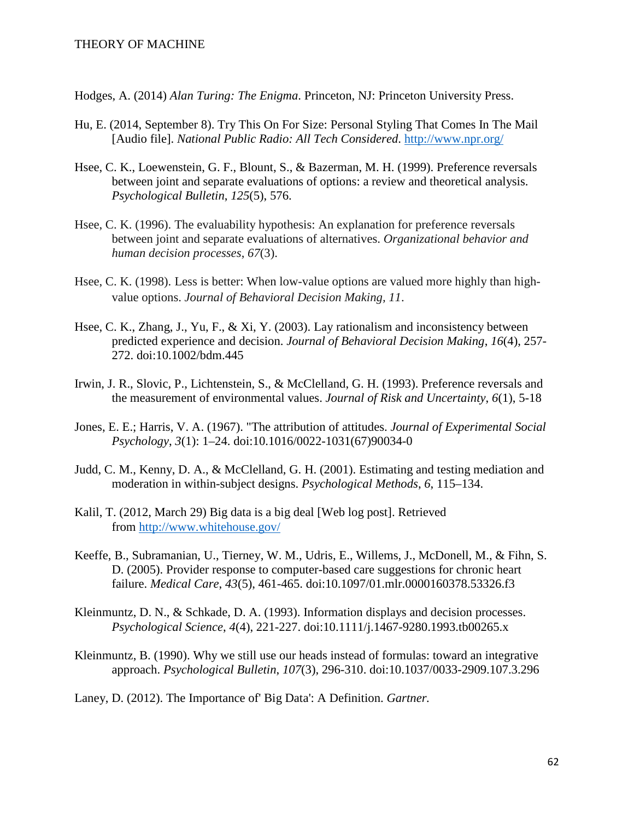Hodges, A. (2014) *Alan Turing: The Enigma*. Princeton, NJ: Princeton University Press.

- Hu, E. (2014, September 8). Try This On For Size: Personal Styling That Comes In The Mail [Audio file]. *National Public Radio: All Tech Considered*.<http://www.npr.org/>
- Hsee, C. K., Loewenstein, G. F., Blount, S., & Bazerman, M. H. (1999). Preference reversals between joint and separate evaluations of options: a review and theoretical analysis. *Psychological Bulletin*, *125*(5), 576.
- Hsee, C. K. (1996). The evaluability hypothesis: An explanation for preference reversals between joint and separate evaluations of alternatives. *Organizational behavior and human decision processes*, *67*(3).
- Hsee, C. K. (1998). Less is better: When low-value options are valued more highly than highvalue options. *Journal of Behavioral Decision Making, 11*.
- Hsee, C. K., Zhang, J., Yu, F., & Xi, Y. (2003). Lay rationalism and inconsistency between predicted experience and decision. *Journal of Behavioral Decision Making*, *16*(4), 257- 272. doi:10.1002/bdm.445
- Irwin, J. R., Slovic, P., Lichtenstein, S., & McClelland, G. H. (1993). Preference reversals and the measurement of environmental values. *Journal of Risk and Uncertainty*, *6*(1), 5-18
- Jones, E. E.; Harris, V. A. (1967). "The attribution of attitudes. *Journal of Experimental Social Psychology*, *3*(1): 1–24. doi:10.1016/0022-1031(67)90034-0
- Judd, C. M., Kenny, D. A., & McClelland, G. H. (2001). Estimating and testing mediation and moderation in within-subject designs. *Psychological Methods*, *6*, 115–134.
- Kalil, T. (2012, March 29) Big data is a big deal [Web log post]. Retrieved from<http://www.whitehouse.gov/>
- Keeffe, B., Subramanian, U., Tierney, W. M., Udris, E., Willems, J., McDonell, M., & Fihn, S. D. (2005). Provider response to computer-based care suggestions for chronic heart failure. *Medical Care*, *43*(5), 461-465. doi:10.1097/01.mlr.0000160378.53326.f3
- Kleinmuntz, D. N., & Schkade, D. A. (1993). Information displays and decision processes. *Psychological Science*, *4*(4), 221-227. doi:10.1111/j.1467-9280.1993.tb00265.x
- Kleinmuntz, B. (1990). Why we still use our heads instead of formulas: toward an integrative approach. *Psychological Bulletin*, *107*(3), 296-310. doi:10.1037/0033-2909.107.3.296
- Laney, D. (2012). The Importance of' Big Data': A Definition. *Gartner.*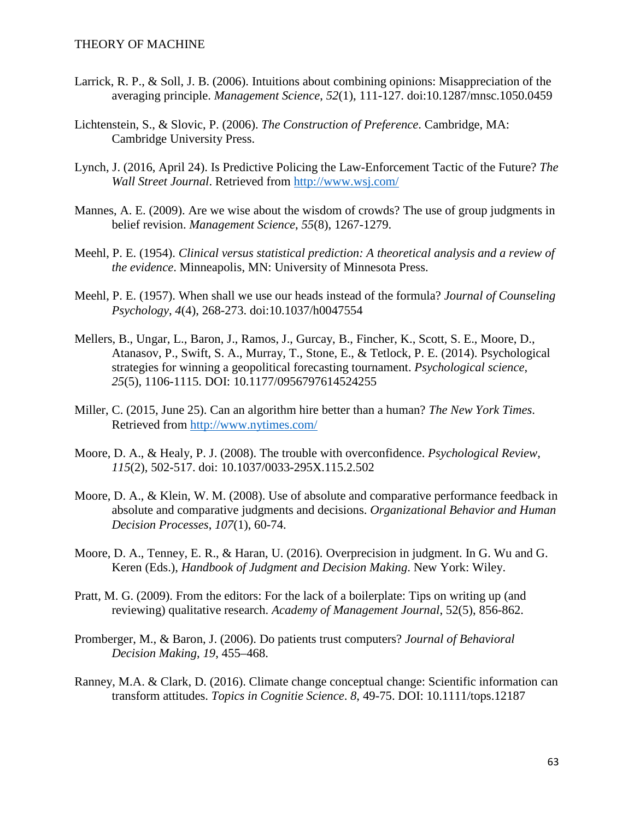- Larrick, R. P., & Soll, J. B. (2006). Intuitions about combining opinions: Misappreciation of the averaging principle. *Management Science*, *52*(1), 111-127. doi:10.1287/mnsc.1050.0459
- Lichtenstein, S., & Slovic, P. (2006). *The Construction of Preference*. Cambridge, MA: Cambridge University Press.
- Lynch, J. (2016, April 24). Is Predictive Policing the Law-Enforcement Tactic of the Future? *The Wall Street Journal*. Retrieved from<http://www.wsj.com/>
- Mannes, A. E. (2009). Are we wise about the wisdom of crowds? The use of group judgments in belief revision. *Management Science*, *55*(8), 1267-1279.
- Meehl, P. E. (1954). *Clinical versus statistical prediction: A theoretical analysis and a review of the evidence*. Minneapolis, MN: University of Minnesota Press.
- Meehl, P. E. (1957). When shall we use our heads instead of the formula? *Journal of Counseling Psychology*, *4*(4), 268-273. doi:10.1037/h0047554
- Mellers, B., Ungar, L., Baron, J., Ramos, J., Gurcay, B., Fincher, K., Scott, S. E., Moore, D., Atanasov, P., Swift, S. A., Murray, T., Stone, E., & Tetlock, P. E. (2014). Psychological strategies for winning a geopolitical forecasting tournament. *Psychological science*, *25*(5), 1106-1115. DOI: 10.1177/0956797614524255
- Miller, C. (2015, June 25). Can an algorithm hire better than a human? *The New York Times*. Retrieved from <http://www.nytimes.com/>
- Moore, D. A., & Healy, P. J. (2008). The trouble with overconfidence. *Psychological Review*, *115*(2), 502-517. doi: 10.1037/0033-295X.115.2.502
- Moore, D. A., & Klein, W. M. (2008). Use of absolute and comparative performance feedback in absolute and comparative judgments and decisions. *Organizational Behavior and Human Decision Processes*, *107*(1), 60-74.
- Moore, D. A., Tenney, E. R., & Haran, U. (2016). Overprecision in judgment. In G. Wu and G. Keren (Eds.), *Handbook of Judgment and Decision Making*. New York: Wiley.
- Pratt, M. G. (2009). From the editors: For the lack of a boilerplate: Tips on writing up (and reviewing) qualitative research. *Academy of Management Journal*, 52(5), 856-862.
- Promberger, M., & Baron, J. (2006). Do patients trust computers? *Journal of Behavioral Decision Making*, *19*, 455–468.
- Ranney, M.A. & Clark, D. (2016). Climate change conceptual change: Scientific information can transform attitudes. *Topics in Cognitie Science*. *8*, 49-75. DOI: 10.1111/tops.12187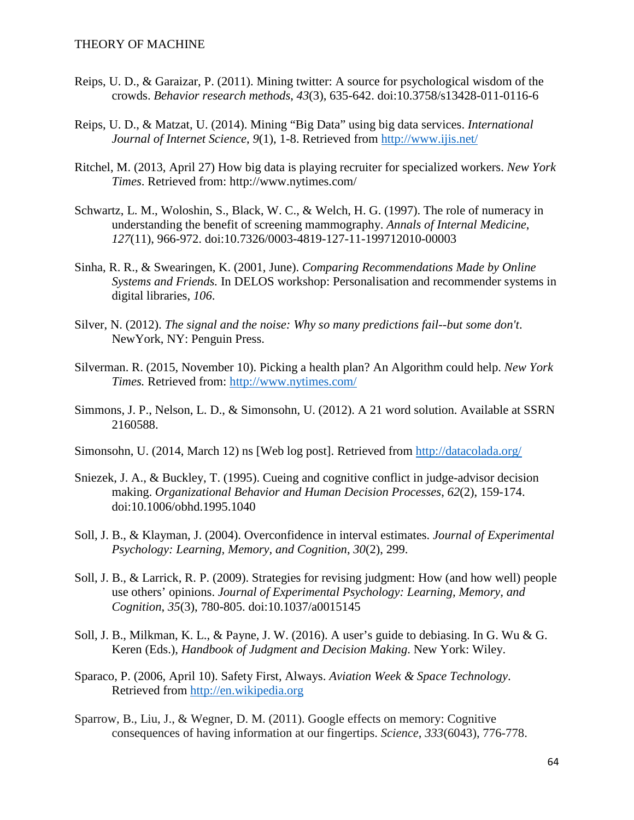- Reips, U. D., & Garaizar, P. (2011). Mining twitter: A source for psychological wisdom of the crowds. *Behavior research methods*, *43*(3), 635-642. doi:10.3758/s13428-011-0116-6
- Reips, U. D., & Matzat, U. (2014). Mining "Big Data" using big data services. *International Journal of Internet Science*, *9*(1), 1-8. Retrieved from<http://www.ijis.net/>
- Ritchel, M. (2013, April 27) How big data is playing recruiter for specialized workers. *New York Times*. Retrieved from: http://www.nytimes.com/
- Schwartz, L. M., Woloshin, S., Black, W. C., & Welch, H. G. (1997). The role of numeracy in understanding the benefit of screening mammography. *Annals of Internal Medicine*, *127*(11), 966-972. doi:10.7326/0003-4819-127-11-199712010-00003
- Sinha, R. R., & Swearingen, K. (2001, June). *Comparing Recommendations Made by Online Systems and Friends.* In DELOS workshop: Personalisation and recommender systems in digital libraries, *106*.
- Silver, N. (2012). *The signal and the noise: Why so many predictions fail--but some don't*. NewYork, NY: Penguin Press.
- Silverman. R. (2015, November 10). Picking a health plan? An Algorithm could help. *New York Times.* Retrieved from:<http://www.nytimes.com/>
- Simmons, J. P., Nelson, L. D., & Simonsohn, U. (2012). A 21 word solution. Available at SSRN 2160588.
- Simonsohn, U. (2014, March 12) ns [Web log post]. Retrieved from<http://datacolada.org/>
- Sniezek, J. A., & Buckley, T. (1995). Cueing and cognitive conflict in judge-advisor decision making. *Organizational Behavior and Human Decision Processes*, *62*(2), 159-174. doi:10.1006/obhd.1995.1040
- Soll, J. B., & Klayman, J. (2004). Overconfidence in interval estimates. *Journal of Experimental Psychology: Learning, Memory, and Cognition*, *30*(2), 299.
- Soll, J. B., & Larrick, R. P. (2009). Strategies for revising judgment: How (and how well) people use others' opinions. *Journal of Experimental Psychology: Learning, Memory, and Cognition*, *35*(3), 780-805. doi:10.1037/a0015145
- Soll, J. B., Milkman, K. L., & Payne, J. W. (2016). A user's guide to debiasing. In G. Wu & G. Keren (Eds.), *Handbook of Judgment and Decision Making*. New York: Wiley.
- Sparaco, P. (2006, April 10). Safety First, Always. *Aviation Week & Space Technology*. Retrieved from [http://en.wikipedia.org](http://en.wikipedia.org/)
- Sparrow, B., Liu, J., & Wegner, D. M. (2011). Google effects on memory: Cognitive consequences of having information at our fingertips. *Science*, *333*(6043), 776-778.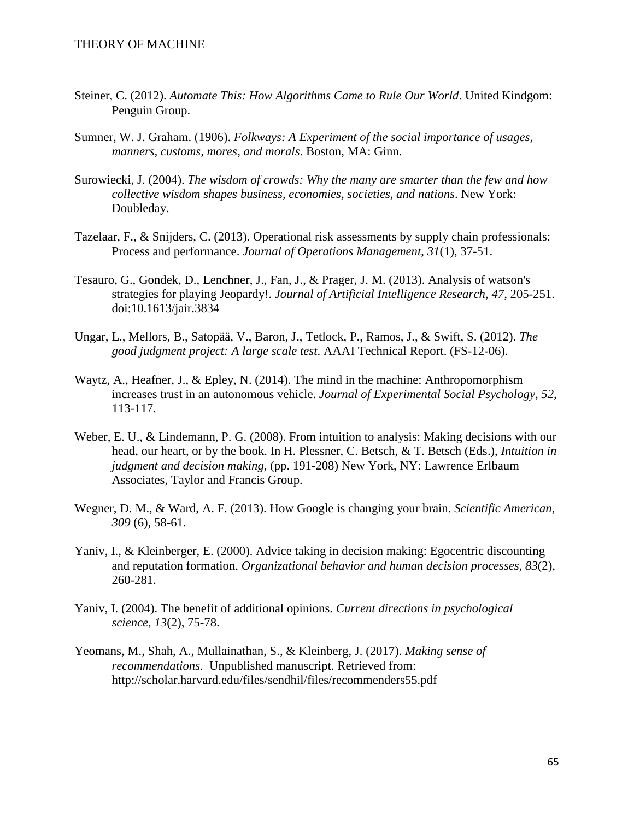- Steiner, C. (2012). *Automate This: How Algorithms Came to Rule Our World*. United Kindgom: [Penguin Group.](https://en.wikipedia.org/wiki/Penguin_Group)
- Sumner, W. J. Graham. (1906). *Folkways: A Experiment of the social importance of usages, manners, customs, mores, and morals*. Boston, MA: Ginn.
- Surowiecki, J. (2004). *The wisdom of crowds: Why the many are smarter than the few and how collective wisdom shapes business, economies, societies, and nations*. New York: Doubleday.
- Tazelaar, F., & Snijders, C. (2013). Operational risk assessments by supply chain professionals: Process and performance. *Journal of Operations Management*, *31*(1), 37-51.
- Tesauro, G., Gondek, D., Lenchner, J., Fan, J., & Prager, J. M. (2013). Analysis of watson's strategies for playing Jeopardy!. *Journal of Artificial Intelligence Research*, *47*, 205-251. doi:10.1613/jair.3834
- Ungar, L., Mellors, B., Satopää, V., Baron, J., Tetlock, P., Ramos, J., & Swift, S. (2012). *The good judgment project: A large scale test*. AAAI Technical Report. (FS-12-06).
- Waytz, A., Heafner, J., & Epley, N. (2014). The mind in the machine: Anthropomorphism increases trust in an autonomous vehicle. *Journal of Experimental Social Psychology*, *52*, 113-117.
- Weber, E. U., & Lindemann, P. G. (2008). From intuition to analysis: Making decisions with our head, our heart, or by the book. In H. Plessner, C. Betsch, & T. Betsch (Eds.), *Intuition in judgment and decision making*, (pp. 191-208) New York, NY: Lawrence Erlbaum Associates, Taylor and Francis Group.
- Wegner, D. M., & Ward, A. F. (2013). How Google is changing your brain. *Scientific American*, *309* (6), 58-61.
- Yaniv, I., & Kleinberger, E. (2000). Advice taking in decision making: Egocentric discounting and reputation formation. *Organizational behavior and human decision processes*, *83*(2), 260-281.
- Yaniv, I. (2004). The benefit of additional opinions. *Current directions in psychological science*, *13*(2), 75-78.
- Yeomans, M., Shah, A., Mullainathan, S., & Kleinberg, J. (2017). *Making sense of recommendations*. Unpublished manuscript. Retrieved from: http://scholar.harvard.edu/files/sendhil/files/recommenders55.pdf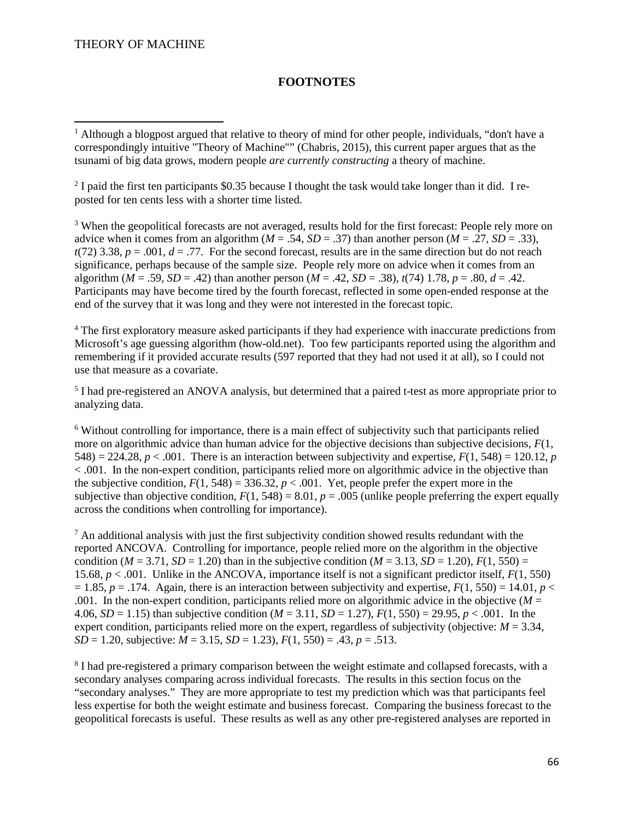l

### **FOOTNOTES**

<sup>2</sup> I paid the first ten participants \$0.35 because I thought the task would take longer than it did. I reposted for ten cents less with a shorter time listed.

<sup>3</sup> When the geopolitical forecasts are not averaged, results hold for the first forecast: People rely more on advice when it comes from an algorithm ( $M = .54$ ,  $SD = .37$ ) than another person ( $M = .27$ ,  $SD = .33$ ),  $t(72)$  3.38,  $p = .001$ ,  $d = .77$ . For the second forecast, results are in the same direction but do not reach significance, perhaps because of the sample size. People rely more on advice when it comes from an algorithm ( $M = .59$ ,  $SD = .42$ ) than another person ( $M = .42$ ,  $SD = .38$ ),  $t(74)$  1.78,  $p = .80$ ,  $d = .42$ . Participants may have become tired by the fourth forecast, reflected in some open-ended response at the end of the survey that it was long and they were not interested in the forecast topic.

<sup>4</sup> The first exploratory measure asked participants if they had experience with inaccurate predictions from Microsoft's age guessing algorithm (how-old.net). Too few participants reported using the algorithm and remembering if it provided accurate results (597 reported that they had not used it at all), so I could not use that measure as a covariate.

<sup>5</sup> I had pre-registered an ANOVA analysis, but determined that a paired t-test as more appropriate prior to analyzing data.

<sup>6</sup> Without controlling for importance, there is a main effect of subjectivity such that participants relied more on algorithmic advice than human advice for the objective decisions than subjective decisions, *F*(1, 548) = 224.28,  $p < .001$ . There is an interaction between subjectivity and expertise,  $F(1, 548) = 120.12$ , *p* < .001. In the non-expert condition, participants relied more on algorithmic advice in the objective than the subjective condition,  $F(1, 548) = 336.32$ ,  $p < .001$ . Yet, people prefer the expert more in the subjective than objective condition,  $F(1, 548) = 8.01$ ,  $p = .005$  (unlike people preferring the expert equally across the conditions when controlling for importance).

 $<sup>7</sup>$  An additional analysis with just the first subjectivity condition showed results redundant with the</sup> reported ANCOVA. Controlling for importance, people relied more on the algorithm in the objective condition ( $M = 3.71$ ,  $SD = 1.20$ ) than in the subjective condition ( $M = 3.13$ ,  $SD = 1.20$ ),  $F(1, 550) =$ 15.68, *p* < .001. Unlike in the ANCOVA, importance itself is not a significant predictor itself, *F*(1, 550)  $= 1.85$ ,  $p = 0.174$ . Again, there is an interaction between subjectivity and expertise,  $F(1, 550) = 14.01$ ,  $p <$ .001. In the non-expert condition, participants relied more on algorithmic advice in the objective  $(M =$ 4.06, *SD* = 1.15) than subjective condition ( $M = 3.11$ , *SD* = 1.27),  $F(1, 550) = 29.95$ ,  $p < .001$ . In the expert condition, participants relied more on the expert, regardless of subjectivity (objective:  $M = 3.34$ ,  $\overrightarrow{SD}$  = 1.20, subjective:  $\overrightarrow{M}$  = 3.15,  $\overrightarrow{SD}$  = 1.23),  $F(1, 550)$  = .43,  $p = .513$ .

<sup>8</sup> I had pre-registered a primary comparison between the weight estimate and collapsed forecasts, with a secondary analyses comparing across individual forecasts. The results in this section focus on the "secondary analyses." They are more appropriate to test my prediction which was that participants feel less expertise for both the weight estimate and business forecast. Comparing the business forecast to the geopolitical forecasts is useful. These results as well as any other pre-registered analyses are reported in

<sup>&</sup>lt;sup>1</sup> Although a blogpost argued that relative to theory of mind for other people, individuals, "don't have a correspondingly intuitive "Theory of Machine"" (Chabris, 2015), this current paper argues that as the tsunami of big data grows, modern people *are currently constructing* a theory of machine.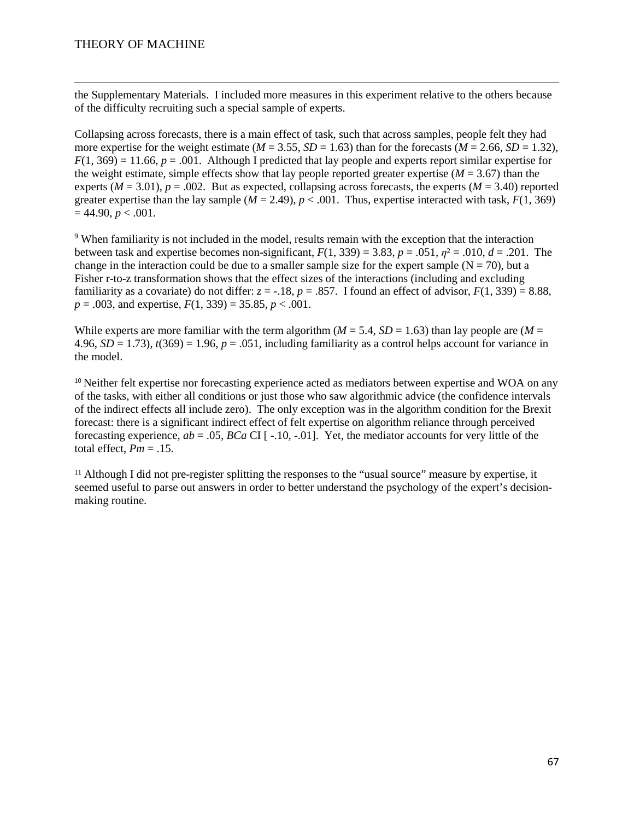$\overline{\phantom{a}}$ 

the Supplementary Materials. I included more measures in this experiment relative to the others because of the difficulty recruiting such a special sample of experts.

Collapsing across forecasts, there is a main effect of task, such that across samples, people felt they had more expertise for the weight estimate ( $M = 3.55$ ,  $SD = 1.63$ ) than for the forecasts ( $M = 2.66$ ,  $SD = 1.32$ ),  $F(1, 369) = 11.66$ ,  $p = .001$ . Although I predicted that lay people and experts report similar expertise for the weight estimate, simple effects show that lay people reported greater expertise  $(M = 3.67)$  than the experts  $(M = 3.01)$ ,  $p = .002$ . But as expected, collapsing across forecasts, the experts  $(M = 3.40)$  reported greater expertise than the lay sample  $(M = 2.49)$ ,  $p < .001$ . Thus, expertise interacted with task,  $F(1, 369)$  $= 44.90, p < .001.$ 

<sup>9</sup> When familiarity is not included in the model, results remain with the exception that the interaction between task and expertise becomes non-significant,  $F(1, 339) = 3.83$ ,  $p = .051$ ,  $\eta^2 = .010$ ,  $d = .201$ . The change in the interaction could be due to a smaller sample size for the expert sample  $(N = 70)$ , but a Fisher r-to-z transformation shows that the effect sizes of the interactions (including and excluding familiarity as a covariate) do not differ:  $z = -18$ ,  $p = .857$ . I found an effect of advisor,  $F(1, 339) = 8.88$ ,  $p = .003$ , and expertise,  $F(1, 339) = 35.85$ ,  $p < .001$ .

While experts are more familiar with the term algorithm ( $M = 5.4$ ,  $SD = 1.63$ ) than lay people are ( $M =$ 4.96,  $SD = 1.73$ ),  $t(369) = 1.96$ ,  $p = .051$ , including familiarity as a control helps account for variance in the model.

<sup>10</sup> Neither felt expertise nor forecasting experience acted as mediators between expertise and WOA on any of the tasks, with either all conditions or just those who saw algorithmic advice (the confidence intervals of the indirect effects all include zero). The only exception was in the algorithm condition for the Brexit forecast: there is a significant indirect effect of felt expertise on algorithm reliance through perceived forecasting experience, *ab* = .05, *BCa* CI [ -.10, -.01]. Yet, the mediator accounts for very little of the total effect,  $Pm = .15$ .

<sup>11</sup> Although I did not pre-register splitting the responses to the "usual source" measure by expertise, it seemed useful to parse out answers in order to better understand the psychology of the expert's decisionmaking routine.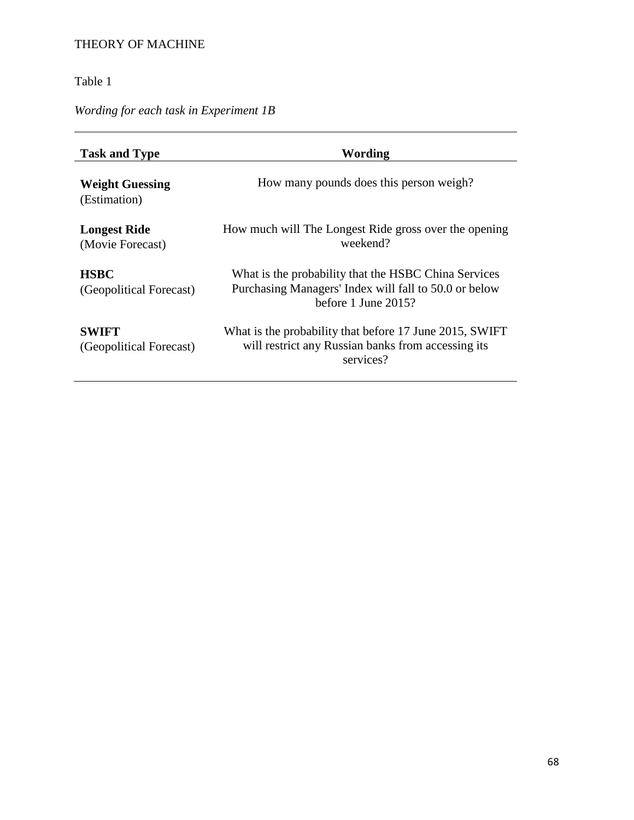## Table 1

# *Wording for each task in Experiment 1B*

<span id="page-68-0"></span>

| <b>Task and Type</b>                    | Wording                                                                                                                                 |
|-----------------------------------------|-----------------------------------------------------------------------------------------------------------------------------------------|
| <b>Weight Guessing</b><br>(Estimation)  | How many pounds does this person weigh?                                                                                                 |
| <b>Longest Ride</b><br>(Movie Forecast) | How much will The Longest Ride gross over the opening<br>weekend?                                                                       |
| <b>HSBC</b><br>(Geopolitical Forecast)  | What is the probability that the HSBC China Services<br>Purchasing Managers' Index will fall to 50.0 or below<br>before 1 June $2015$ ? |
| <b>SWIFT</b><br>(Geopolitical Forecast) | What is the probability that before 17 June 2015, SWIFT<br>will restrict any Russian banks from accessing its<br>services?              |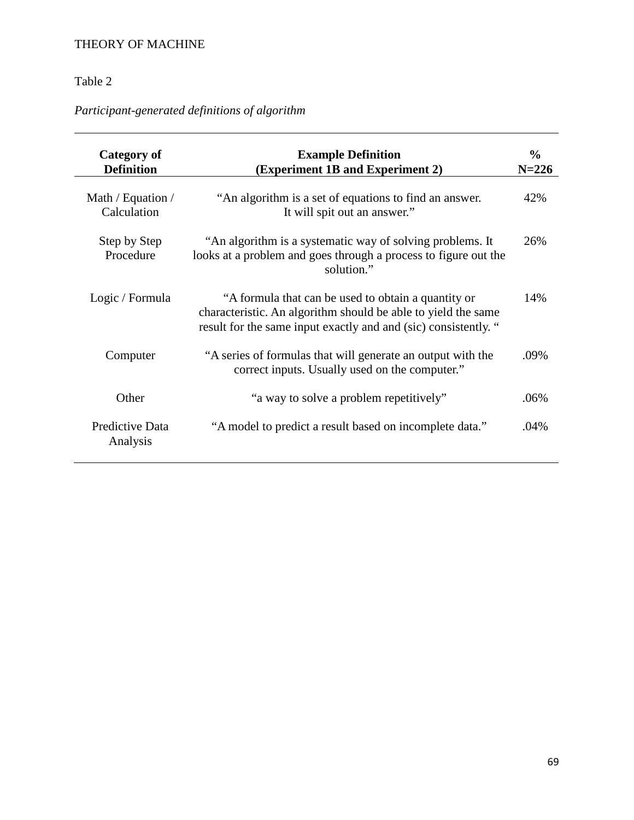## Table 2

# *Participant-generated definitions of algorithm*

<span id="page-69-1"></span><span id="page-69-0"></span>

| <b>Category of</b><br><b>Definition</b> | <b>Example Definition</b><br>(Experiment 1B and Experiment 2)                                                                                                                           | $\frac{6}{9}$<br>$N = 226$ |
|-----------------------------------------|-----------------------------------------------------------------------------------------------------------------------------------------------------------------------------------------|----------------------------|
| Math / Equation /<br>Calculation        | "An algorithm is a set of equations to find an answer.<br>It will spit out an answer."                                                                                                  | 42%                        |
| Step by Step<br>Procedure               | "An algorithm is a systematic way of solving problems. It<br>looks at a problem and goes through a process to figure out the<br>solution."                                              | 26%                        |
| Logic / Formula                         | "A formula that can be used to obtain a quantity or<br>characteristic. An algorithm should be able to yield the same<br>result for the same input exactly and and (sic) consistently. " | 14%                        |
| Computer                                | "A series of formulas that will generate an output with the<br>correct inputs. Usually used on the computer."                                                                           | .09%                       |
| Other                                   | "a way to solve a problem repetitively"                                                                                                                                                 | .06%                       |
| Predictive Data<br>Analysis             | "A model to predict a result based on incomplete data."                                                                                                                                 | .04%                       |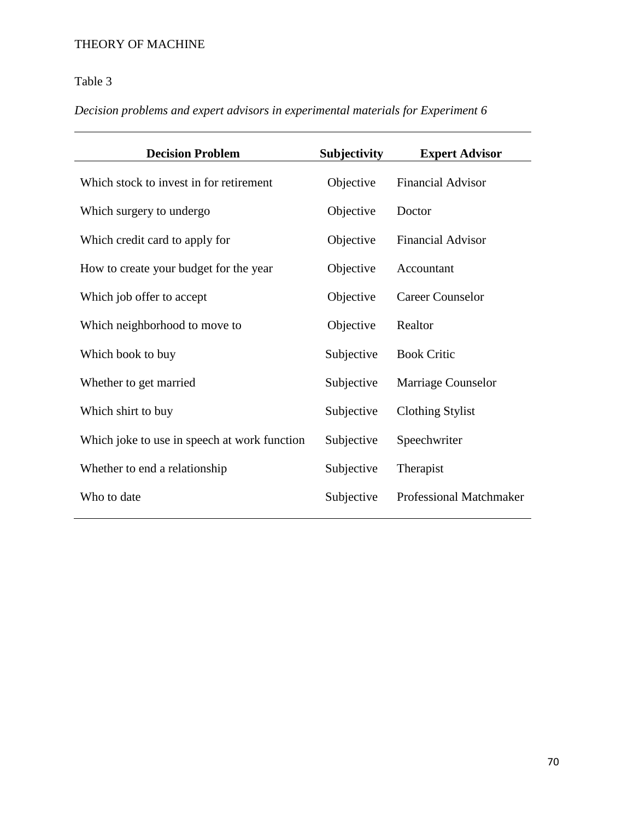# Table 3

# *Decision problems and expert advisors in experimental materials for Experiment 6*

<span id="page-70-1"></span><span id="page-70-0"></span>

| <b>Decision Problem</b>                      | Subjectivity | <b>Expert Advisor</b>          |
|----------------------------------------------|--------------|--------------------------------|
| Which stock to invest in for retirement      | Objective    | <b>Financial Advisor</b>       |
| Which surgery to undergo                     | Objective    | Doctor                         |
| Which credit card to apply for               | Objective    | <b>Financial Advisor</b>       |
| How to create your budget for the year       | Objective    | Accountant                     |
| Which job offer to accept                    | Objective    | <b>Career Counselor</b>        |
| Which neighborhood to move to                | Objective    | Realtor                        |
| Which book to buy                            | Subjective   | <b>Book Critic</b>             |
| Whether to get married                       | Subjective   | <b>Marriage Counselor</b>      |
| Which shirt to buy                           | Subjective   | <b>Clothing Stylist</b>        |
| Which joke to use in speech at work function | Subjective   | Speechwriter                   |
| Whether to end a relationship                | Subjective   | Therapist                      |
| Who to date                                  | Subjective   | <b>Professional Matchmaker</b> |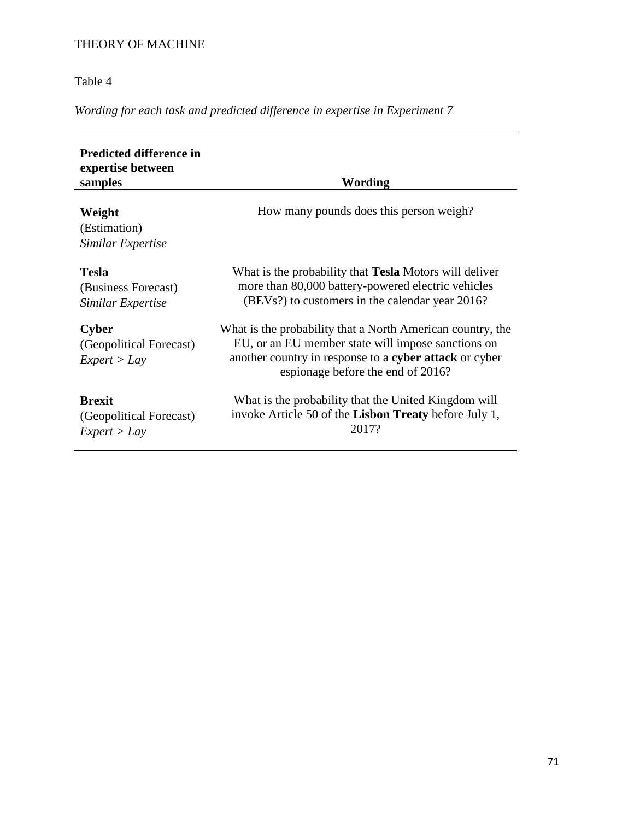Table 4

*Wording for each task and predicted difference in expertise in Experiment 7*

<span id="page-71-1"></span><span id="page-71-0"></span>

| <b>Predicted difference in</b><br>expertise between<br>samples | Wording                                                                                                                                                                                                         |
|----------------------------------------------------------------|-----------------------------------------------------------------------------------------------------------------------------------------------------------------------------------------------------------------|
| Weight<br>(Estimation)<br>Similar Expertise                    | How many pounds does this person weigh?                                                                                                                                                                         |
| <b>Tesla</b><br>(Business Forecast)<br>Similar Expertise       | What is the probability that <b>Tesla</b> Motors will deliver<br>more than 80,000 battery-powered electric vehicles<br>(BEVs?) to customers in the calendar year 2016?                                          |
| <b>Cyber</b><br>(Geopolitical Forecast)<br>Expert > Lay        | What is the probability that a North American country, the<br>EU, or an EU member state will impose sanctions on<br>another country in response to a cyber attack or cyber<br>espionage before the end of 2016? |
| <b>Brexit</b><br>(Geopolitical Forecast)<br>Expert > Lay       | What is the probability that the United Kingdom will<br>invoke Article 50 of the Lisbon Treaty before July 1,<br>2017?                                                                                          |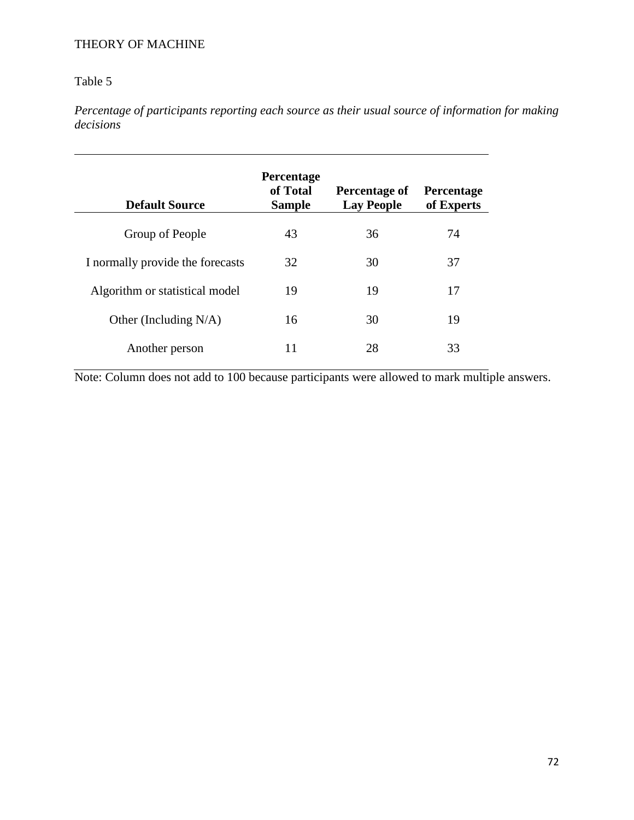# Table 5

*Percentage of participants reporting each source as their usual source of information for making decisions*

| <b>Default Source</b>            | <b>Percentage</b><br>of Total<br><b>Sample</b> | Percentage of<br><b>Lay People</b> | <b>Percentage</b><br>of Experts |
|----------------------------------|------------------------------------------------|------------------------------------|---------------------------------|
| Group of People                  | 43                                             | 36                                 | 74                              |
| I normally provide the forecasts | 32                                             | 30                                 | 37                              |
| Algorithm or statistical model   | 19                                             | 19                                 | 17                              |
| Other (Including $N/A$ )         | 16                                             | 30                                 | 19                              |
| Another person                   | 11                                             | 28                                 | 33                              |

Note: Column does not add to 100 because participants were allowed to mark multiple answers.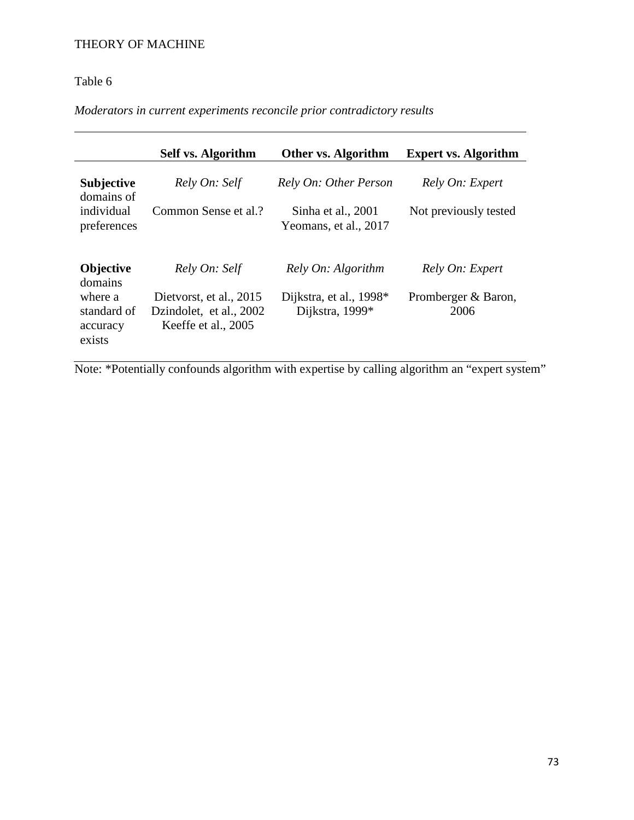# Table 6

*Moderators in current experiments reconcile prior contradictory results* 

|                                                         | <b>Self vs. Algorithm</b>                                                 | Other vs. Algorithm                         | <b>Expert vs. Algorithm</b> |
|---------------------------------------------------------|---------------------------------------------------------------------------|---------------------------------------------|-----------------------------|
| <b>Subjective</b><br>domains of                         | Rely On: Self                                                             | Rely On: Other Person                       | Rely On: Expert             |
| individual<br>preferences                               | Common Sense et al.?                                                      | Sinha et al., 2001<br>Yeomans, et al., 2017 | Not previously tested       |
| Objective                                               | Rely On: Self                                                             | Rely On: Algorithm                          | Rely On: Expert             |
| domains<br>where a<br>standard of<br>accuracy<br>exists | Dietvorst, et al., 2015<br>Dzindolet, et al., 2002<br>Keeffe et al., 2005 | Dijkstra, et al., 1998*<br>Dijkstra, 1999*  | Promberger & Baron,<br>2006 |

Note: \*Potentially confounds algorithm with expertise by calling algorithm an "expert system"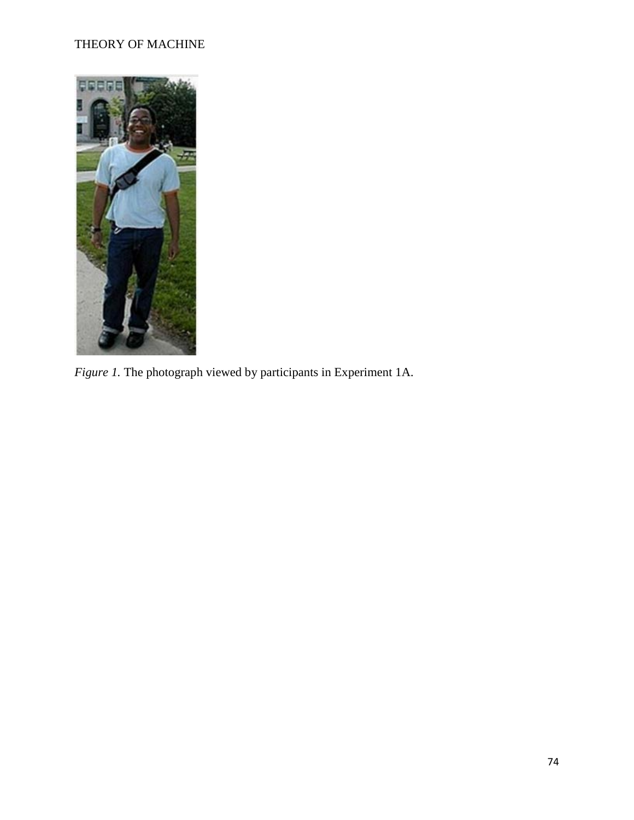

*Figure 1.* The photograph viewed by participants in Experiment 1A.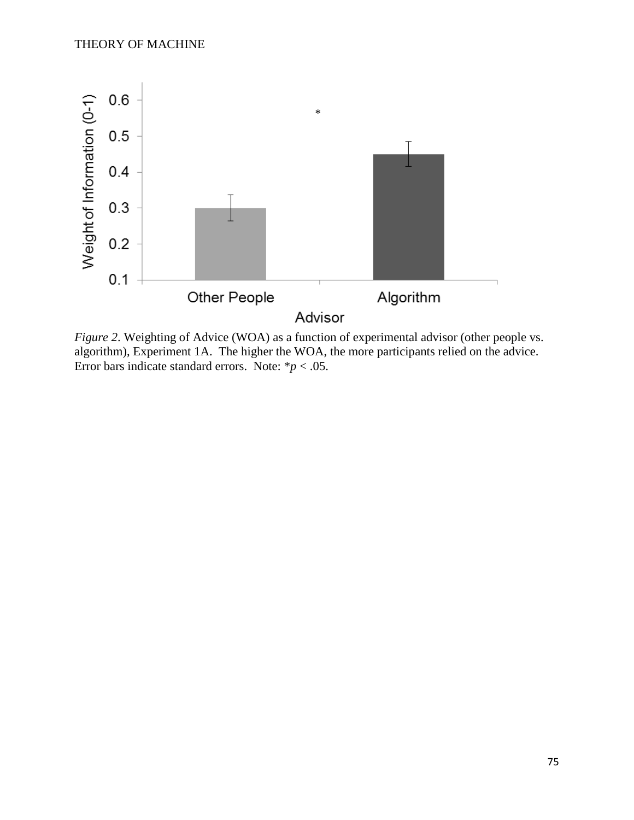

*Figure 2.* Weighting of Advice (WOA) as a function of experimental advisor (other people vs. algorithm), Experiment 1A. The higher the WOA, the more participants relied on the advice. Error bars indicate standard errors. Note:  $* p < .05$ .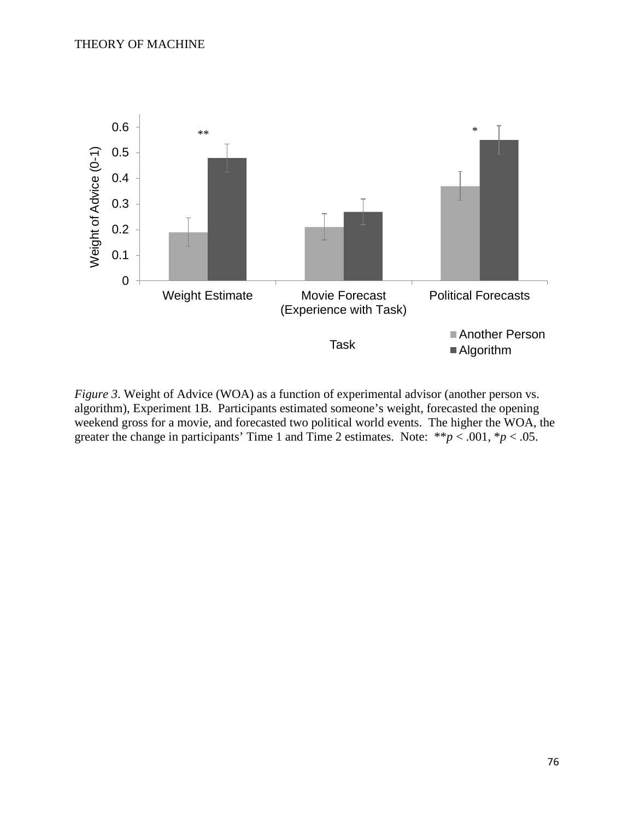

*Figure 3*. Weight of Advice (WOA) as a function of experimental advisor (another person vs. algorithm), Experiment 1B. Participants estimated someone's weight, forecasted the opening weekend gross for a movie, and forecasted two political world events. The higher the WOA, the greater the change in participants' Time 1 and Time 2 estimates. Note:  $**p < .001, *p < .05$ .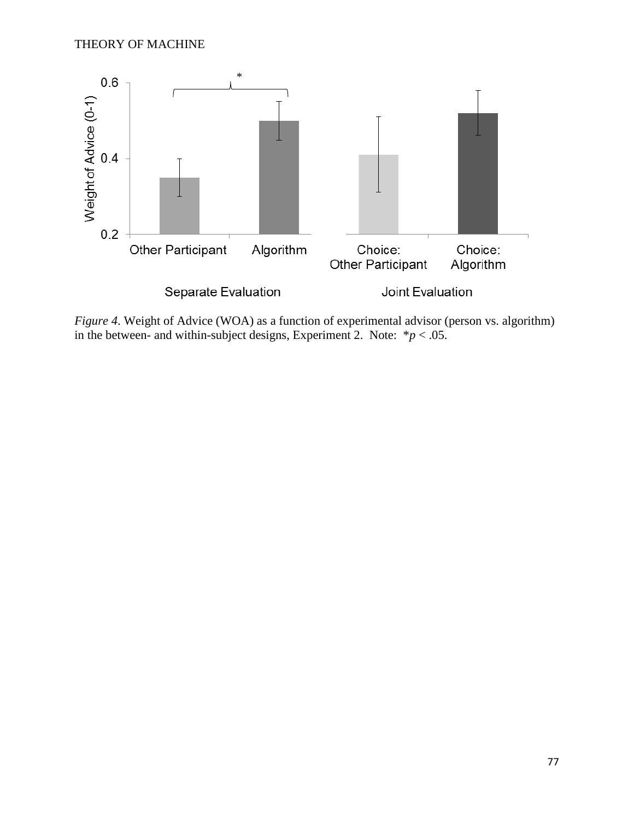

*Figure 4*. Weight of Advice (WOA) as a function of experimental advisor (person vs. algorithm) in the between- and within-subject designs, Experiment 2. Note:  $*p < .05$ .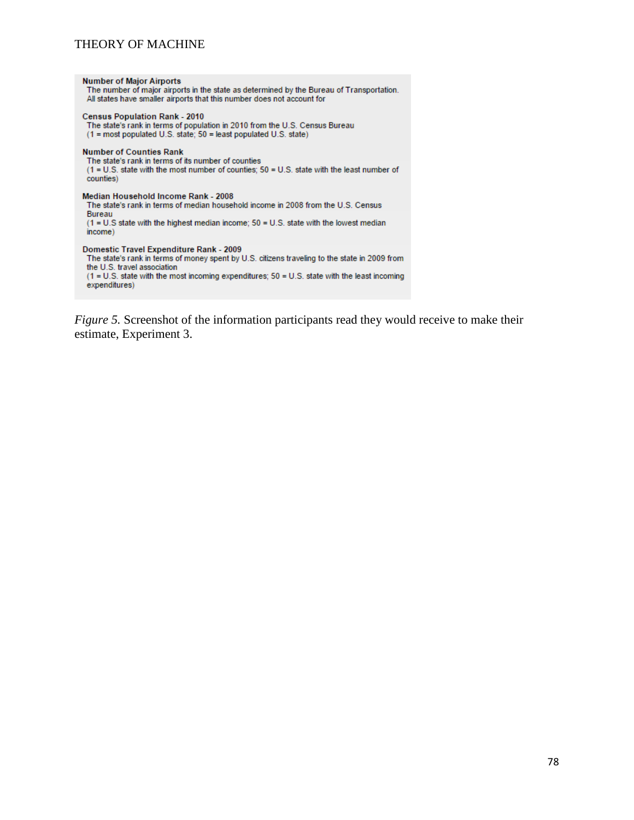| <b>Number of Major Airports</b><br>The number of major airports in the state as determined by the Bureau of Transportation.<br>All states have smaller airports that this number does not account for                                                                                        |
|----------------------------------------------------------------------------------------------------------------------------------------------------------------------------------------------------------------------------------------------------------------------------------------------|
| <b>Census Population Rank - 2010</b><br>The state's rank in terms of population in 2010 from the U.S. Census Bureau<br>$(1 = \text{most populated U.S. state}$ : 50 = least populated U.S. state)                                                                                            |
| <b>Number of Counties Rank</b><br>The state's rank in terms of its number of counties<br>(1 = U.S. state with the most number of counties; 50 = U.S. state with the least number of<br>counties)                                                                                             |
| Median Household Income Rank - 2008<br>The state's rank in terms of median household income in 2008 from the U.S. Census<br>Bureau<br>$(1 = U.S$ state with the highest median income; $50 = U.S$ state with the lowest median<br>income)                                                    |
| Domestic Travel Expenditure Rank - 2009<br>The state's rank in terms of money spent by U.S. citizens traveling to the state in 2009 from<br>the U.S. travel association<br>$(1 = U.S.$ state with the most incoming expenditures; $50 = U.S.$ state with the least incoming<br>expenditures) |

*Figure 5.* Screenshot of the information participants read they would receive to make their estimate, Experiment 3.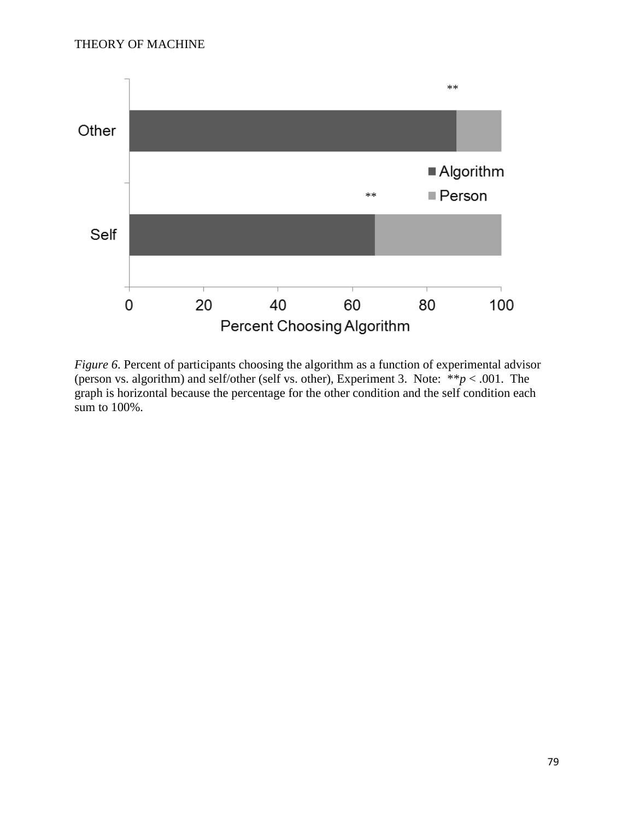

*Figure 6*. Percent of participants choosing the algorithm as a function of experimental advisor (person vs. algorithm) and self/other (self vs. other), Experiment 3. Note:  $**p < .001$ . The graph is horizontal because the percentage for the other condition and the self condition each sum to 100%.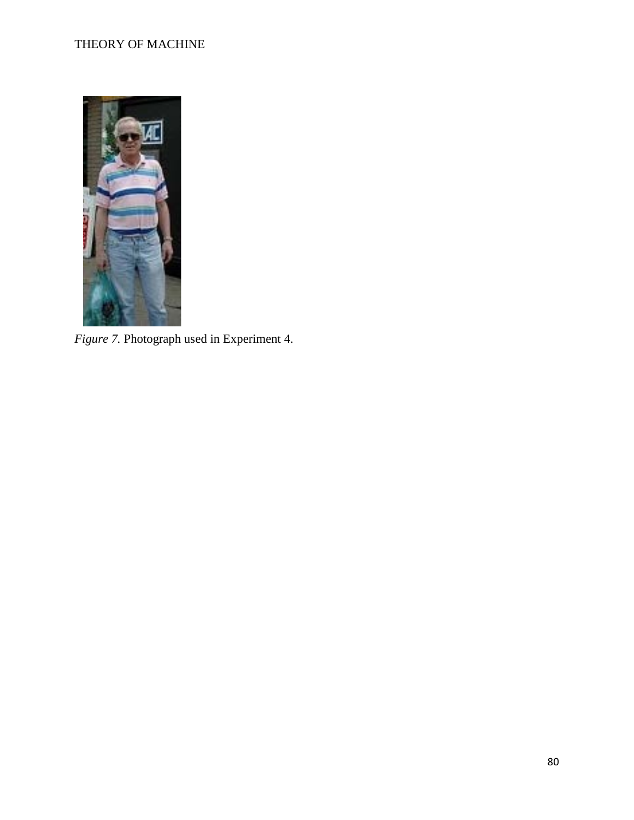

*Figure 7.* Photograph used in Experiment 4.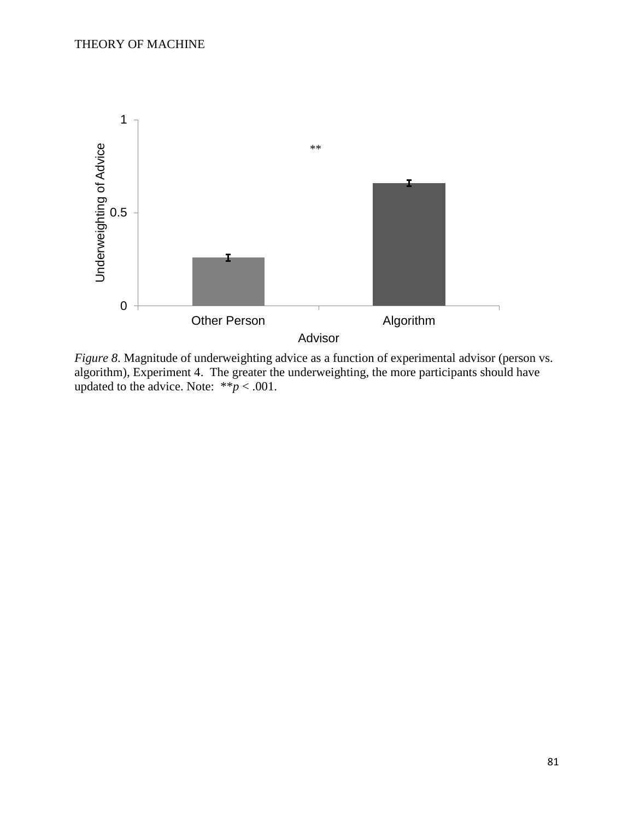

*Figure 8*. Magnitude of underweighting advice as a function of experimental advisor (person vs. algorithm), Experiment 4. The greater the underweighting, the more participants should have updated to the advice. Note:  $**p < .001$ .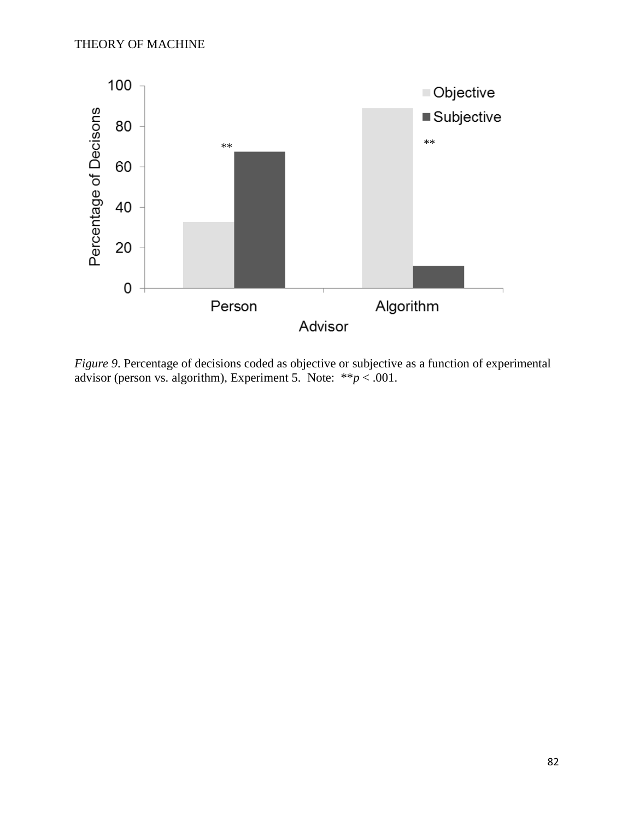

*Figure 9*. Percentage of decisions coded as objective or subjective as a function of experimental advisor (person vs. algorithm), Experiment 5. Note: \*\**p* < .001.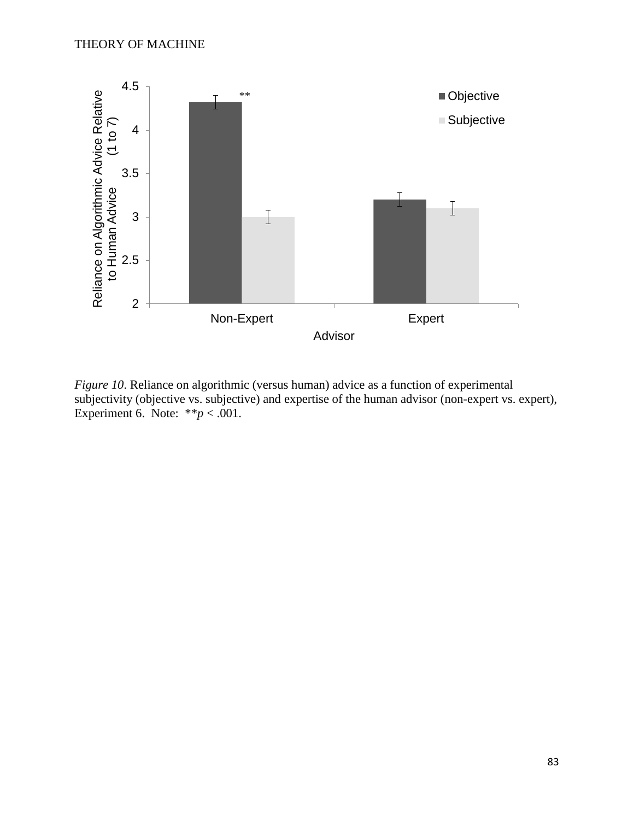

*Figure 10*. Reliance on algorithmic (versus human) advice as a function of experimental subjectivity (objective vs. subjective) and expertise of the human advisor (non-expert vs. expert), Experiment 6. Note:  $**p < .001$ .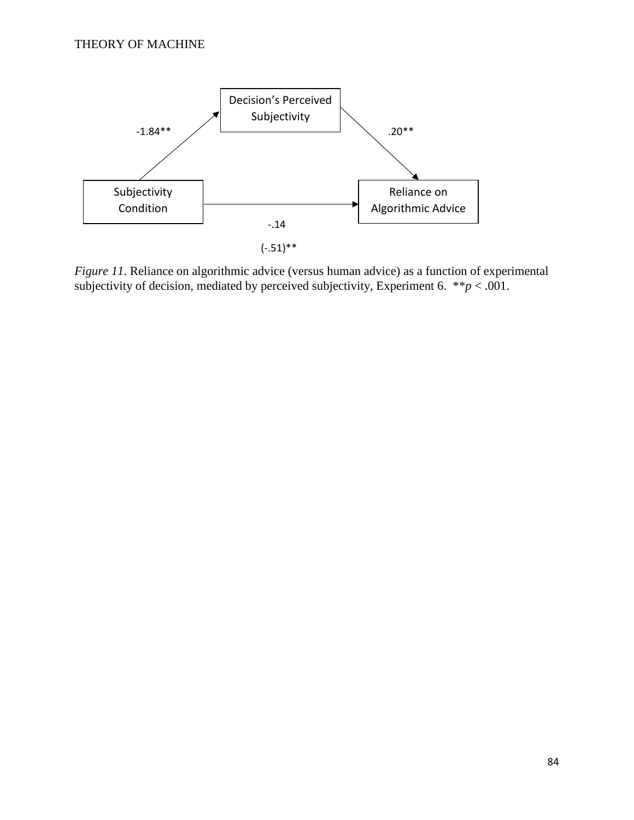

*Figure 11*. Reliance on algorithmic advice (versus human advice) as a function of experimental subjectivity of decision, mediated by perceived subjectivity, Experiment 6.  $*^*p < .001$ .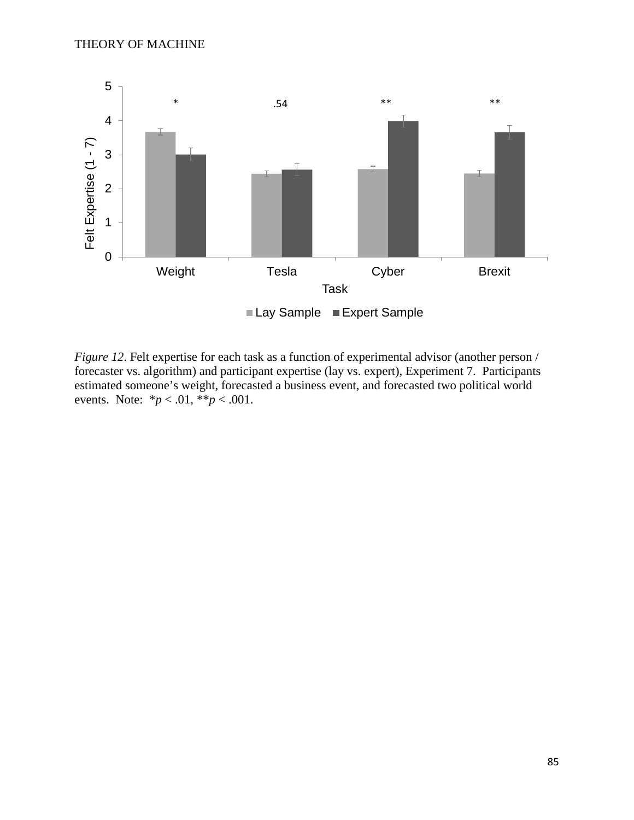

*Figure 12.* Felt expertise for each task as a function of experimental advisor (another person / forecaster vs. algorithm) and participant expertise (lay vs. expert), Experiment 7. Participants estimated someone's weight, forecasted a business event, and forecasted two political world events. Note:  $*_{p} < .01, **_{p} < .001$ .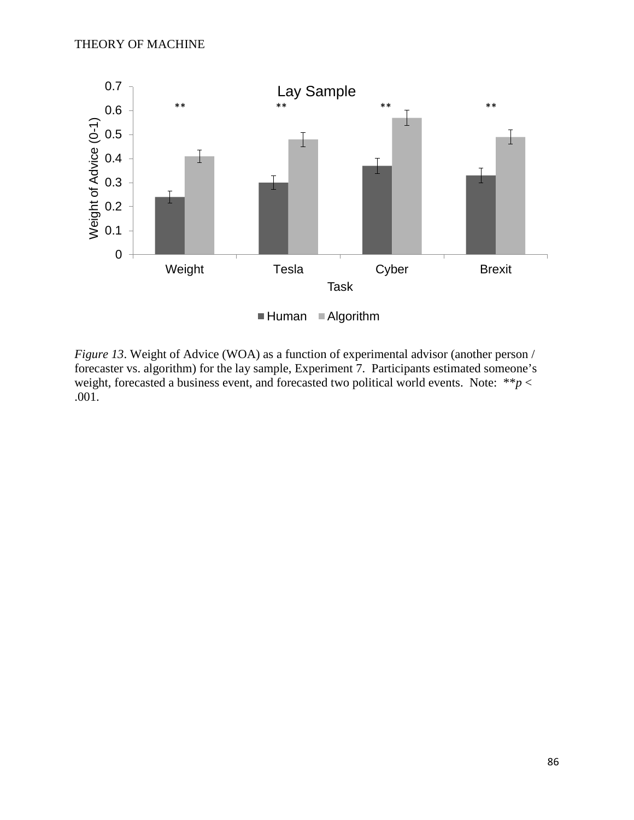

*Figure 13.* Weight of Advice (WOA) as a function of experimental advisor (another person / forecaster vs. algorithm) for the lay sample, Experiment 7. Participants estimated someone's weight, forecasted a business event, and forecasted two political world events. Note: \*\**p* < .001.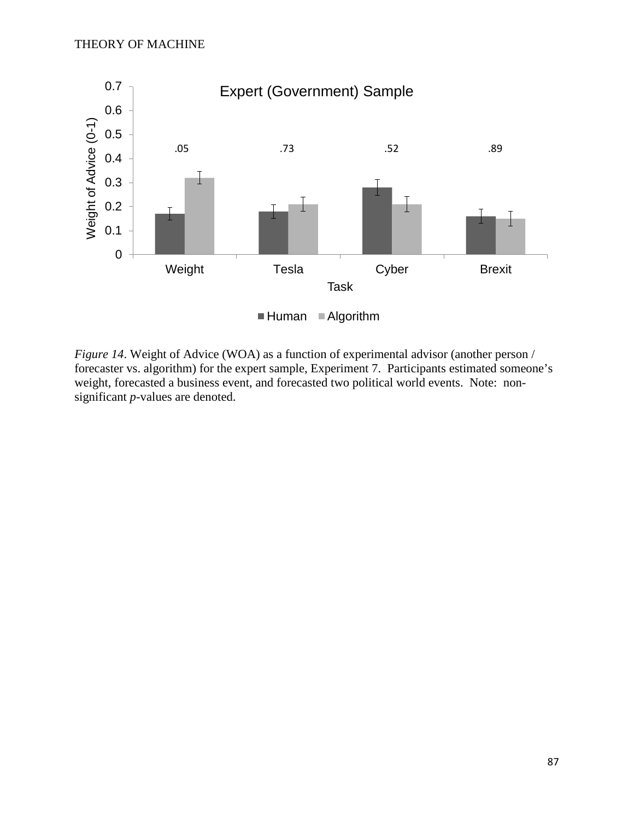

*Figure 14*. Weight of Advice (WOA) as a function of experimental advisor (another person / forecaster vs. algorithm) for the expert sample, Experiment 7. Participants estimated someone's weight, forecasted a business event, and forecasted two political world events. Note: nonsignificant *p*-values are denoted.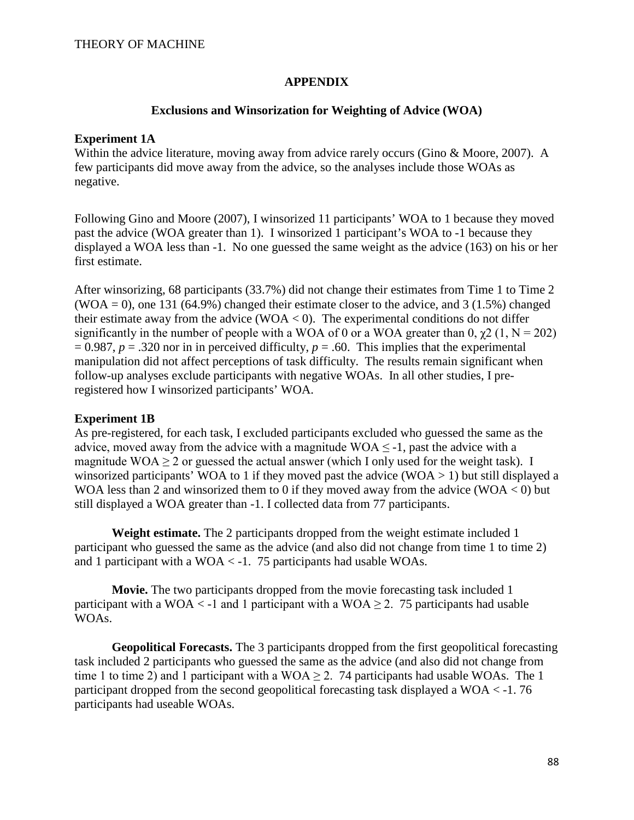#### **APPENDIX**

#### **Exclusions and Winsorization for Weighting of Advice (WOA)**

#### **Experiment 1A**

Within the advice literature, moving away from advice rarely occurs (Gino & Moore, 2007). A few participants did move away from the advice, so the analyses include those WOAs as negative.

Following Gino and Moore (2007), I winsorized 11 participants' WOA to 1 because they moved past the advice (WOA greater than 1). I winsorized 1 participant's WOA to -1 because they displayed a WOA less than -1. No one guessed the same weight as the advice (163) on his or her first estimate.

After winsorizing, 68 participants (33.7%) did not change their estimates from Time 1 to Time 2  $(WOA = 0)$ , one 131 (64.9%) changed their estimate closer to the advice, and 3 (1.5%) changed their estimate away from the advice (WOA  $<$  0). The experimental conditions do not differ significantly in the number of people with a WOA of 0 or a WOA greater than 0,  $\gamma$ 2 (1, N = 202)  $= 0.987, p = .320$  nor in in perceived difficulty,  $p = .60$ . This implies that the experimental manipulation did not affect perceptions of task difficulty. The results remain significant when follow-up analyses exclude participants with negative WOAs. In all other studies, I preregistered how I winsorized participants' WOA.

#### **Experiment 1B**

As pre-registered, for each task, I excluded participants excluded who guessed the same as the advice, moved away from the advice with a magnitude  $WOA \leq -1$ , past the advice with a magnitude WOA  $\geq$  2 or guessed the actual answer (which I only used for the weight task). I winsorized participants' WOA to 1 if they moved past the advice (WOA  $>$  1) but still displayed a WOA less than 2 and winsorized them to 0 if they moved away from the advice (WOA  $<$  0) but still displayed a WOA greater than -1. I collected data from 77 participants.

**Weight estimate.** The 2 participants dropped from the weight estimate included 1 participant who guessed the same as the advice (and also did not change from time 1 to time 2) and 1 participant with a WOA < -1. 75 participants had usable WOAs.

**Movie.** The two participants dropped from the movie forecasting task included 1 participant with a WOA  $\lt$  -1 and 1 participant with a WOA  $\gt$  2. 75 participants had usable WOAs.

**Geopolitical Forecasts.** The 3 participants dropped from the first geopolitical forecasting task included 2 participants who guessed the same as the advice (and also did not change from time 1 to time 2) and 1 participant with a WOA  $\geq$  2. 74 participants had usable WOAs. The 1 participant dropped from the second geopolitical forecasting task displayed a WOA < -1. 76 participants had useable WOAs.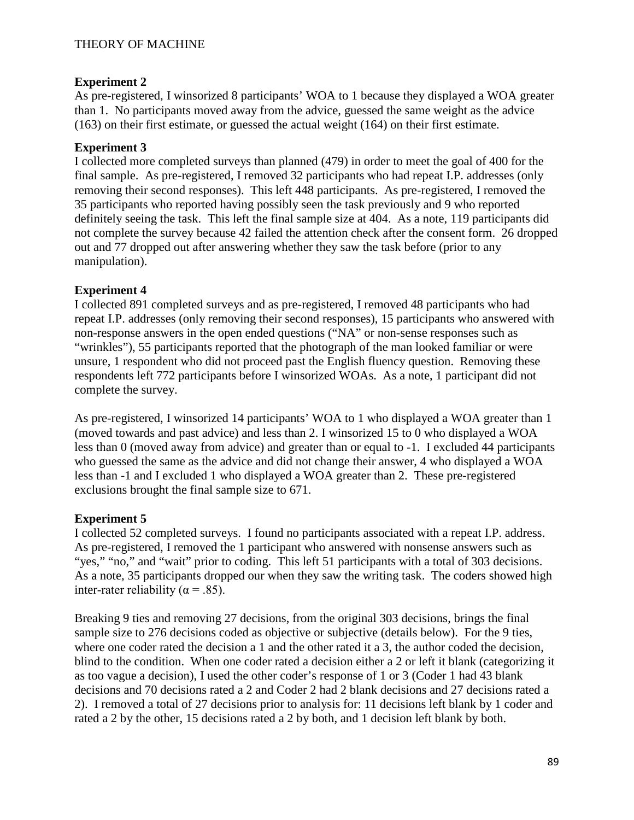# **Experiment 2**

As pre-registered, I winsorized 8 participants' WOA to 1 because they displayed a WOA greater than 1. No participants moved away from the advice, guessed the same weight as the advice (163) on their first estimate, or guessed the actual weight (164) on their first estimate.

# **Experiment 3**

I collected more completed surveys than planned (479) in order to meet the goal of 400 for the final sample. As pre-registered, I removed 32 participants who had repeat I.P. addresses (only removing their second responses). This left 448 participants. As pre-registered, I removed the 35 participants who reported having possibly seen the task previously and 9 who reported definitely seeing the task. This left the final sample size at 404. As a note, 119 participants did not complete the survey because 42 failed the attention check after the consent form. 26 dropped out and 77 dropped out after answering whether they saw the task before (prior to any manipulation).

# **Experiment 4**

I collected 891 completed surveys and as pre-registered, I removed 48 participants who had repeat I.P. addresses (only removing their second responses), 15 participants who answered with non-response answers in the open ended questions ("NA" or non-sense responses such as "wrinkles"), 55 participants reported that the photograph of the man looked familiar or were unsure, 1 respondent who did not proceed past the English fluency question. Removing these respondents left 772 participants before I winsorized WOAs. As a note, 1 participant did not complete the survey.

As pre-registered, I winsorized 14 participants' WOA to 1 who displayed a WOA greater than 1 (moved towards and past advice) and less than 2. I winsorized 15 to 0 who displayed a WOA less than 0 (moved away from advice) and greater than or equal to -1. I excluded 44 participants who guessed the same as the advice and did not change their answer, 4 who displayed a WOA less than -1 and I excluded 1 who displayed a WOA greater than 2. These pre-registered exclusions brought the final sample size to 671.

# **Experiment 5**

I collected 52 completed surveys. I found no participants associated with a repeat I.P. address. As pre-registered, I removed the 1 participant who answered with nonsense answers such as "yes," "no," and "wait" prior to coding. This left 51 participants with a total of 303 decisions. As a note, 35 participants dropped our when they saw the writing task. The coders showed high inter-rater reliability ( $\alpha$  = .85).

Breaking 9 ties and removing 27 decisions, from the original 303 decisions, brings the final sample size to 276 decisions coded as objective or subjective (details below). For the 9 ties, where one coder rated the decision a 1 and the other rated it a 3, the author coded the decision, blind to the condition. When one coder rated a decision either a 2 or left it blank (categorizing it as too vague a decision), I used the other coder's response of 1 or 3 (Coder 1 had 43 blank decisions and 70 decisions rated a 2 and Coder 2 had 2 blank decisions and 27 decisions rated a 2). I removed a total of 27 decisions prior to analysis for: 11 decisions left blank by 1 coder and rated a 2 by the other, 15 decisions rated a 2 by both, and 1 decision left blank by both.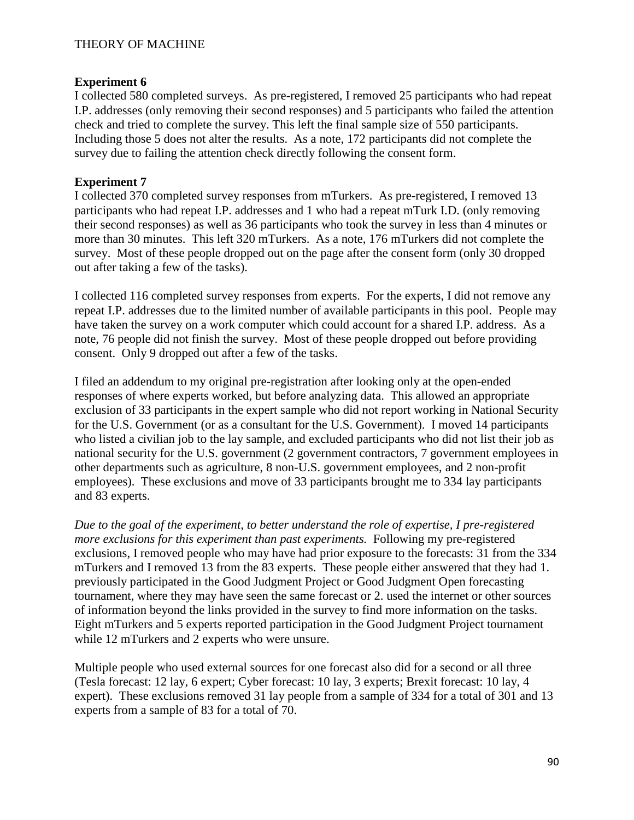#### **Experiment 6**

I collected 580 completed surveys. As pre-registered, I removed 25 participants who had repeat I.P. addresses (only removing their second responses) and 5 participants who failed the attention check and tried to complete the survey. This left the final sample size of 550 participants. Including those 5 does not alter the results. As a note, 172 participants did not complete the survey due to failing the attention check directly following the consent form.

#### **Experiment 7**

I collected 370 completed survey responses from mTurkers. As pre-registered, I removed 13 participants who had repeat I.P. addresses and 1 who had a repeat mTurk I.D. (only removing their second responses) as well as 36 participants who took the survey in less than 4 minutes or more than 30 minutes. This left 320 mTurkers. As a note, 176 mTurkers did not complete the survey. Most of these people dropped out on the page after the consent form (only 30 dropped out after taking a few of the tasks).

I collected 116 completed survey responses from experts. For the experts, I did not remove any repeat I.P. addresses due to the limited number of available participants in this pool. People may have taken the survey on a work computer which could account for a shared I.P. address. As a note, 76 people did not finish the survey. Most of these people dropped out before providing consent. Only 9 dropped out after a few of the tasks.

I filed an addendum to my original pre-registration after looking only at the open-ended responses of where experts worked, but before analyzing data. This allowed an appropriate exclusion of 33 participants in the expert sample who did not report working in National Security for the U.S. Government (or as a consultant for the U.S. Government). I moved 14 participants who listed a civilian job to the lay sample, and excluded participants who did not list their job as national security for the U.S. government (2 government contractors, 7 government employees in other departments such as agriculture, 8 non-U.S. government employees, and 2 non-profit employees). These exclusions and move of 33 participants brought me to 334 lay participants and 83 experts.

*Due to the goal of the experiment, to better understand the role of expertise, I pre-registered more exclusions for this experiment than past experiments.* Following my pre-registered exclusions, I removed people who may have had prior exposure to the forecasts: 31 from the 334 mTurkers and I removed 13 from the 83 experts. These people either answered that they had 1. previously participated in the Good Judgment Project or Good Judgment Open forecasting tournament, where they may have seen the same forecast or 2. used the internet or other sources of information beyond the links provided in the survey to find more information on the tasks. Eight mTurkers and 5 experts reported participation in the Good Judgment Project tournament while 12 mTurkers and 2 experts who were unsure.

Multiple people who used external sources for one forecast also did for a second or all three (Tesla forecast: 12 lay, 6 expert; Cyber forecast: 10 lay, 3 experts; Brexit forecast: 10 lay, 4 expert). These exclusions removed 31 lay people from a sample of 334 for a total of 301 and 13 experts from a sample of 83 for a total of 70.